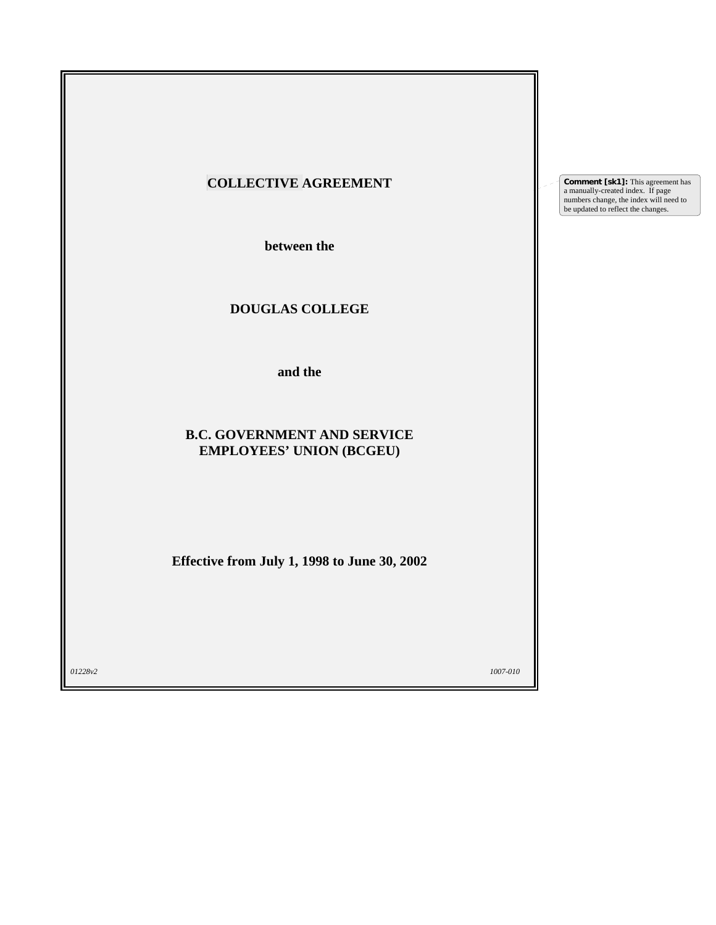| <b>COLLECTIVE AGREEMENT</b>                                           | <b>Comment [sk1]:</b> This agreement has<br>a manually-created index. If page<br>numbers change, the index will need to<br>be updated to reflect the changes. |
|-----------------------------------------------------------------------|---------------------------------------------------------------------------------------------------------------------------------------------------------------|
| between the                                                           |                                                                                                                                                               |
| DOUGLAS COLLEGE                                                       |                                                                                                                                                               |
| and the                                                               |                                                                                                                                                               |
| <b>B.C. GOVERNMENT AND SERVICE</b><br><b>EMPLOYEES' UNION (BCGEU)</b> |                                                                                                                                                               |
| Effective from July 1, 1998 to June 30, 2002                          |                                                                                                                                                               |
| 01228v2<br>1007-010                                                   |                                                                                                                                                               |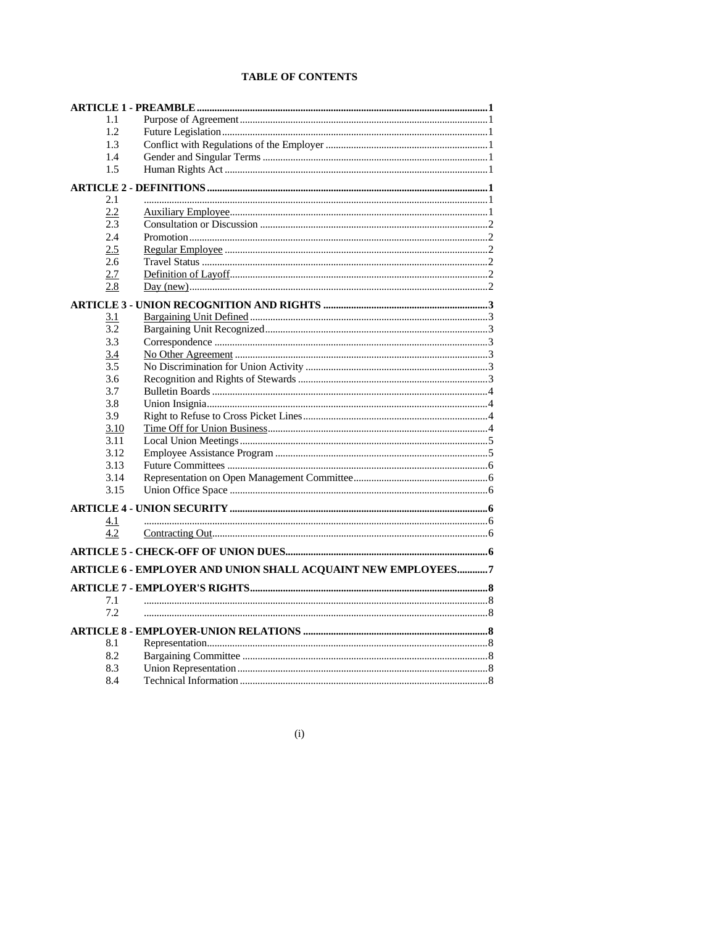# **TABLE OF CONTENTS**

| 1.1  |                                                              |  |
|------|--------------------------------------------------------------|--|
| 1.2  |                                                              |  |
| 1.3  |                                                              |  |
| 1.4  |                                                              |  |
| 1.5  |                                                              |  |
|      |                                                              |  |
| 2.1  |                                                              |  |
| 2.2  |                                                              |  |
| 2.3  |                                                              |  |
| 2.4  |                                                              |  |
| 2.5  |                                                              |  |
| 2.6  |                                                              |  |
| 2.7  |                                                              |  |
| 2.8  |                                                              |  |
|      |                                                              |  |
| 3.1  |                                                              |  |
| 3.2  |                                                              |  |
| 3.3  |                                                              |  |
| 3.4  |                                                              |  |
| 3.5  |                                                              |  |
| 3.6  |                                                              |  |
| 3.7  |                                                              |  |
| 3.8  |                                                              |  |
| 3.9  |                                                              |  |
| 3.10 |                                                              |  |
| 3.11 |                                                              |  |
| 3.12 |                                                              |  |
| 3.13 |                                                              |  |
| 3.14 |                                                              |  |
| 3.15 |                                                              |  |
|      |                                                              |  |
| 4.1  |                                                              |  |
| 4.2  |                                                              |  |
|      |                                                              |  |
|      | ARTICLE 6 - EMPLOYER AND UNION SHALL ACQUAINT NEW EMPLOYEES7 |  |
|      |                                                              |  |
|      |                                                              |  |
| 7.1  |                                                              |  |
| 7.2  |                                                              |  |
|      |                                                              |  |
| 8.1  |                                                              |  |
| 8.2  |                                                              |  |
| 8.3  |                                                              |  |
| 8.4  |                                                              |  |

 $(i)$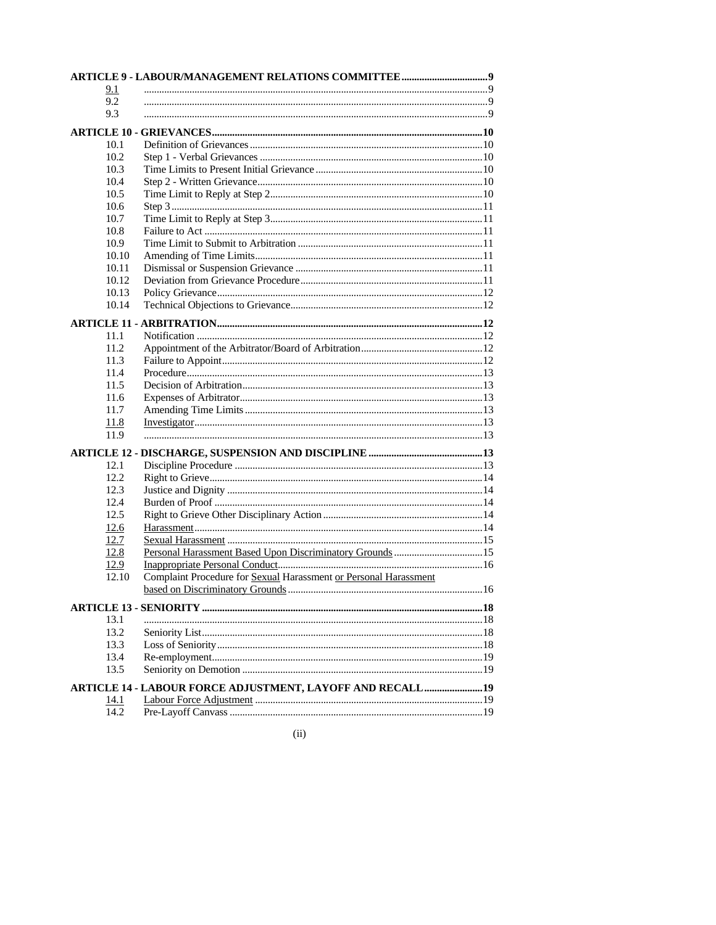| 9.1   |                                                                  |  |
|-------|------------------------------------------------------------------|--|
| 9.2   |                                                                  |  |
| 9.3   |                                                                  |  |
|       |                                                                  |  |
| 10.1  |                                                                  |  |
| 10.2  |                                                                  |  |
| 10.3  |                                                                  |  |
| 10.4  |                                                                  |  |
| 10.5  |                                                                  |  |
| 10.6  |                                                                  |  |
| 10.7  |                                                                  |  |
| 10.8  |                                                                  |  |
| 10.9  |                                                                  |  |
| 10.10 |                                                                  |  |
| 10.11 |                                                                  |  |
| 10.12 |                                                                  |  |
| 10.13 |                                                                  |  |
| 10.14 |                                                                  |  |
|       |                                                                  |  |
| 11.1  |                                                                  |  |
| 11.2  |                                                                  |  |
| 11.3  |                                                                  |  |
| 11.4  |                                                                  |  |
| 11.5  |                                                                  |  |
| 11.6  |                                                                  |  |
| 11.7  |                                                                  |  |
| 11.8  |                                                                  |  |
| 11.9  |                                                                  |  |
|       |                                                                  |  |
| 12.1  |                                                                  |  |
| 12.2  |                                                                  |  |
| 12.3  |                                                                  |  |
| 12.4  |                                                                  |  |
| 12.5  |                                                                  |  |
| 12.6  |                                                                  |  |
| 12.7  |                                                                  |  |
| 12.8  |                                                                  |  |
| 12.9  |                                                                  |  |
| 12.10 | Complaint Procedure for Sexual Harassment or Personal Harassment |  |
|       |                                                                  |  |
|       |                                                                  |  |
| 13.1  |                                                                  |  |
| 13.2  |                                                                  |  |
| 13.3  |                                                                  |  |
| 13.4  |                                                                  |  |
| 13.5  |                                                                  |  |
|       | ARTICLE 14 - LABOUR FORCE ADJUSTMENT, LAYOFF AND RECALL 19       |  |
| 14.1  |                                                                  |  |
| 14.2  |                                                                  |  |
|       |                                                                  |  |

 $(ii)$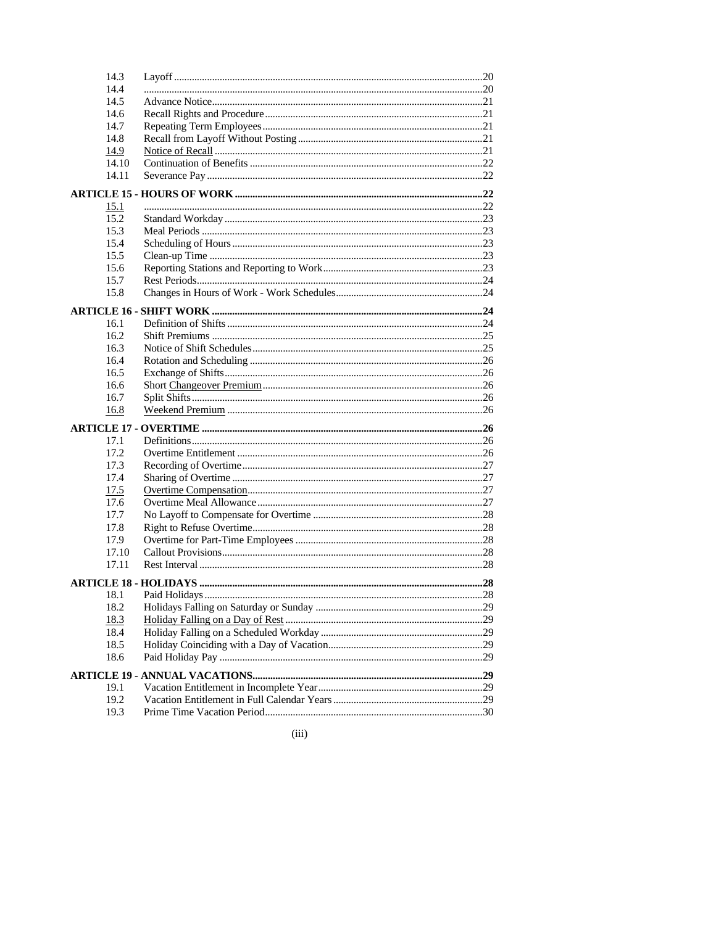| 14.3        |  |
|-------------|--|
| 14.4        |  |
| 14.5        |  |
| 14.6        |  |
| 14.7        |  |
| 14.8        |  |
| 14.9        |  |
| 14.10       |  |
| 14.11       |  |
|             |  |
| 15.1        |  |
| 15.2        |  |
| 15.3        |  |
| 15.4        |  |
| 15.5        |  |
| 15.6        |  |
| 15.7        |  |
| 15.8        |  |
|             |  |
| 16.1        |  |
| 16.2        |  |
| 16.3        |  |
| 16.4        |  |
| 16.5        |  |
| 16.6        |  |
| 16.7        |  |
| 16.8        |  |
|             |  |
| 17.1        |  |
| 17.2        |  |
| 17.3        |  |
| 17.4        |  |
| 17.5        |  |
| 17.6        |  |
| 17.7        |  |
| 17.8        |  |
| 17.9        |  |
| 17.10       |  |
| 17.11       |  |
|             |  |
| 18.1        |  |
| 18.2        |  |
| <u>18.3</u> |  |
| 18.4        |  |
| 18.5        |  |
| 18.6        |  |
|             |  |
| 19.1        |  |
| 19.2        |  |
| 19.3        |  |

 $(iii)$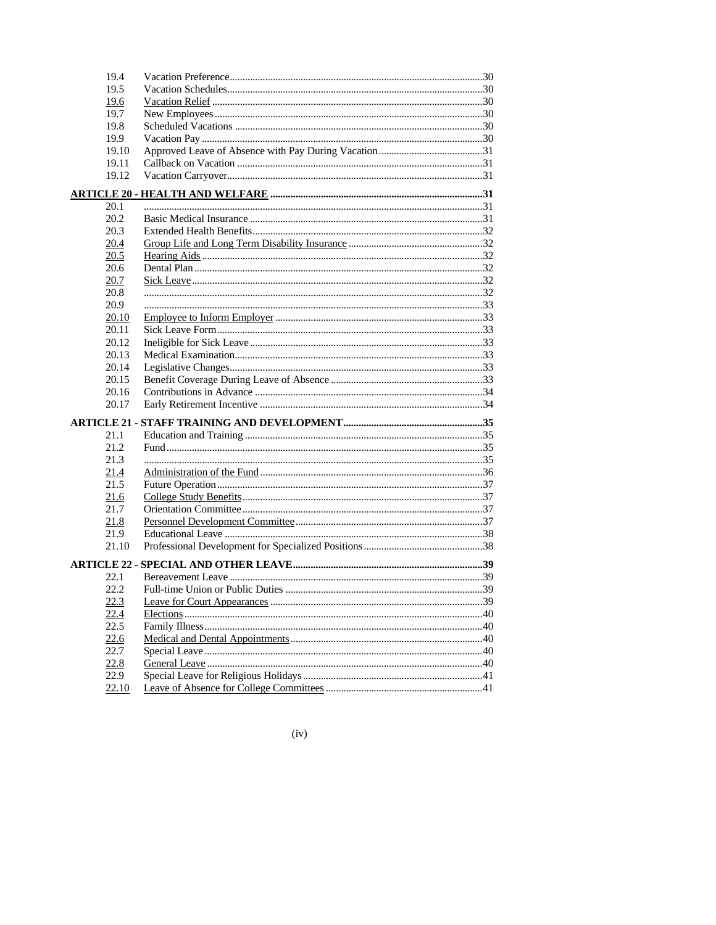| 19.4         |  |
|--------------|--|
| 19.5         |  |
| 19.6         |  |
| 19.7         |  |
| 19.8         |  |
| 19.9         |  |
| 19.10        |  |
| 19.11        |  |
| 19.12        |  |
|              |  |
| 20.1         |  |
| 20.2         |  |
| 20.3         |  |
| 20.4         |  |
| 20.5         |  |
| 20.6         |  |
| 20.7         |  |
| 20.8         |  |
| 20.9         |  |
| 20.10        |  |
| 20.11        |  |
| 20.12        |  |
| 20.13        |  |
| 20.14        |  |
| 20.15        |  |
| 20.16        |  |
| 20.17        |  |
|              |  |
| 21.1         |  |
| 21.2         |  |
| 21.3         |  |
|              |  |
| 21.4<br>21.5 |  |
|              |  |
| 21.6         |  |
| 21.7         |  |
| 21.8         |  |
| 21.9         |  |
| 21.10        |  |
|              |  |
| 22.1         |  |
| 22.2         |  |
| 22.3         |  |
| 22.4         |  |
| 22.5         |  |
| 22.6         |  |
| 22.7         |  |
| 22.8         |  |
| 22.9         |  |
| <u>22.10</u> |  |

 $(iv)$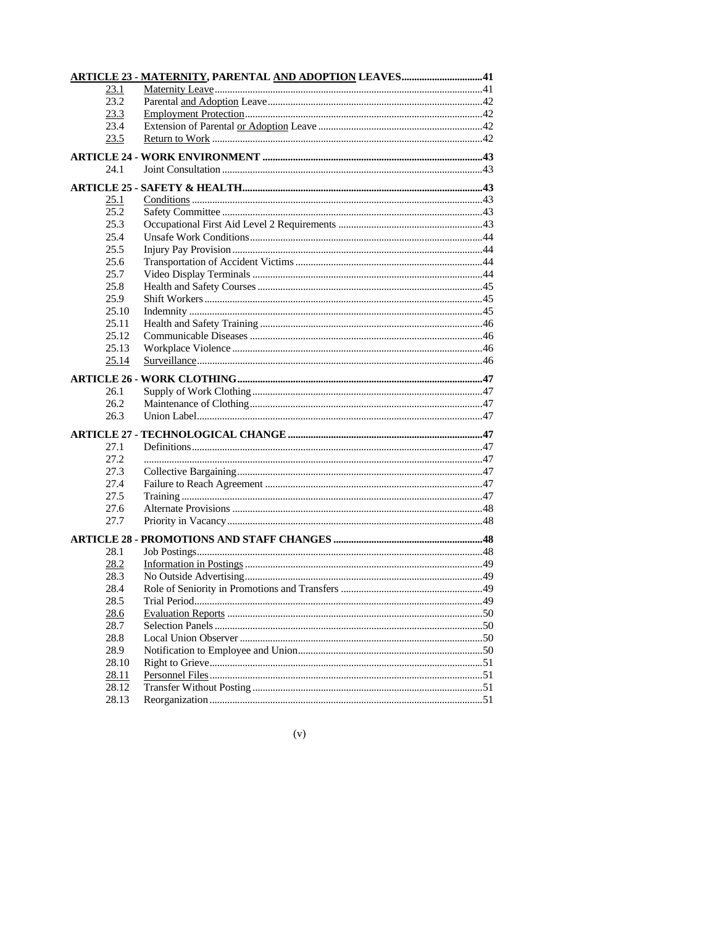|              | <b>ARTICLE 23 - MATERNITY, PARENTAL AND ADOPTION LEAVES41</b> |  |
|--------------|---------------------------------------------------------------|--|
| 23.1         |                                                               |  |
| 23.2         |                                                               |  |
| 23.3         |                                                               |  |
| 23.4         |                                                               |  |
| 23.5         |                                                               |  |
|              |                                                               |  |
| 24.1         |                                                               |  |
|              |                                                               |  |
|              |                                                               |  |
| 25.1<br>25.2 |                                                               |  |
| 25.3         |                                                               |  |
| 25.4         |                                                               |  |
| 25.5         |                                                               |  |
|              |                                                               |  |
| 25.6<br>25.7 |                                                               |  |
|              |                                                               |  |
| 25.8         |                                                               |  |
| 25.9         |                                                               |  |
| 25.10        |                                                               |  |
| 25.11        |                                                               |  |
| 25.12        |                                                               |  |
| 25.13        |                                                               |  |
| 25.14        |                                                               |  |
|              |                                                               |  |
| 26.1         |                                                               |  |
| 26.2         |                                                               |  |
| 26.3         |                                                               |  |
|              |                                                               |  |
| 27.1         |                                                               |  |
| 27.2         |                                                               |  |
| 27.3         |                                                               |  |
| 27.4         |                                                               |  |
| 27.5         |                                                               |  |
| 27.6         |                                                               |  |
| 27.7         |                                                               |  |
|              |                                                               |  |
| 28.1         |                                                               |  |
|              |                                                               |  |
| 28.2<br>28.3 |                                                               |  |
| 28.4         |                                                               |  |
| 28.5         |                                                               |  |
|              |                                                               |  |
| 28.6<br>28.7 |                                                               |  |
| 28.8         |                                                               |  |
| 28.9         |                                                               |  |
|              |                                                               |  |
| 28.10        |                                                               |  |
| 28.11        |                                                               |  |
| 28.12        |                                                               |  |
| 28.13        |                                                               |  |

| × | × | I<br>I<br>۹ |
|---|---|-------------|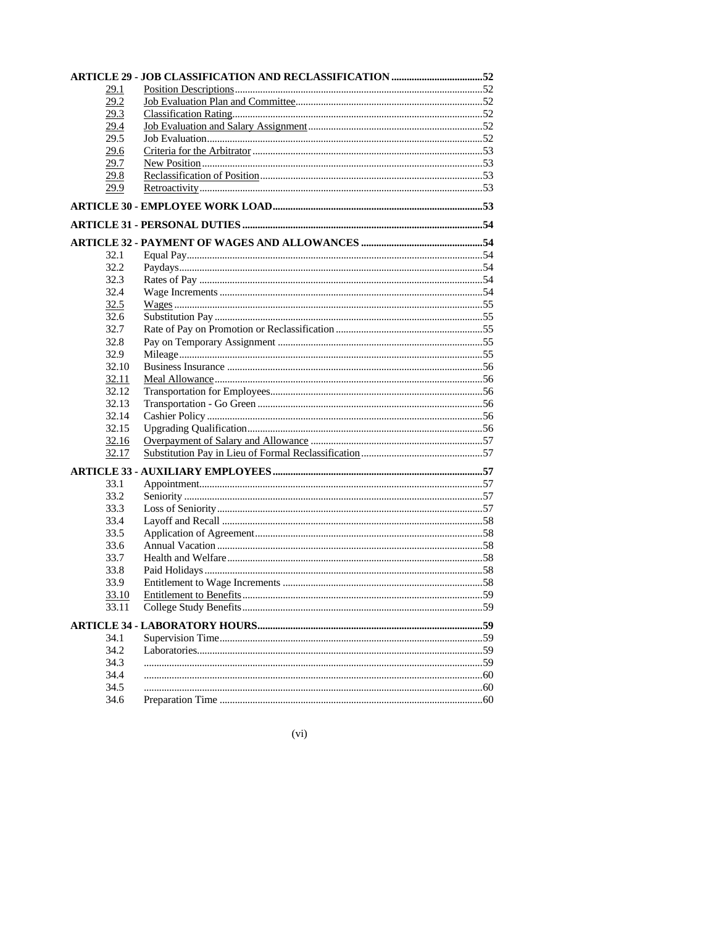| 29.1  |  |
|-------|--|
| 29.2  |  |
| 29.3  |  |
| 29.4  |  |
| 29.5  |  |
| 29.6  |  |
| 29.7  |  |
| 29.8  |  |
| 29.9  |  |
|       |  |
|       |  |
|       |  |
| 32.1  |  |
| 32.2  |  |
| 32.3  |  |
| 32.4  |  |
| 32.5  |  |
| 32.6  |  |
| 32.7  |  |
| 32.8  |  |
| 32.9  |  |
| 32.10 |  |
| 32.11 |  |
| 32.12 |  |
| 32.13 |  |
| 32.14 |  |
| 32.15 |  |
| 32.16 |  |
| 32.17 |  |
|       |  |
| 33.1  |  |
| 33.2  |  |
| 33.3  |  |
| 33.4  |  |
| 33.5  |  |
| 33.6  |  |
| 33.7  |  |
| 33.8  |  |
| 33.9  |  |
|       |  |
| 33.11 |  |
|       |  |
| 34.1  |  |
| 34.2  |  |
| 34.3  |  |
| 34.4  |  |
| 34.5  |  |
| 34.6  |  |

 $(vi)$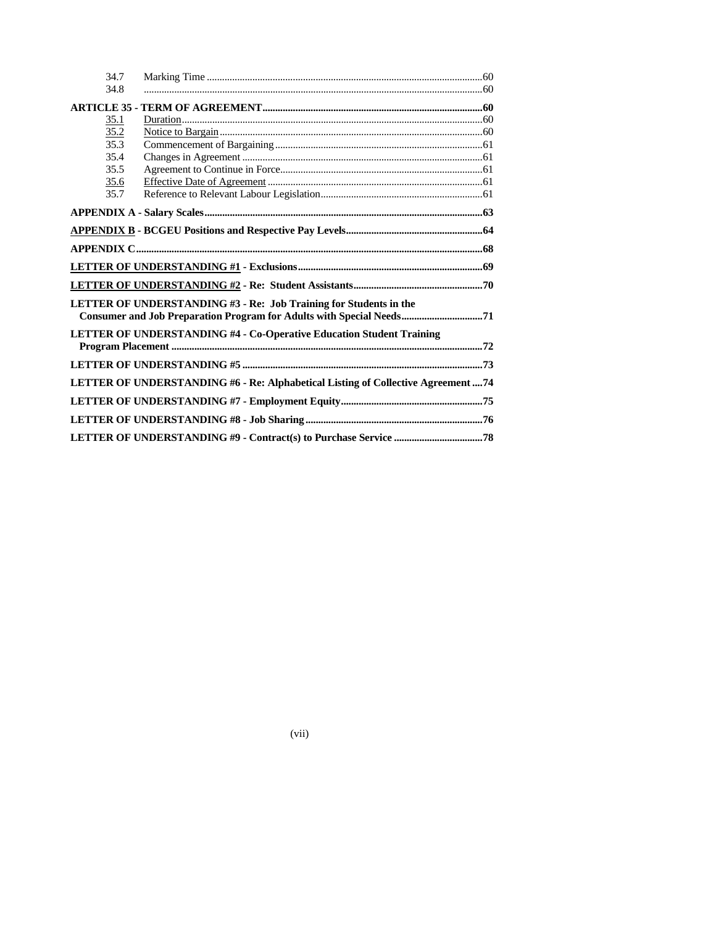| 34.7 |                                                                                                                                           |  |
|------|-------------------------------------------------------------------------------------------------------------------------------------------|--|
| 34.8 |                                                                                                                                           |  |
|      |                                                                                                                                           |  |
| 35.1 |                                                                                                                                           |  |
| 35.2 |                                                                                                                                           |  |
| 35.3 |                                                                                                                                           |  |
| 35.4 |                                                                                                                                           |  |
| 35.5 |                                                                                                                                           |  |
| 35.6 |                                                                                                                                           |  |
| 35.7 |                                                                                                                                           |  |
|      |                                                                                                                                           |  |
|      |                                                                                                                                           |  |
|      |                                                                                                                                           |  |
|      |                                                                                                                                           |  |
|      |                                                                                                                                           |  |
|      | LETTER OF UNDERSTANDING #3 - Re: Job Training for Students in the<br>Consumer and Job Preparation Program for Adults with Special Needs71 |  |
|      | LETTER OF UNDERSTANDING #4 - Co-Operative Education Student Training                                                                      |  |
|      |                                                                                                                                           |  |
|      |                                                                                                                                           |  |
|      | LETTER OF UNDERSTANDING #6 - Re: Alphabetical Listing of Collective Agreement 74                                                          |  |
|      |                                                                                                                                           |  |
|      |                                                                                                                                           |  |
|      |                                                                                                                                           |  |

 $(vii)$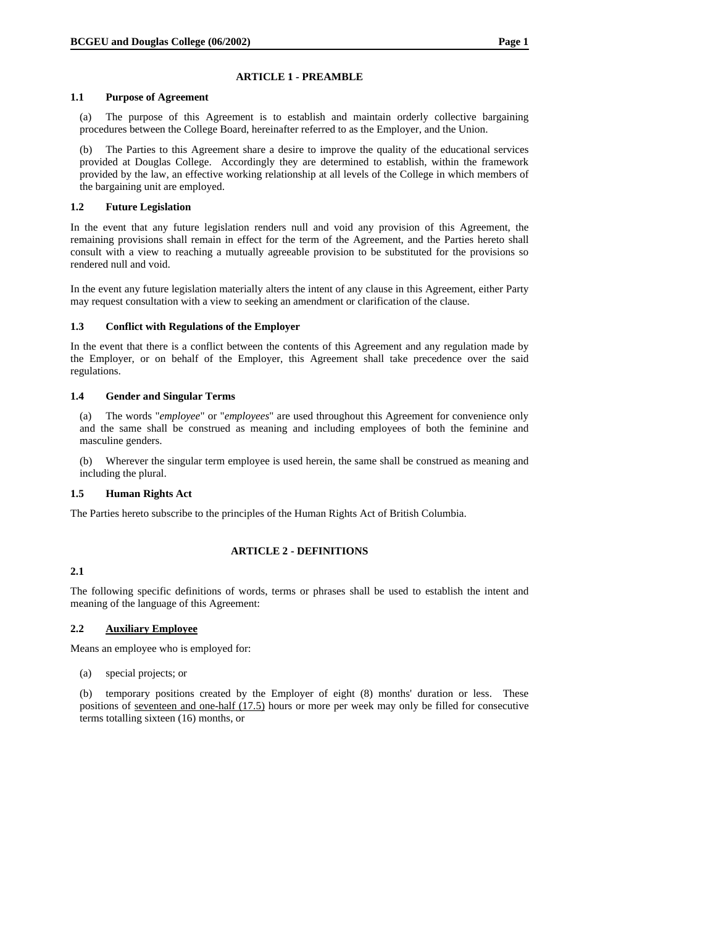### **ARTICLE 1 - PREAMBLE**

### **1.1 Purpose of Agreement**

(a) The purpose of this Agreement is to establish and maintain orderly collective bargaining procedures between the College Board, hereinafter referred to as the Employer, and the Union.

(b) The Parties to this Agreement share a desire to improve the quality of the educational services provided at Douglas College. Accordingly they are determined to establish, within the framework provided by the law, an effective working relationship at all levels of the College in which members of the bargaining unit are employed.

### **1.2 Future Legislation**

In the event that any future legislation renders null and void any provision of this Agreement, the remaining provisions shall remain in effect for the term of the Agreement, and the Parties hereto shall consult with a view to reaching a mutually agreeable provision to be substituted for the provisions so rendered null and void.

In the event any future legislation materially alters the intent of any clause in this Agreement, either Party may request consultation with a view to seeking an amendment or clarification of the clause.

### **1.3 Conflict with Regulations of the Employer**

In the event that there is a conflict between the contents of this Agreement and any regulation made by the Employer, or on behalf of the Employer, this Agreement shall take precedence over the said regulations.

### **1.4 Gender and Singular Terms**

(a) The words "*employee*" or "*employees*" are used throughout this Agreement for convenience only and the same shall be construed as meaning and including employees of both the feminine and masculine genders.

(b) Wherever the singular term employee is used herein, the same shall be construed as meaning and including the plural.

# **1.5 Human Rights Act**

The Parties hereto subscribe to the principles of the Human Rights Act of British Columbia.

# **ARTICLE 2 - DEFINITIONS**

# **2.1**

The following specific definitions of words, terms or phrases shall be used to establish the intent and meaning of the language of this Agreement:

# **2.2 Auxiliary Employee**

Means an employee who is employed for:

(a) special projects; or

(b) temporary positions created by the Employer of eight (8) months' duration or less. These positions of seventeen and one-half (17.5) hours or more per week may only be filled for consecutive terms totalling sixteen (16) months, or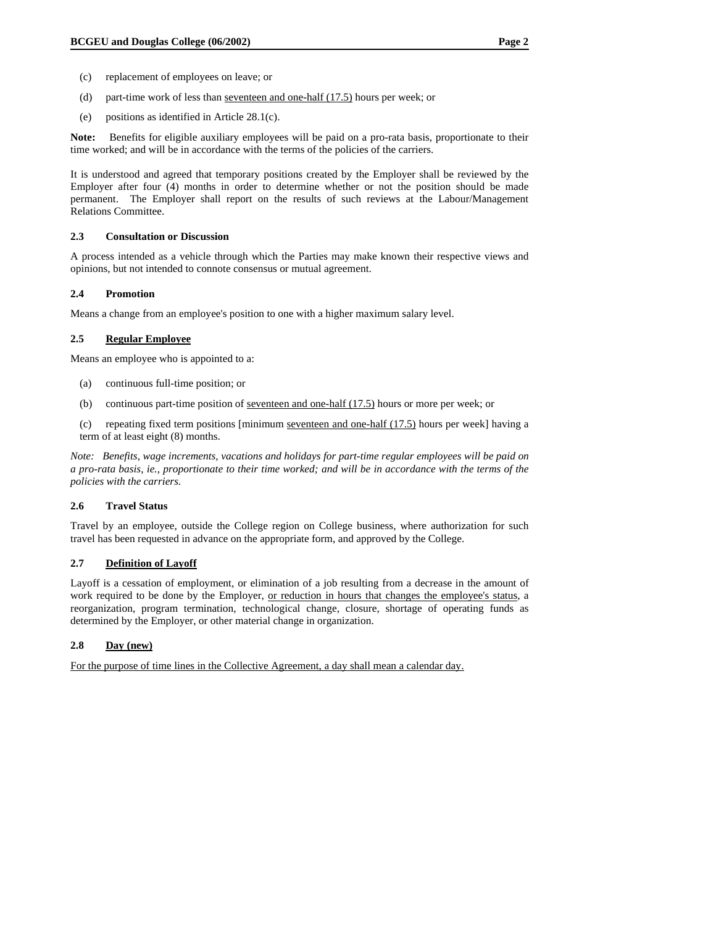- (c) replacement of employees on leave; or
- (d) part-time work of less than seventeen and one-half (17.5) hours per week; or
- (e) positions as identified in Article 28.1(c).

**Note:** Benefits for eligible auxiliary employees will be paid on a pro-rata basis, proportionate to their time worked; and will be in accordance with the terms of the policies of the carriers.

It is understood and agreed that temporary positions created by the Employer shall be reviewed by the Employer after four (4) months in order to determine whether or not the position should be made permanent. The Employer shall report on the results of such reviews at the Labour/Management Relations Committee.

#### **2.3 Consultation or Discussion**

A process intended as a vehicle through which the Parties may make known their respective views and opinions, but not intended to connote consensus or mutual agreement.

#### **2.4 Promotion**

Means a change from an employee's position to one with a higher maximum salary level.

#### **2.5 Regular Employee**

Means an employee who is appointed to a:

- (a) continuous full-time position; or
- (b) continuous part-time position of <u>seventeen and one-half  $(17.5)$ </u> hours or more per week; or

(c) repeating fixed term positions [minimum <u>seventeen and one-half  $(17.5)$ </u> hours per week] having a term of at least eight (8) months.

*Note: Benefits, wage increments, vacations and holidays for part-time regular employees will be paid on a pro-rata basis, ie., proportionate to their time worked; and will be in accordance with the terms of the policies with the carriers.* 

### **2.6 Travel Status**

Travel by an employee, outside the College region on College business, where authorization for such travel has been requested in advance on the appropriate form, and approved by the College.

#### **2.7 Definition of Layoff**

Layoff is a cessation of employment, or elimination of a job resulting from a decrease in the amount of work required to be done by the Employer, <u>or reduction in hours that changes the employee's status</u>, a reorganization, program termination, technological change, closure, shortage of operating funds as determined by the Employer, or other material change in organization.

# **2.8 Day (new)**

For the purpose of time lines in the Collective Agreement, a day shall mean a calendar day.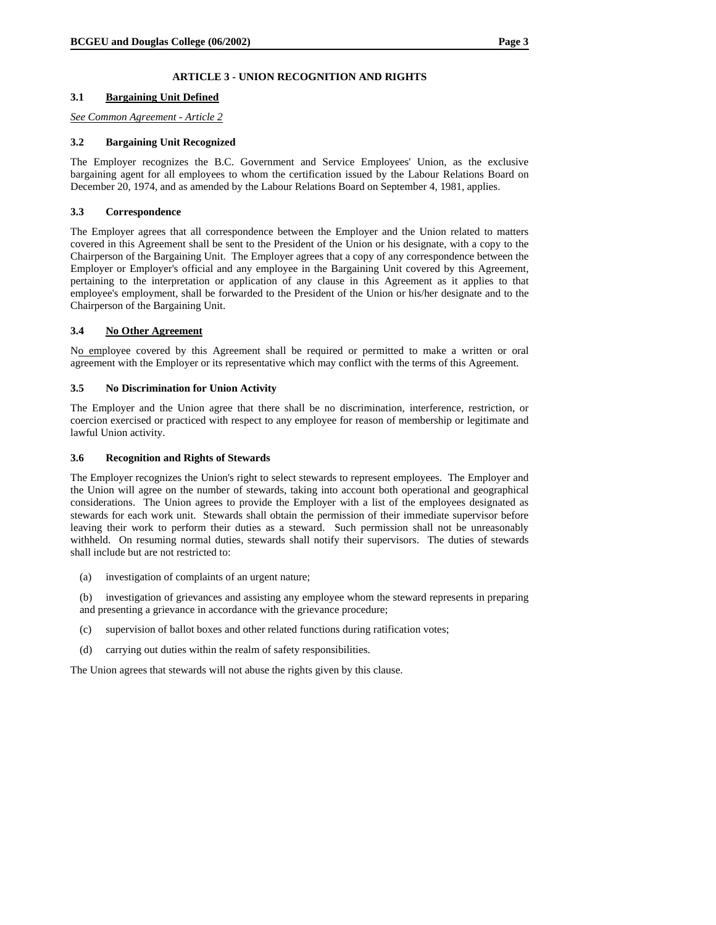# **ARTICLE 3 - UNION RECOGNITION AND RIGHTS**

### **3.1 Bargaining Unit Defined**

*See Common Agreement - Article 2*

### **3.2 Bargaining Unit Recognized**

The Employer recognizes the B.C. Government and Service Employees' Union, as the exclusive bargaining agent for all employees to whom the certification issued by the Labour Relations Board on December 20, 1974, and as amended by the Labour Relations Board on September 4, 1981, applies.

### **3.3 Correspondence**

The Employer agrees that all correspondence between the Employer and the Union related to matters covered in this Agreement shall be sent to the President of the Union or his designate, with a copy to the Chairperson of the Bargaining Unit. The Employer agrees that a copy of any correspondence between the Employer or Employer's official and any employee in the Bargaining Unit covered by this Agreement, pertaining to the interpretation or application of any clause in this Agreement as it applies to that employee's employment, shall be forwarded to the President of the Union or his/her designate and to the Chairperson of the Bargaining Unit.

### **3.4 No Other Agreement**

No employee covered by this Agreement shall be required or permitted to make a written or oral agreement with the Employer or its representative which may conflict with the terms of this Agreement.

#### **3.5 No Discrimination for Union Activity**

The Employer and the Union agree that there shall be no discrimination, interference, restriction, or coercion exercised or practiced with respect to any employee for reason of membership or legitimate and lawful Union activity.

### **3.6 Recognition and Rights of Stewards**

The Employer recognizes the Union's right to select stewards to represent employees. The Employer and the Union will agree on the number of stewards, taking into account both operational and geographical considerations. The Union agrees to provide the Employer with a list of the employees designated as stewards for each work unit. Stewards shall obtain the permission of their immediate supervisor before leaving their work to perform their duties as a steward. Such permission shall not be unreasonably withheld. On resuming normal duties, stewards shall notify their supervisors. The duties of stewards shall include but are not restricted to:

(a) investigation of complaints of an urgent nature;

(b) investigation of grievances and assisting any employee whom the steward represents in preparing and presenting a grievance in accordance with the grievance procedure;

- (c) supervision of ballot boxes and other related functions during ratification votes;
- (d) carrying out duties within the realm of safety responsibilities.

The Union agrees that stewards will not abuse the rights given by this clause.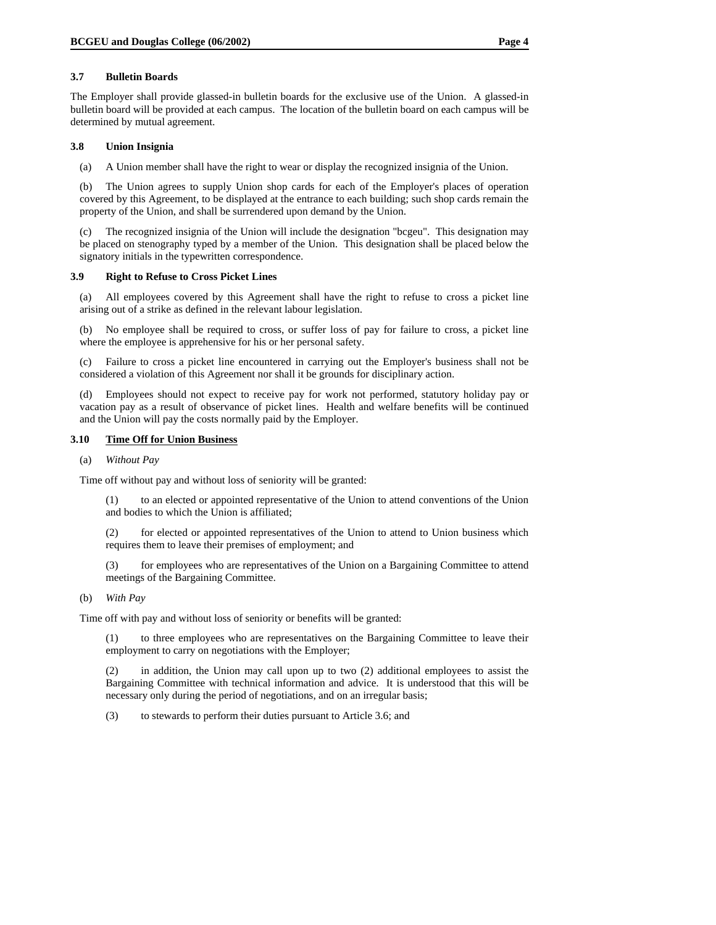### **3.7 Bulletin Boards**

The Employer shall provide glassed-in bulletin boards for the exclusive use of the Union. A glassed-in bulletin board will be provided at each campus. The location of the bulletin board on each campus will be determined by mutual agreement.

### **3.8 Union Insignia**

(a) A Union member shall have the right to wear or display the recognized insignia of the Union.

(b) The Union agrees to supply Union shop cards for each of the Employer's places of operation covered by this Agreement, to be displayed at the entrance to each building; such shop cards remain the property of the Union, and shall be surrendered upon demand by the Union.

(c) The recognized insignia of the Union will include the designation "bcgeu". This designation may be placed on stenography typed by a member of the Union. This designation shall be placed below the signatory initials in the typewritten correspondence.

### **3.9 Right to Refuse to Cross Picket Lines**

(a) All employees covered by this Agreement shall have the right to refuse to cross a picket line arising out of a strike as defined in the relevant labour legislation.

(b) No employee shall be required to cross, or suffer loss of pay for failure to cross, a picket line where the employee is apprehensive for his or her personal safety.

(c) Failure to cross a picket line encountered in carrying out the Employer's business shall not be considered a violation of this Agreement nor shall it be grounds for disciplinary action.

(d) Employees should not expect to receive pay for work not performed, statutory holiday pay or vacation pay as a result of observance of picket lines. Health and welfare benefits will be continued and the Union will pay the costs normally paid by the Employer.

# **3.10 Time Off for Union Business**

### (a) *Without Pay*

Time off without pay and without loss of seniority will be granted:

(1) to an elected or appointed representative of the Union to attend conventions of the Union and bodies to which the Union is affiliated;

(2) for elected or appointed representatives of the Union to attend to Union business which requires them to leave their premises of employment; and

(3) for employees who are representatives of the Union on a Bargaining Committee to attend meetings of the Bargaining Committee.

#### (b) *With Pay*

Time off with pay and without loss of seniority or benefits will be granted:

(1) to three employees who are representatives on the Bargaining Committee to leave their employment to carry on negotiations with the Employer;

(2) in addition, the Union may call upon up to two (2) additional employees to assist the Bargaining Committee with technical information and advice. It is understood that this will be necessary only during the period of negotiations, and on an irregular basis;

(3) to stewards to perform their duties pursuant to Article 3.6; and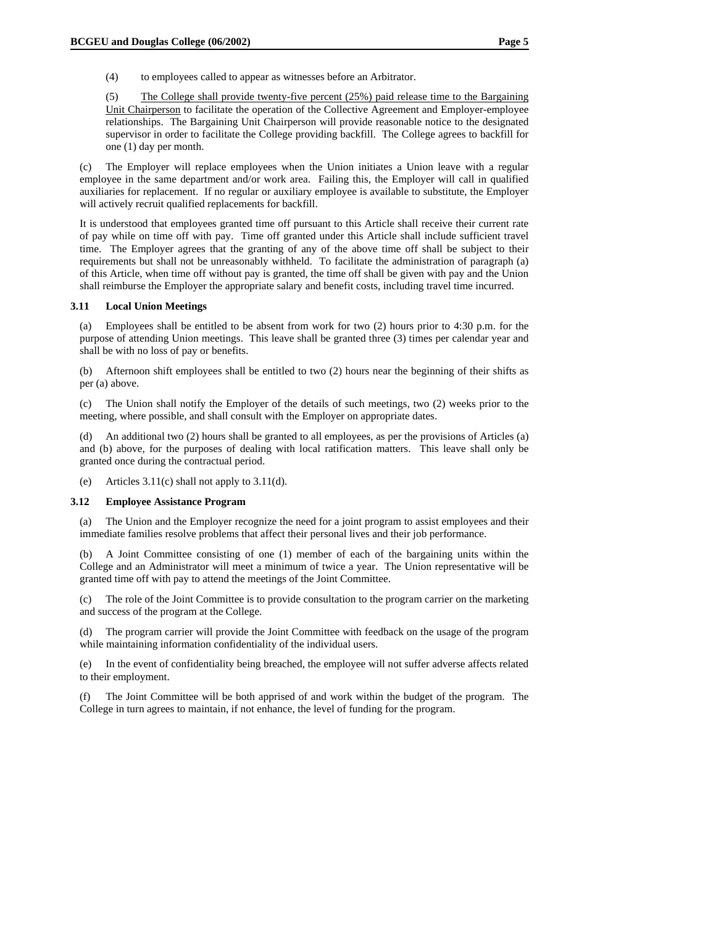(4) to employees called to appear as witnesses before an Arbitrator.

(5) The College shall provide twenty-five percent (25%) paid release time to the Bargaining Unit Chairperson to facilitate the operation of the Collective Agreement and Employer-employee relationships. The Bargaining Unit Chairperson will provide reasonable notice to the designated supervisor in order to facilitate the College providing backfill. The College agrees to backfill for one (1) day per month.

(c) The Employer will replace employees when the Union initiates a Union leave with a regular employee in the same department and/or work area. Failing this, the Employer will call in qualified auxiliaries for replacement. If no regular or auxiliary employee is available to substitute, the Employer will actively recruit qualified replacements for backfill.

It is understood that employees granted time off pursuant to this Article shall receive their current rate of pay while on time off with pay. Time off granted under this Article shall include sufficient travel time. The Employer agrees that the granting of any of the above time off shall be subject to their requirements but shall not be unreasonably withheld. To facilitate the administration of paragraph (a) of this Article, when time off without pay is granted, the time off shall be given with pay and the Union shall reimburse the Employer the appropriate salary and benefit costs, including travel time incurred.

### **3.11 Local Union Meetings**

(a) Employees shall be entitled to be absent from work for two (2) hours prior to 4:30 p.m. for the purpose of attending Union meetings. This leave shall be granted three (3) times per calendar year and shall be with no loss of pay or benefits.

(b) Afternoon shift employees shall be entitled to two (2) hours near the beginning of their shifts as per (a) above.

(c) The Union shall notify the Employer of the details of such meetings, two (2) weeks prior to the meeting, where possible, and shall consult with the Employer on appropriate dates.

(d) An additional two (2) hours shall be granted to all employees, as per the provisions of Articles (a) and (b) above, for the purposes of dealing with local ratification matters. This leave shall only be granted once during the contractual period.

(e) Articles 3.11(c) shall not apply to 3.11(d).

# **3.12 Employee Assistance Program**

(a) The Union and the Employer recognize the need for a joint program to assist employees and their immediate families resolve problems that affect their personal lives and their job performance.

(b) A Joint Committee consisting of one (1) member of each of the bargaining units within the College and an Administrator will meet a minimum of twice a year. The Union representative will be granted time off with pay to attend the meetings of the Joint Committee.

(c) The role of the Joint Committee is to provide consultation to the program carrier on the marketing and success of the program at the College.

(d) The program carrier will provide the Joint Committee with feedback on the usage of the program while maintaining information confidentiality of the individual users.

(e) In the event of confidentiality being breached, the employee will not suffer adverse affects related to their employment.

(f) The Joint Committee will be both apprised of and work within the budget of the program. The College in turn agrees to maintain, if not enhance, the level of funding for the program.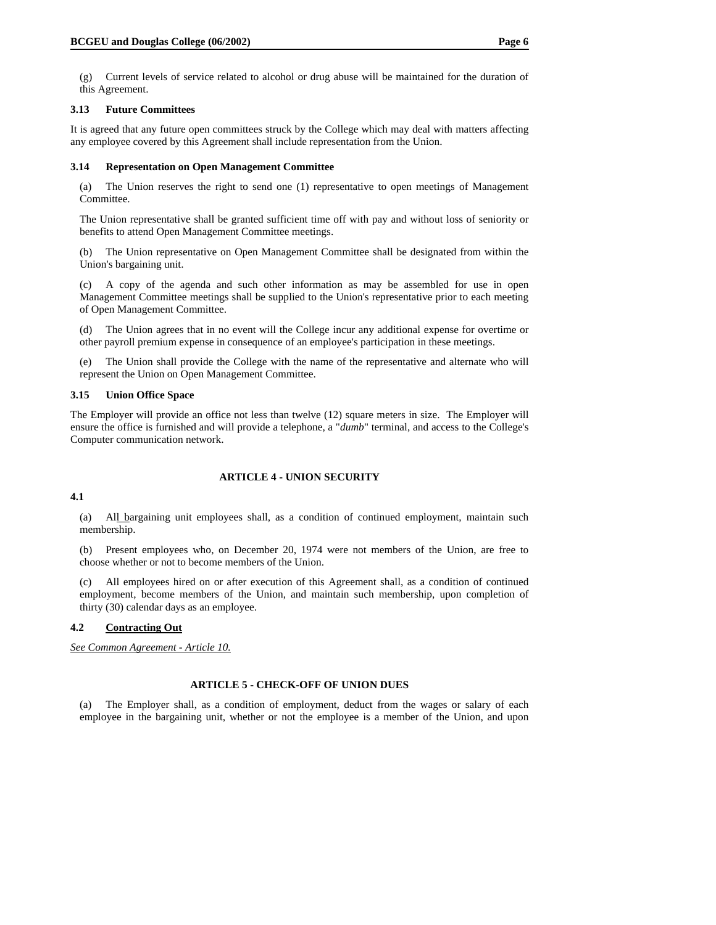(g) Current levels of service related to alcohol or drug abuse will be maintained for the duration of this Agreement.

### **3.13 Future Committees**

It is agreed that any future open committees struck by the College which may deal with matters affecting any employee covered by this Agreement shall include representation from the Union.

### **3.14 Representation on Open Management Committee**

(a) The Union reserves the right to send one (1) representative to open meetings of Management Committee.

The Union representative shall be granted sufficient time off with pay and without loss of seniority or benefits to attend Open Management Committee meetings.

(b) The Union representative on Open Management Committee shall be designated from within the Union's bargaining unit.

(c) A copy of the agenda and such other information as may be assembled for use in open Management Committee meetings shall be supplied to the Union's representative prior to each meeting of Open Management Committee.

(d) The Union agrees that in no event will the College incur any additional expense for overtime or other payroll premium expense in consequence of an employee's participation in these meetings.

(e) The Union shall provide the College with the name of the representative and alternate who will represent the Union on Open Management Committee.

### **3.15 Union Office Space**

The Employer will provide an office not less than twelve (12) square meters in size. The Employer will ensure the office is furnished and will provide a telephone, a "*dumb*" terminal, and access to the College's Computer communication network.

# **ARTICLE 4 - UNION SECURITY**

# **4.1**

(a) All bargaining unit employees shall, as a condition of continued employment, maintain such membership.

(b) Present employees who, on December 20, 1974 were not members of the Union, are free to choose whether or not to become members of the Union.

(c) All employees hired on or after execution of this Agreement shall, as a condition of continued employment, become members of the Union, and maintain such membership, upon completion of thirty (30) calendar days as an employee.

# **4.2 Contracting Out**

*See Common Agreement - Article 10.*

# **ARTICLE 5 - CHECK-OFF OF UNION DUES**

(a) The Employer shall, as a condition of employment, deduct from the wages or salary of each employee in the bargaining unit, whether or not the employee is a member of the Union, and upon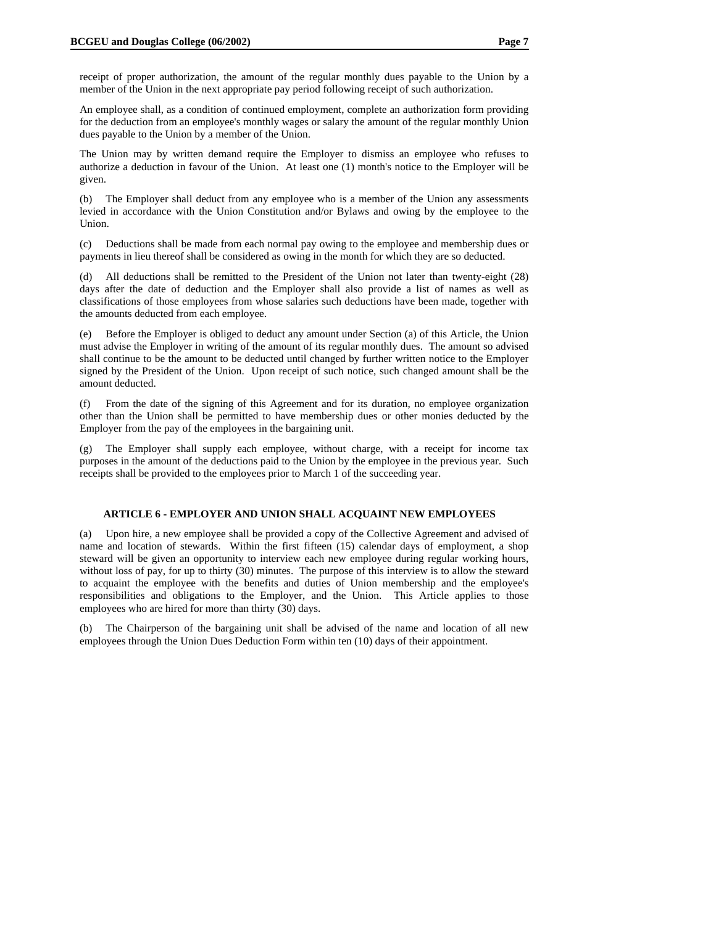An employee shall, as a condition of continued employment, complete an authorization form providing for the deduction from an employee's monthly wages or salary the amount of the regular monthly Union dues payable to the Union by a member of the Union.

The Union may by written demand require the Employer to dismiss an employee who refuses to authorize a deduction in favour of the Union. At least one (1) month's notice to the Employer will be given.

(b) The Employer shall deduct from any employee who is a member of the Union any assessments levied in accordance with the Union Constitution and/or Bylaws and owing by the employee to the Union.

(c) Deductions shall be made from each normal pay owing to the employee and membership dues or payments in lieu thereof shall be considered as owing in the month for which they are so deducted.

(d) All deductions shall be remitted to the President of the Union not later than twenty-eight (28) days after the date of deduction and the Employer shall also provide a list of names as well as classifications of those employees from whose salaries such deductions have been made, together with the amounts deducted from each employee.

(e) Before the Employer is obliged to deduct any amount under Section (a) of this Article, the Union must advise the Employer in writing of the amount of its regular monthly dues. The amount so advised shall continue to be the amount to be deducted until changed by further written notice to the Employer signed by the President of the Union. Upon receipt of such notice, such changed amount shall be the amount deducted.

(f) From the date of the signing of this Agreement and for its duration, no employee organization other than the Union shall be permitted to have membership dues or other monies deducted by the Employer from the pay of the employees in the bargaining unit.

(g) The Employer shall supply each employee, without charge, with a receipt for income tax purposes in the amount of the deductions paid to the Union by the employee in the previous year. Such receipts shall be provided to the employees prior to March 1 of the succeeding year.

# **ARTICLE 6 - EMPLOYER AND UNION SHALL ACQUAINT NEW EMPLOYEES**

(a) Upon hire, a new employee shall be provided a copy of the Collective Agreement and advised of name and location of stewards. Within the first fifteen (15) calendar days of employment, a shop steward will be given an opportunity to interview each new employee during regular working hours, without loss of pay, for up to thirty (30) minutes. The purpose of this interview is to allow the steward to acquaint the employee with the benefits and duties of Union membership and the employee's responsibilities and obligations to the Employer, and the Union. This Article applies to those employees who are hired for more than thirty (30) days.

(b) The Chairperson of the bargaining unit shall be advised of the name and location of all new employees through the Union Dues Deduction Form within ten (10) days of their appointment.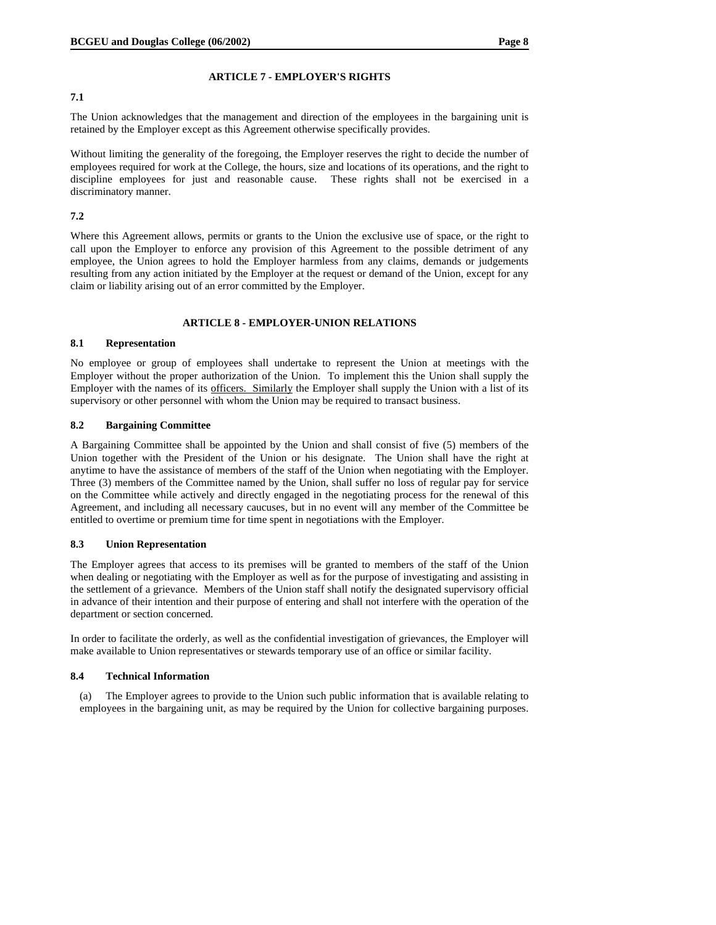### **ARTICLE 7 - EMPLOYER'S RIGHTS**

### **7.1**

The Union acknowledges that the management and direction of the employees in the bargaining unit is retained by the Employer except as this Agreement otherwise specifically provides.

Without limiting the generality of the foregoing, the Employer reserves the right to decide the number of employees required for work at the College, the hours, size and locations of its operations, and the right to discipline employees for just and reasonable cause. These rights shall not be exercised in a discriminatory manner.

# **7.2**

Where this Agreement allows, permits or grants to the Union the exclusive use of space, or the right to call upon the Employer to enforce any provision of this Agreement to the possible detriment of any employee, the Union agrees to hold the Employer harmless from any claims, demands or judgements resulting from any action initiated by the Employer at the request or demand of the Union, except for any claim or liability arising out of an error committed by the Employer.

# **ARTICLE 8 - EMPLOYER-UNION RELATIONS**

### **8.1 Representation**

No employee or group of employees shall undertake to represent the Union at meetings with the Employer without the proper authorization of the Union. To implement this the Union shall supply the Employer with the names of its officers. Similarly the Employer shall supply the Union with a list of its supervisory or other personnel with whom the Union may be required to transact business.

### **8.2 Bargaining Committee**

A Bargaining Committee shall be appointed by the Union and shall consist of five (5) members of the Union together with the President of the Union or his designate. The Union shall have the right at anytime to have the assistance of members of the staff of the Union when negotiating with the Employer. Three (3) members of the Committee named by the Union, shall suffer no loss of regular pay for service on the Committee while actively and directly engaged in the negotiating process for the renewal of this Agreement, and including all necessary caucuses, but in no event will any member of the Committee be entitled to overtime or premium time for time spent in negotiations with the Employer.

#### **8.3 Union Representation**

The Employer agrees that access to its premises will be granted to members of the staff of the Union when dealing or negotiating with the Employer as well as for the purpose of investigating and assisting in the settlement of a grievance. Members of the Union staff shall notify the designated supervisory official in advance of their intention and their purpose of entering and shall not interfere with the operation of the department or section concerned.

In order to facilitate the orderly, as well as the confidential investigation of grievances, the Employer will make available to Union representatives or stewards temporary use of an office or similar facility.

### **8.4 Technical Information**

(a) The Employer agrees to provide to the Union such public information that is available relating to employees in the bargaining unit, as may be required by the Union for collective bargaining purposes.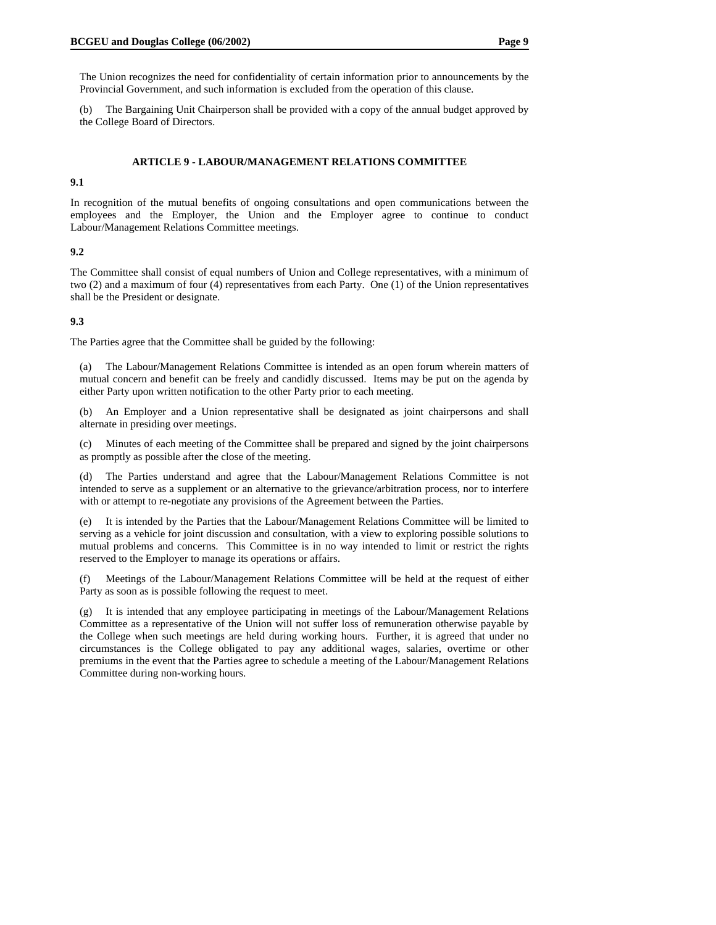The Union recognizes the need for confidentiality of certain information prior to announcements by the Provincial Government, and such information is excluded from the operation of this clause.

(b) The Bargaining Unit Chairperson shall be provided with a copy of the annual budget approved by the College Board of Directors.

#### **ARTICLE 9 - LABOUR/MANAGEMENT RELATIONS COMMITTEE**

#### **9.1**

In recognition of the mutual benefits of ongoing consultations and open communications between the employees and the Employer, the Union and the Employer agree to continue to conduct Labour/Management Relations Committee meetings.

### **9.2**

The Committee shall consist of equal numbers of Union and College representatives, with a minimum of two (2) and a maximum of four (4) representatives from each Party. One (1) of the Union representatives shall be the President or designate.

### **9.3**

The Parties agree that the Committee shall be guided by the following:

(a) The Labour/Management Relations Committee is intended as an open forum wherein matters of mutual concern and benefit can be freely and candidly discussed. Items may be put on the agenda by either Party upon written notification to the other Party prior to each meeting.

(b) An Employer and a Union representative shall be designated as joint chairpersons and shall alternate in presiding over meetings.

(c) Minutes of each meeting of the Committee shall be prepared and signed by the joint chairpersons as promptly as possible after the close of the meeting.

(d) The Parties understand and agree that the Labour/Management Relations Committee is not intended to serve as a supplement or an alternative to the grievance/arbitration process, nor to interfere with or attempt to re-negotiate any provisions of the Agreement between the Parties.

(e) It is intended by the Parties that the Labour/Management Relations Committee will be limited to serving as a vehicle for joint discussion and consultation, with a view to exploring possible solutions to mutual problems and concerns. This Committee is in no way intended to limit or restrict the rights reserved to the Employer to manage its operations or affairs.

(f) Meetings of the Labour/Management Relations Committee will be held at the request of either Party as soon as is possible following the request to meet.

(g) It is intended that any employee participating in meetings of the Labour/Management Relations Committee as a representative of the Union will not suffer loss of remuneration otherwise payable by the College when such meetings are held during working hours. Further, it is agreed that under no circumstances is the College obligated to pay any additional wages, salaries, overtime or other premiums in the event that the Parties agree to schedule a meeting of the Labour/Management Relations Committee during non-working hours.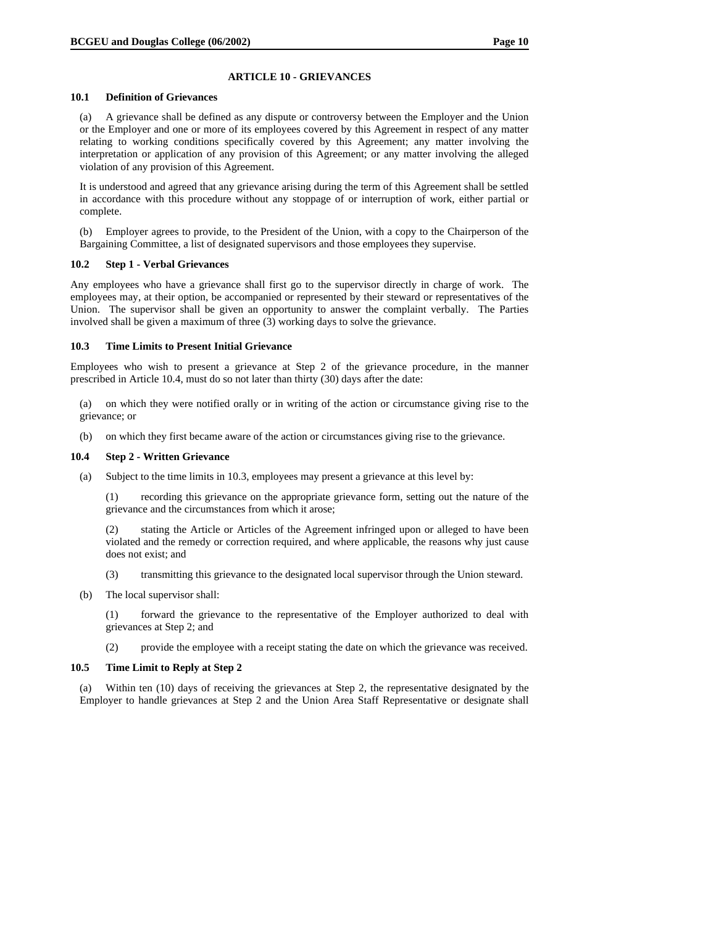# **ARTICLE 10 - GRIEVANCES**

### **10.1 Definition of Grievances**

(a) A grievance shall be defined as any dispute or controversy between the Employer and the Union or the Employer and one or more of its employees covered by this Agreement in respect of any matter relating to working conditions specifically covered by this Agreement; any matter involving the interpretation or application of any provision of this Agreement; or any matter involving the alleged violation of any provision of this Agreement.

It is understood and agreed that any grievance arising during the term of this Agreement shall be settled in accordance with this procedure without any stoppage of or interruption of work, either partial or complete.

(b) Employer agrees to provide, to the President of the Union, with a copy to the Chairperson of the Bargaining Committee, a list of designated supervisors and those employees they supervise.

# **10.2 Step 1 - Verbal Grievances**

Any employees who have a grievance shall first go to the supervisor directly in charge of work. The employees may, at their option, be accompanied or represented by their steward or representatives of the Union. The supervisor shall be given an opportunity to answer the complaint verbally. The Parties involved shall be given a maximum of three (3) working days to solve the grievance.

### **10.3 Time Limits to Present Initial Grievance**

Employees who wish to present a grievance at Step 2 of the grievance procedure, in the manner prescribed in Article 10.4, must do so not later than thirty (30) days after the date:

(a) on which they were notified orally or in writing of the action or circumstance giving rise to the grievance; or

(b) on which they first became aware of the action or circumstances giving rise to the grievance.

# **10.4 Step 2 - Written Grievance**

(a) Subject to the time limits in 10.3, employees may present a grievance at this level by:

(1) recording this grievance on the appropriate grievance form, setting out the nature of the grievance and the circumstances from which it arose;

(2) stating the Article or Articles of the Agreement infringed upon or alleged to have been violated and the remedy or correction required, and where applicable, the reasons why just cause does not exist; and

- (3) transmitting this grievance to the designated local supervisor through the Union steward.
- (b) The local supervisor shall:

(1) forward the grievance to the representative of the Employer authorized to deal with grievances at Step 2; and

(2) provide the employee with a receipt stating the date on which the grievance was received.

### **10.5 Time Limit to Reply at Step 2**

(a) Within ten (10) days of receiving the grievances at Step 2, the representative designated by the Employer to handle grievances at Step 2 and the Union Area Staff Representative or designate shall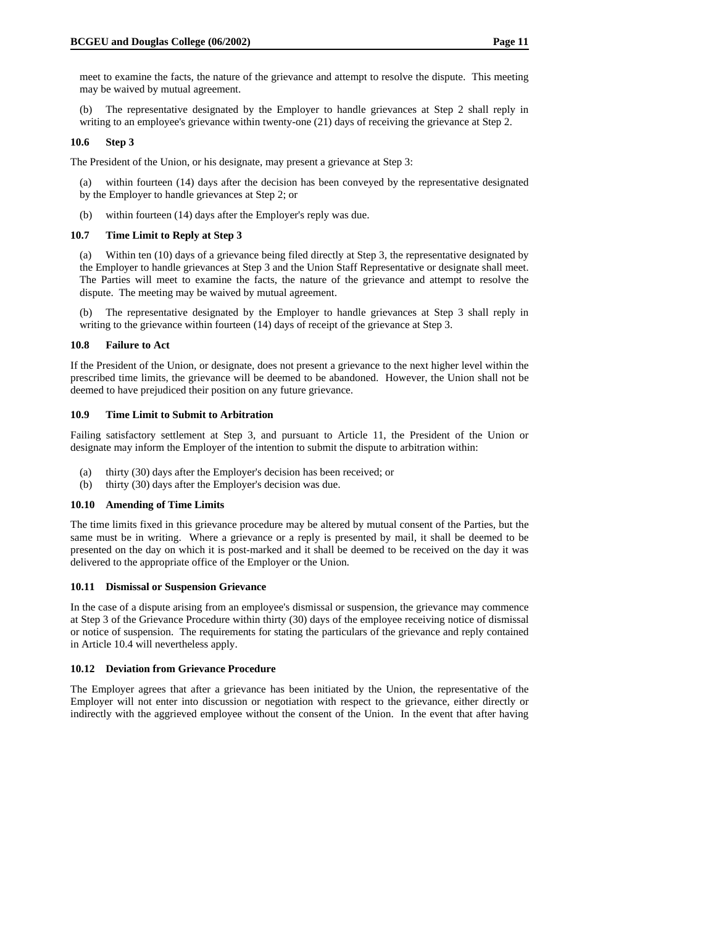meet to examine the facts, the nature of the grievance and attempt to resolve the dispute. This meeting may be waived by mutual agreement.

(b) The representative designated by the Employer to handle grievances at Step 2 shall reply in writing to an employee's grievance within twenty-one (21) days of receiving the grievance at Step 2.

#### **10.6 Step 3**

The President of the Union, or his designate, may present a grievance at Step 3:

(a) within fourteen (14) days after the decision has been conveyed by the representative designated by the Employer to handle grievances at Step 2; or

(b) within fourteen (14) days after the Employer's reply was due.

### **10.7 Time Limit to Reply at Step 3**

(a) Within ten (10) days of a grievance being filed directly at Step 3, the representative designated by the Employer to handle grievances at Step 3 and the Union Staff Representative or designate shall meet. The Parties will meet to examine the facts, the nature of the grievance and attempt to resolve the dispute. The meeting may be waived by mutual agreement.

(b) The representative designated by the Employer to handle grievances at Step 3 shall reply in writing to the grievance within fourteen (14) days of receipt of the grievance at Step 3.

### **10.8 Failure to Act**

If the President of the Union, or designate, does not present a grievance to the next higher level within the prescribed time limits, the grievance will be deemed to be abandoned. However, the Union shall not be deemed to have prejudiced their position on any future grievance.

#### **10.9 Time Limit to Submit to Arbitration**

Failing satisfactory settlement at Step 3, and pursuant to Article 11, the President of the Union or designate may inform the Employer of the intention to submit the dispute to arbitration within:

- (a) thirty (30) days after the Employer's decision has been received; or
- (b) thirty (30) days after the Employer's decision was due.

#### **10.10 Amending of Time Limits**

The time limits fixed in this grievance procedure may be altered by mutual consent of the Parties, but the same must be in writing. Where a grievance or a reply is presented by mail, it shall be deemed to be presented on the day on which it is post-marked and it shall be deemed to be received on the day it was delivered to the appropriate office of the Employer or the Union.

#### **10.11 Dismissal or Suspension Grievance**

In the case of a dispute arising from an employee's dismissal or suspension, the grievance may commence at Step 3 of the Grievance Procedure within thirty (30) days of the employee receiving notice of dismissal or notice of suspension. The requirements for stating the particulars of the grievance and reply contained in Article 10.4 will nevertheless apply.

#### **10.12 Deviation from Grievance Procedure**

The Employer agrees that after a grievance has been initiated by the Union, the representative of the Employer will not enter into discussion or negotiation with respect to the grievance, either directly or indirectly with the aggrieved employee without the consent of the Union. In the event that after having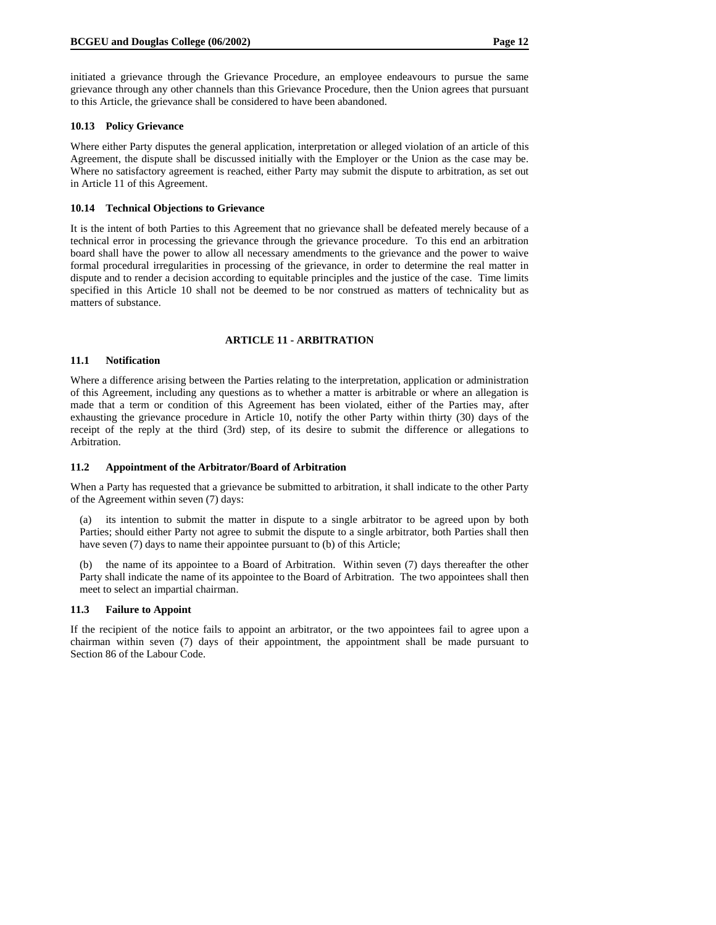initiated a grievance through the Grievance Procedure, an employee endeavours to pursue the same grievance through any other channels than this Grievance Procedure, then the Union agrees that pursuant to this Article, the grievance shall be considered to have been abandoned.

#### **10.13 Policy Grievance**

Where either Party disputes the general application, interpretation or alleged violation of an article of this Agreement, the dispute shall be discussed initially with the Employer or the Union as the case may be. Where no satisfactory agreement is reached, either Party may submit the dispute to arbitration, as set out in Article 11 of this Agreement.

#### **10.14 Technical Objections to Grievance**

It is the intent of both Parties to this Agreement that no grievance shall be defeated merely because of a technical error in processing the grievance through the grievance procedure. To this end an arbitration board shall have the power to allow all necessary amendments to the grievance and the power to waive formal procedural irregularities in processing of the grievance, in order to determine the real matter in dispute and to render a decision according to equitable principles and the justice of the case. Time limits specified in this Article 10 shall not be deemed to be nor construed as matters of technicality but as matters of substance.

# **ARTICLE 11 - ARBITRATION**

#### **11.1 Notification**

Where a difference arising between the Parties relating to the interpretation, application or administration of this Agreement, including any questions as to whether a matter is arbitrable or where an allegation is made that a term or condition of this Agreement has been violated, either of the Parties may, after exhausting the grievance procedure in Article 10, notify the other Party within thirty (30) days of the receipt of the reply at the third (3rd) step, of its desire to submit the difference or allegations to Arbitration.

#### **11.2 Appointment of the Arbitrator/Board of Arbitration**

When a Party has requested that a grievance be submitted to arbitration, it shall indicate to the other Party of the Agreement within seven (7) days:

(a) its intention to submit the matter in dispute to a single arbitrator to be agreed upon by both Parties; should either Party not agree to submit the dispute to a single arbitrator, both Parties shall then have seven (7) days to name their appointee pursuant to (b) of this Article;

(b) the name of its appointee to a Board of Arbitration. Within seven (7) days thereafter the other Party shall indicate the name of its appointee to the Board of Arbitration. The two appointees shall then meet to select an impartial chairman.

#### **11.3 Failure to Appoint**

If the recipient of the notice fails to appoint an arbitrator, or the two appointees fail to agree upon a chairman within seven (7) days of their appointment, the appointment shall be made pursuant to Section 86 of the Labour Code.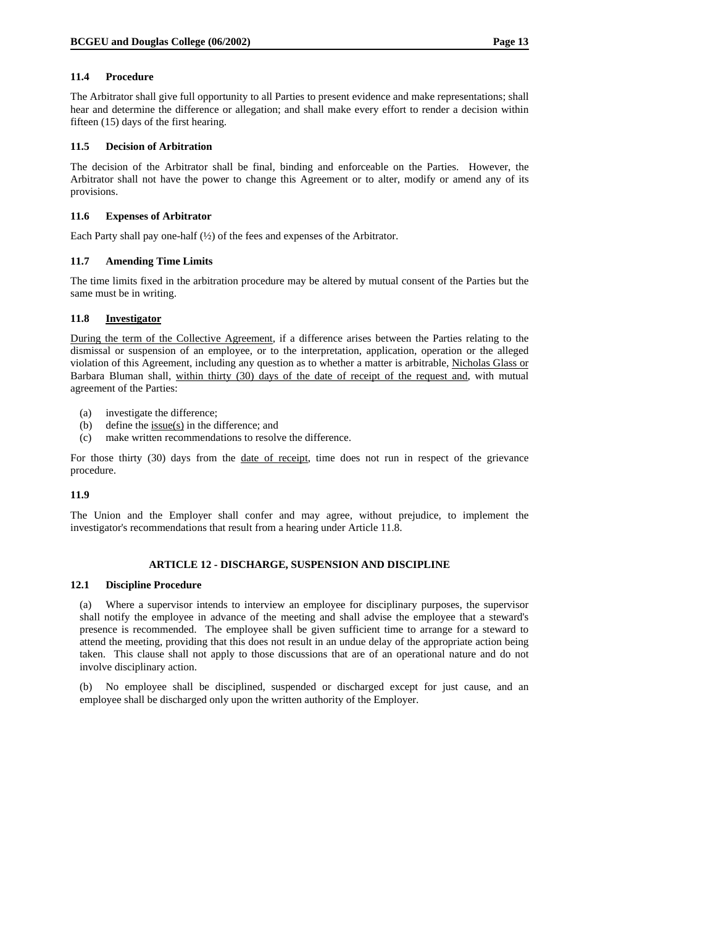# **11.4 Procedure**

The Arbitrator shall give full opportunity to all Parties to present evidence and make representations; shall hear and determine the difference or allegation; and shall make every effort to render a decision within fifteen (15) days of the first hearing.

### **11.5 Decision of Arbitration**

The decision of the Arbitrator shall be final, binding and enforceable on the Parties. However, the Arbitrator shall not have the power to change this Agreement or to alter, modify or amend any of its provisions.

### **11.6 Expenses of Arbitrator**

Each Party shall pay one-half (½) of the fees and expenses of the Arbitrator.

### **11.7 Amending Time Limits**

The time limits fixed in the arbitration procedure may be altered by mutual consent of the Parties but the same must be in writing.

# **11.8 Investigator**

During the term of the Collective Agreement, if a difference arises between the Parties relating to the dismissal or suspension of an employee, or to the interpretation, application, operation or the alleged violation of this Agreement, including any question as to whether a matter is arbitrable, Nicholas Glass or Barbara Bluman shall, within thirty (30) days of the date of receipt of the request and, with mutual agreement of the Parties:

- (a) investigate the difference;
- (b) define the  $issue(s)$  in the difference; and
- (c) make written recommendations to resolve the difference.

For those thirty (30) days from the <u>date of receipt</u>, time does not run in respect of the grievance procedure.

# **11.9**

The Union and the Employer shall confer and may agree, without prejudice, to implement the investigator's recommendations that result from a hearing under Article 11.8.

# **ARTICLE 12 - DISCHARGE, SUSPENSION AND DISCIPLINE**

#### **12.1 Discipline Procedure**

(a) Where a supervisor intends to interview an employee for disciplinary purposes, the supervisor shall notify the employee in advance of the meeting and shall advise the employee that a steward's presence is recommended. The employee shall be given sufficient time to arrange for a steward to attend the meeting, providing that this does not result in an undue delay of the appropriate action being taken. This clause shall not apply to those discussions that are of an operational nature and do not involve disciplinary action.

(b) No employee shall be disciplined, suspended or discharged except for just cause, and an employee shall be discharged only upon the written authority of the Employer.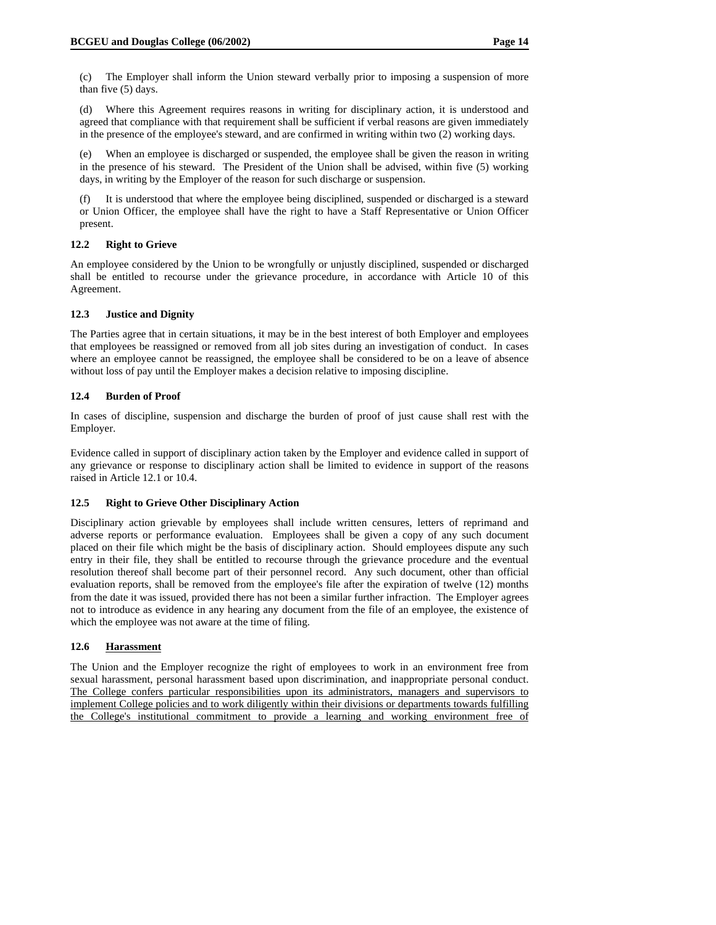(c) The Employer shall inform the Union steward verbally prior to imposing a suspension of more than five (5) days.

(d) Where this Agreement requires reasons in writing for disciplinary action, it is understood and agreed that compliance with that requirement shall be sufficient if verbal reasons are given immediately in the presence of the employee's steward, and are confirmed in writing within two (2) working days.

(e) When an employee is discharged or suspended, the employee shall be given the reason in writing in the presence of his steward. The President of the Union shall be advised, within five (5) working days, in writing by the Employer of the reason for such discharge or suspension.

(f) It is understood that where the employee being disciplined, suspended or discharged is a steward or Union Officer, the employee shall have the right to have a Staff Representative or Union Officer present.

### **12.2 Right to Grieve**

An employee considered by the Union to be wrongfully or unjustly disciplined, suspended or discharged shall be entitled to recourse under the grievance procedure, in accordance with Article 10 of this Agreement.

### **12.3 Justice and Dignity**

The Parties agree that in certain situations, it may be in the best interest of both Employer and employees that employees be reassigned or removed from all job sites during an investigation of conduct. In cases where an employee cannot be reassigned, the employee shall be considered to be on a leave of absence without loss of pay until the Employer makes a decision relative to imposing discipline.

### **12.4 Burden of Proof**

In cases of discipline, suspension and discharge the burden of proof of just cause shall rest with the Employer.

Evidence called in support of disciplinary action taken by the Employer and evidence called in support of any grievance or response to disciplinary action shall be limited to evidence in support of the reasons raised in Article 12.1 or 10.4.

### **12.5 Right to Grieve Other Disciplinary Action**

Disciplinary action grievable by employees shall include written censures, letters of reprimand and adverse reports or performance evaluation. Employees shall be given a copy of any such document placed on their file which might be the basis of disciplinary action. Should employees dispute any such entry in their file, they shall be entitled to recourse through the grievance procedure and the eventual resolution thereof shall become part of their personnel record. Any such document, other than official evaluation reports, shall be removed from the employee's file after the expiration of twelve (12) months from the date it was issued, provided there has not been a similar further infraction. The Employer agrees not to introduce as evidence in any hearing any document from the file of an employee, the existence of which the employee was not aware at the time of filing.

# **12.6 Harassment**

The Union and the Employer recognize the right of employees to work in an environment free from sexual harassment, personal harassment based upon discrimination, and inappropriate personal conduct. The College confers particular responsibilities upon its administrators, managers and supervisors to implement College policies and to work diligently within their divisions or departments towards fulfilling the College's institutional commitment to provide a learning and working environment free of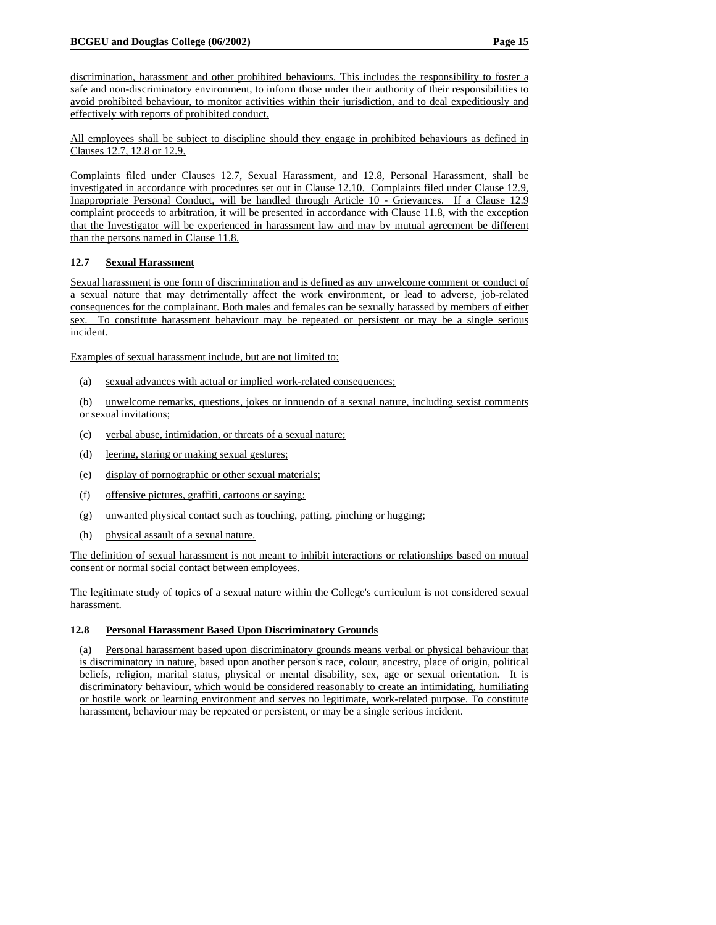discrimination, harassment and other prohibited behaviours. This includes the responsibility to foster a safe and non-discriminatory environment, to inform those under their authority of their responsibilities to avoid prohibited behaviour, to monitor activities within their jurisdiction, and to deal expeditiously and effectively with reports of prohibited conduct.

All employees shall be subject to discipline should they engage in prohibited behaviours as defined in Clauses 12.7, 12.8 or 12.9.

Complaints filed under Clauses 12.7, Sexual Harassment, and 12.8, Personal Harassment, shall be investigated in accordance with procedures set out in Clause 12.10. Complaints filed under Clause 12.9, Inappropriate Personal Conduct, will be handled through Article 10 - Grievances. If a Clause 12.9 complaint proceeds to arbitration, it will be presented in accordance with Clause 11.8, with the exception that the Investigator will be experienced in harassment law and may by mutual agreement be different than the persons named in Clause 11.8.

# **12.7 Sexual Harassment**

Sexual harassment is one form of discrimination and is defined as any unwelcome comment or conduct of a sexual nature that may detrimentally affect the work environment, or lead to adverse, job-related consequences for the complainant. Both males and females can be sexually harassed by members of either sex. To constitute harassment behaviour may be repeated or persistent or may be a single serious incident.

Examples of sexual harassment include, but are not limited to:

(a) sexual advances with actual or implied work-related consequences;

(b) unwelcome remarks, questions, jokes or innuendo of a sexual nature, including sexist comments or sexual invitations;

- (c) verbal abuse, intimidation, or threats of a sexual nature;
- (d) leering, staring or making sexual gestures;
- (e) display of pornographic or other sexual materials;
- (f) offensive pictures, graffiti, cartoons or saying;
- (g) unwanted physical contact such as touching, patting, pinching or hugging;
- (h) physical assault of a sexual nature.

The definition of sexual harassment is not meant to inhibit interactions or relationships based on mutual consent or normal social contact between employees.

The legitimate study of topics of a sexual nature within the College's curriculum is not considered sexual harassment.

# **12.8 Personal Harassment Based Upon Discriminatory Grounds**

(a) Personal harassment based upon discriminatory grounds means verbal or physical behaviour that is discriminatory in nature, based upon another person's race, colour, ancestry, place of origin, political beliefs, religion, marital status, physical or mental disability, sex, age or sexual orientation. It is discriminatory behaviour, which would be considered reasonably to create an intimidating, humiliating or hostile work or learning environment and serves no legitimate, work-related purpose. To constitute harassment, behaviour may be repeated or persistent, or may be a single serious incident.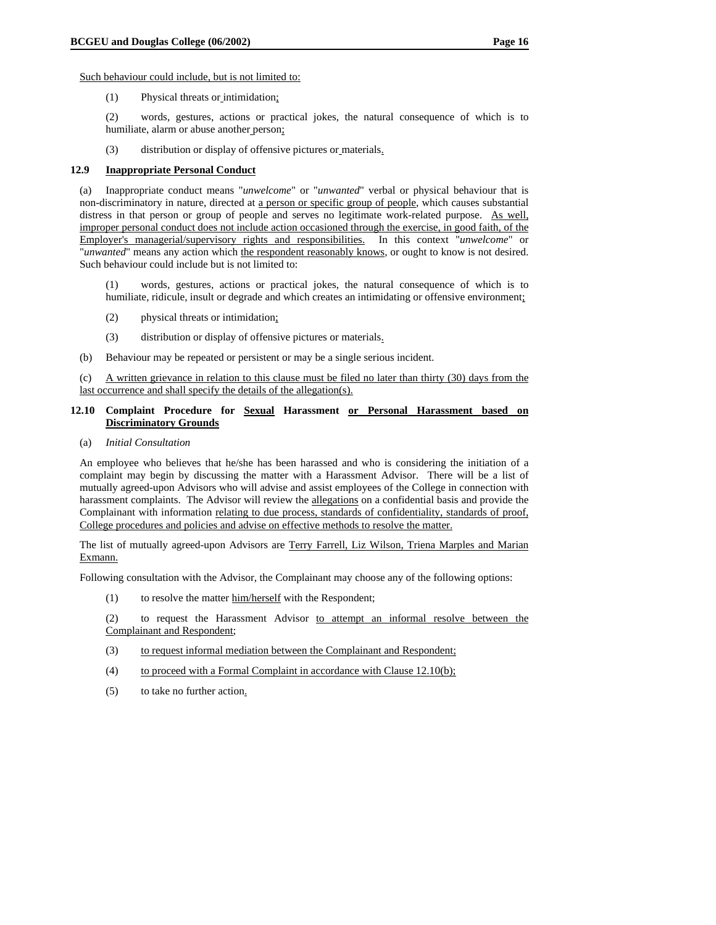Such behaviour could include, but is not limited to:

(1) Physical threats or intimidation;

(2) words, gestures, actions or practical jokes, the natural consequence of which is to humiliate, alarm or abuse another person;

(3) distribution or display of offensive pictures or materials.

### **12.9 Inappropriate Personal Conduct**

(a) Inappropriate conduct means "*unwelcome*" or "*unwanted*" verbal or physical behaviour that is non-discriminatory in nature, directed at a person or specific group of people, which causes substantial distress in that person or group of people and serves no legitimate work-related purpose. As well, improper personal conduct does not include action occasioned through the exercise, in good faith, of the Employer's managerial/supervisory rights and responsibilities. In this context "*unwelcome*" or "*unwanted*" means any action which the respondent reasonably knows, or ought to know is not desired. Such behaviour could include but is not limited to:

(1) words, gestures, actions or practical jokes, the natural consequence of which is to humiliate, ridicule, insult or degrade and which creates an intimidating or offensive environment;

- (2) physical threats or intimidation;
- (3) distribution or display of offensive pictures or materials.
- (b) Behaviour may be repeated or persistent or may be a single serious incident.

(c) A written grievance in relation to this clause must be filed no later than thirty (30) days from the last occurrence and shall specify the details of the allegation(s).

### **12.10 Complaint Procedure for Sexual Harassment or Personal Harassment based on Discriminatory Grounds**

(a) *Initial Consultation*

An employee who believes that he/she has been harassed and who is considering the initiation of a complaint may begin by discussing the matter with a Harassment Advisor. There will be a list of mutually agreed-upon Advisors who will advise and assist employees of the College in connection with harassment complaints. The Advisor will review the allegations on a confidential basis and provide the Complainant with information relating to due process, standards of confidentiality, standards of proof, College procedures and policies and advise on effective methods to resolve the matter.

The list of mutually agreed-upon Advisors are Terry Farrell, Liz Wilson, Triena Marples and Marian Exmann.

Following consultation with the Advisor, the Complainant may choose any of the following options:

(1) to resolve the matter him/herself with the Respondent;

(2) to request the Harassment Advisor to attempt an informal resolve between the Complainant and Respondent;

- (3) to request informal mediation between the Complainant and Respondent;
- (4) to proceed with a Formal Complaint in accordance with Clause 12.10(b);
- (5) to take no further action.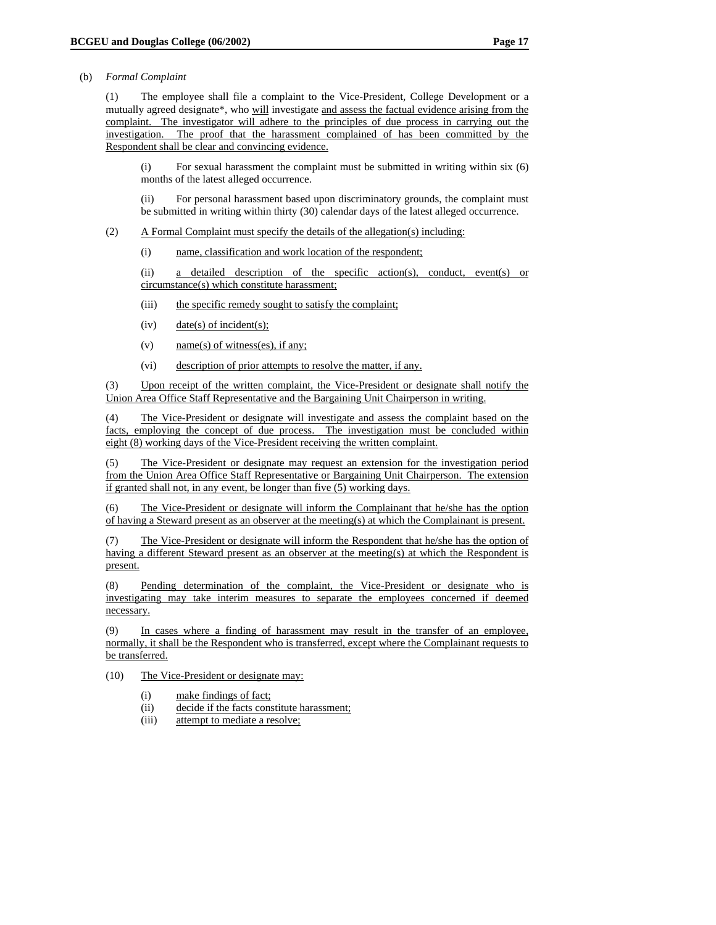### (b) *Formal Complaint*

(1) The employee shall file a complaint to the Vice-President, College Development or a mutually agreed designate\*, who will investigate and assess the factual evidence arising from the complaint. The investigator will adhere to the principles of due process in carrying out the investigation. The proof that the harassment complained of has been committed by the Respondent shall be clear and convincing evidence.

(i) For sexual harassment the complaint must be submitted in writing within six (6) months of the latest alleged occurrence.

(ii) For personal harassment based upon discriminatory grounds, the complaint must be submitted in writing within thirty (30) calendar days of the latest alleged occurrence.

- (2) A Formal Complaint must specify the details of the allegation(s) including:
	- (i) name, classification and work location of the respondent;

(ii) a detailed description of the specific action(s), conduct, event(s) or circumstance(s) which constitute harassment;

- (iii) the specific remedy sought to satisfy the complaint;
- (iv)  $\frac{\text{date}(s) \text{ of incident}(s)}{s}$
- (v) name(s) of witness(es), if any;
- (vi) description of prior attempts to resolve the matter, if any.

(3) Upon receipt of the written complaint, the Vice-President or designate shall notify the Union Area Office Staff Representative and the Bargaining Unit Chairperson in writing.

(4) The Vice-President or designate will investigate and assess the complaint based on the facts, employing the concept of due process. The investigation must be concluded within eight (8) working days of the Vice-President receiving the written complaint.

(5) The Vice-President or designate may request an extension for the investigation period from the Union Area Office Staff Representative or Bargaining Unit Chairperson. The extension if granted shall not, in any event, be longer than five (5) working days.

(6) The Vice-President or designate will inform the Complainant that he/she has the option of having a Steward present as an observer at the meeting(s) at which the Complainant is present.

(7) The Vice-President or designate will inform the Respondent that he/she has the option of having a different Steward present as an observer at the meeting(s) at which the Respondent is present.

(8) Pending determination of the complaint, the Vice-President or designate who is investigating may take interim measures to separate the employees concerned if deemed necessary.

(9) In cases where a finding of harassment may result in the transfer of an employee, normally, it shall be the Respondent who is transferred, except where the Complainant requests to be transferred.

(10) The Vice-President or designate may:

- (i) make findings of fact;
- (ii) decide if the facts constitute harassment;
- (iii) attempt to mediate a resolve;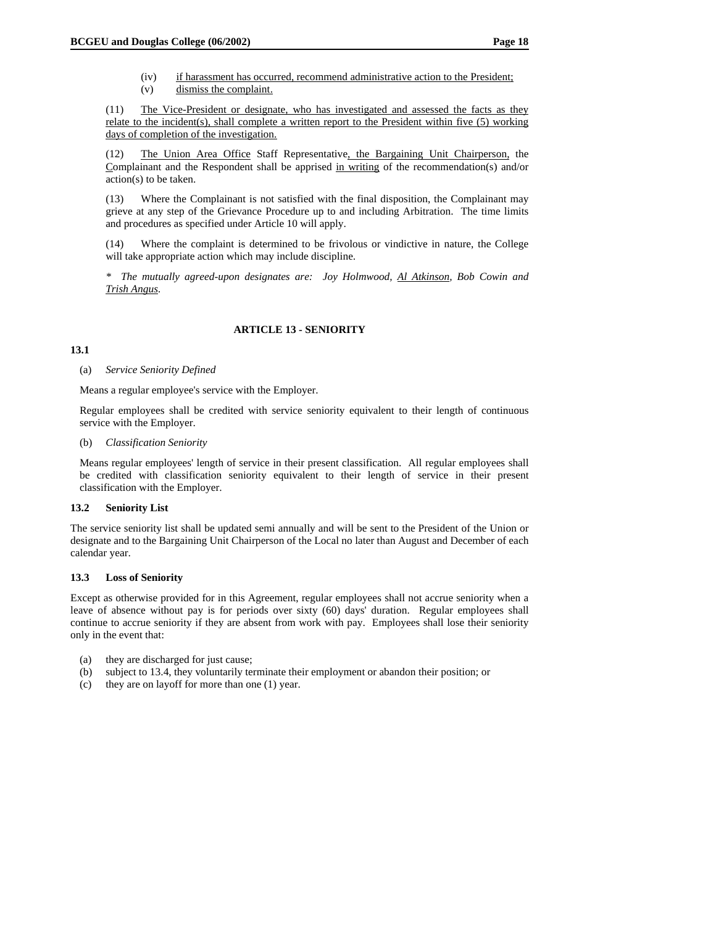- (iv) if harassment has occurred, recommend administrative action to the President;
- (v) dismiss the complaint.

(11) The Vice-President or designate, who has investigated and assessed the facts as they relate to the incident(s), shall complete a written report to the President within five (5) working days of completion of the investigation.

(12) The Union Area Office Staff Representative, the Bargaining Unit Chairperson, the Complainant and the Respondent shall be apprised in writing of the recommendation(s) and/or action(s) to be taken.

(13) Where the Complainant is not satisfied with the final disposition, the Complainant may grieve at any step of the Grievance Procedure up to and including Arbitration. The time limits and procedures as specified under Article 10 will apply.

(14) Where the complaint is determined to be frivolous or vindictive in nature, the College will take appropriate action which may include discipline.

*\* The mutually agreed-upon designates are: Joy Holmwood, Al Atkinson, Bob Cowin and Trish Angus.* 

# **ARTICLE 13 - SENIORITY**

### **13.1**

(a) *Service Seniority Defined* 

Means a regular employee's service with the Employer.

Regular employees shall be credited with service seniority equivalent to their length of continuous service with the Employer.

(b) *Classification Seniority* 

Means regular employees' length of service in their present classification. All regular employees shall be credited with classification seniority equivalent to their length of service in their present classification with the Employer.

# **13.2 Seniority List**

The service seniority list shall be updated semi annually and will be sent to the President of the Union or designate and to the Bargaining Unit Chairperson of the Local no later than August and December of each calendar year.

# **13.3 Loss of Seniority**

Except as otherwise provided for in this Agreement, regular employees shall not accrue seniority when a leave of absence without pay is for periods over sixty (60) days' duration. Regular employees shall continue to accrue seniority if they are absent from work with pay. Employees shall lose their seniority only in the event that:

- (a) they are discharged for just cause;
- (b) subject to 13.4, they voluntarily terminate their employment or abandon their position; or
- (c) they are on layoff for more than one (1) year.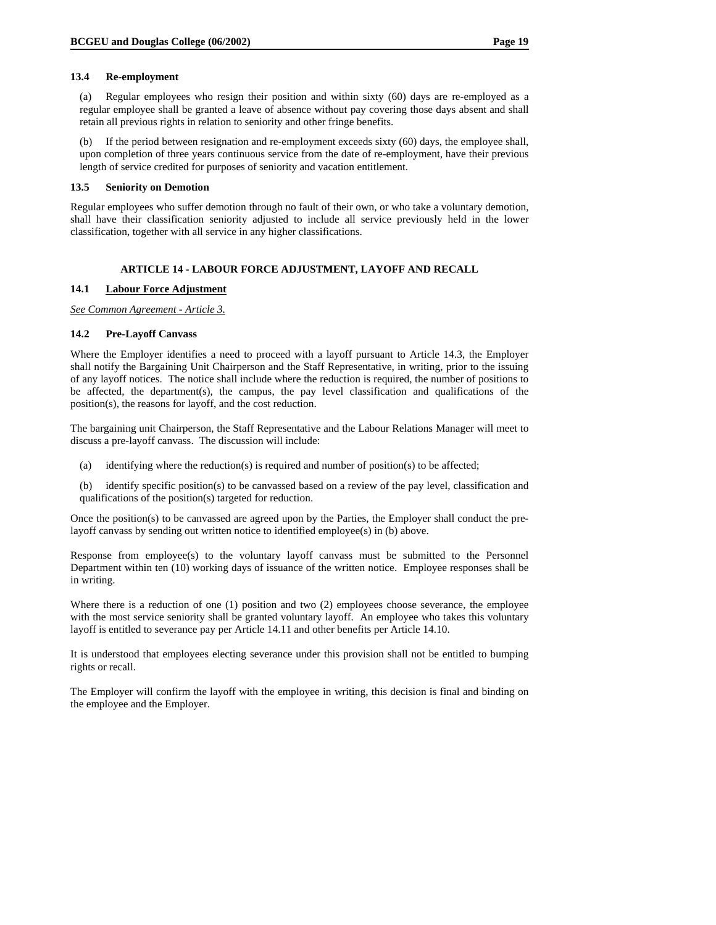### **13.4 Re-employment**

(a) Regular employees who resign their position and within sixty (60) days are re-employed as a regular employee shall be granted a leave of absence without pay covering those days absent and shall retain all previous rights in relation to seniority and other fringe benefits.

(b) If the period between resignation and re-employment exceeds sixty (60) days, the employee shall, upon completion of three years continuous service from the date of re-employment, have their previous length of service credited for purposes of seniority and vacation entitlement.

### **13.5 Seniority on Demotion**

Regular employees who suffer demotion through no fault of their own, or who take a voluntary demotion, shall have their classification seniority adjusted to include all service previously held in the lower classification, together with all service in any higher classifications.

# **ARTICLE 14 - LABOUR FORCE ADJUSTMENT, LAYOFF AND RECALL**

### **14.1 Labour Force Adjustment**

*See Common Agreement - Article 3.*

# **14.2 Pre-Layoff Canvass**

Where the Employer identifies a need to proceed with a layoff pursuant to Article 14.3, the Employer shall notify the Bargaining Unit Chairperson and the Staff Representative, in writing, prior to the issuing of any layoff notices. The notice shall include where the reduction is required, the number of positions to be affected, the department(s), the campus, the pay level classification and qualifications of the position(s), the reasons for layoff, and the cost reduction.

The bargaining unit Chairperson, the Staff Representative and the Labour Relations Manager will meet to discuss a pre-layoff canvass. The discussion will include:

- (a) identifying where the reduction(s) is required and number of position(s) to be affected;
- (b) identify specific position(s) to be canvassed based on a review of the pay level, classification and qualifications of the position(s) targeted for reduction.

Once the position(s) to be canvassed are agreed upon by the Parties, the Employer shall conduct the prelayoff canvass by sending out written notice to identified employee(s) in (b) above.

Response from employee(s) to the voluntary layoff canvass must be submitted to the Personnel Department within ten (10) working days of issuance of the written notice. Employee responses shall be in writing.

Where there is a reduction of one (1) position and two (2) employees choose severance, the employee with the most service seniority shall be granted voluntary layoff. An employee who takes this voluntary layoff is entitled to severance pay per Article 14.11 and other benefits per Article 14.10.

It is understood that employees electing severance under this provision shall not be entitled to bumping rights or recall.

The Employer will confirm the layoff with the employee in writing, this decision is final and binding on the employee and the Employer.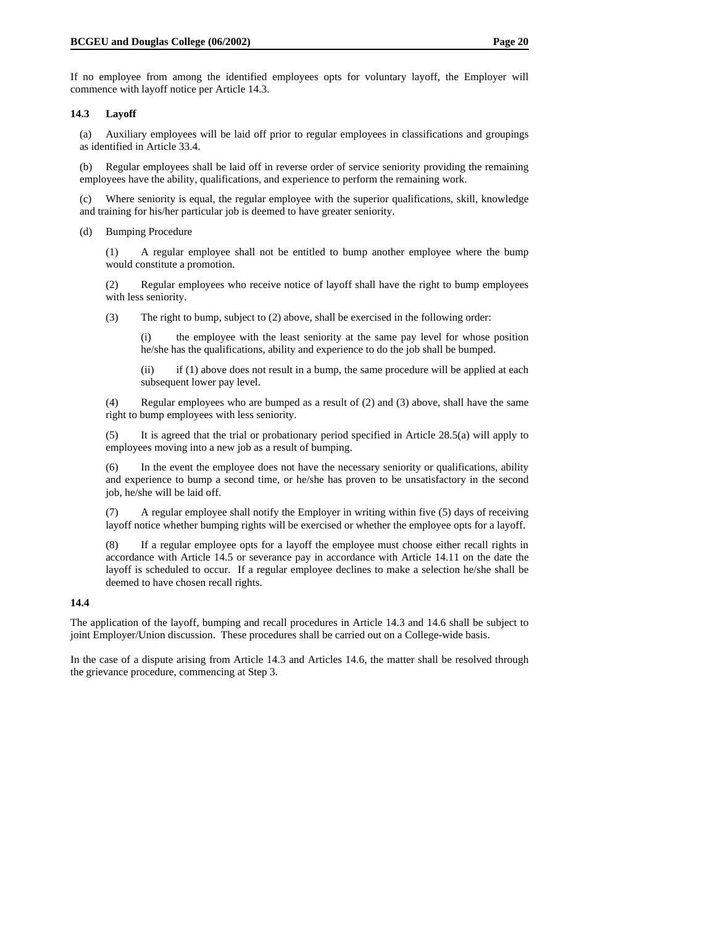If no employee from among the identified employees opts for voluntary layoff, the Employer will commence with layoff notice per Article 14.3.

### **14.3 Layoff**

(a) Auxiliary employees will be laid off prior to regular employees in classifications and groupings as identified in Article 33.4.

(b) Regular employees shall be laid off in reverse order of service seniority providing the remaining employees have the ability, qualifications, and experience to perform the remaining work.

(c) Where seniority is equal, the regular employee with the superior qualifications, skill, knowledge and training for his/her particular job is deemed to have greater seniority.

(d) Bumping Procedure

(1) A regular employee shall not be entitled to bump another employee where the bump would constitute a promotion.

(2) Regular employees who receive notice of layoff shall have the right to bump employees with less seniority.

(3) The right to bump, subject to (2) above, shall be exercised in the following order:

(i) the employee with the least seniority at the same pay level for whose position he/she has the qualifications, ability and experience to do the job shall be bumped.

(ii) if (1) above does not result in a bump, the same procedure will be applied at each subsequent lower pay level.

(4) Regular employees who are bumped as a result of (2) and (3) above, shall have the same right to bump employees with less seniority.

(5) It is agreed that the trial or probationary period specified in Article 28.5(a) will apply to employees moving into a new job as a result of bumping.

(6) In the event the employee does not have the necessary seniority or qualifications, ability and experience to bump a second time, or he/she has proven to be unsatisfactory in the second job, he/she will be laid off.

(7) A regular employee shall notify the Employer in writing within five (5) days of receiving layoff notice whether bumping rights will be exercised or whether the employee opts for a layoff.

(8) If a regular employee opts for a layoff the employee must choose either recall rights in accordance with Article 14.5 or severance pay in accordance with Article 14.11 on the date the layoff is scheduled to occur. If a regular employee declines to make a selection he/she shall be deemed to have chosen recall rights.

### **14.4**

The application of the layoff, bumping and recall procedures in Article 14.3 and 14.6 shall be subject to joint Employer/Union discussion. These procedures shall be carried out on a College-wide basis.

In the case of a dispute arising from Article 14.3 and Articles 14.6, the matter shall be resolved through the grievance procedure, commencing at Step 3.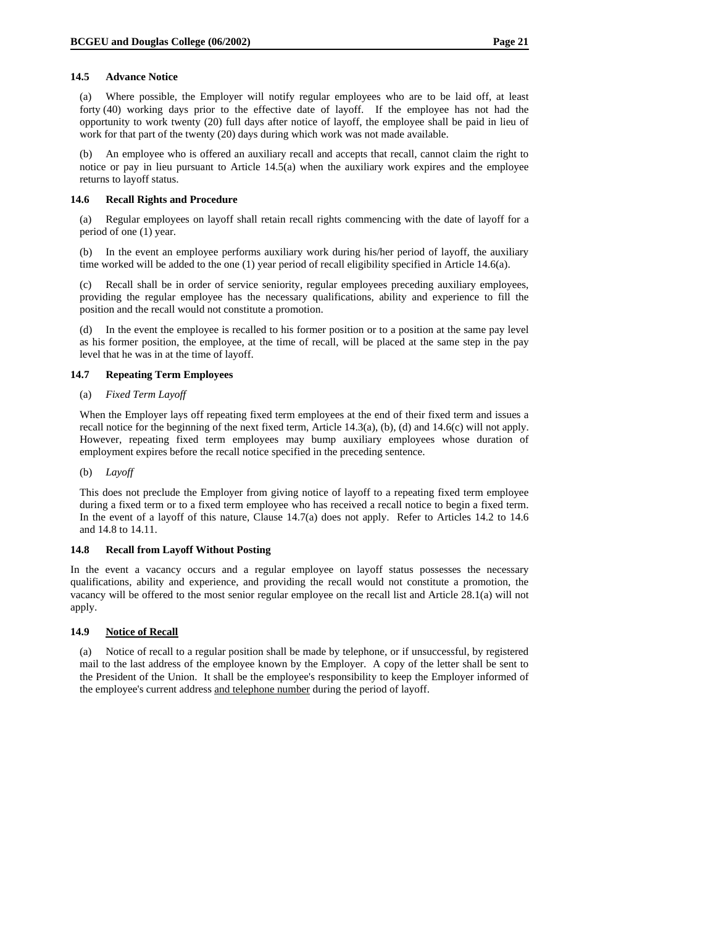(a) Where possible, the Employer will notify regular employees who are to be laid off, at least forty (40) working days prior to the effective date of layoff. If the employee has not had the opportunity to work twenty (20) full days after notice of layoff, the employee shall be paid in lieu of work for that part of the twenty (20) days during which work was not made available.

(b) An employee who is offered an auxiliary recall and accepts that recall, cannot claim the right to notice or pay in lieu pursuant to Article 14.5(a) when the auxiliary work expires and the employee returns to layoff status.

# **14.6 Recall Rights and Procedure**

(a) Regular employees on layoff shall retain recall rights commencing with the date of layoff for a period of one (1) year.

(b) In the event an employee performs auxiliary work during his/her period of layoff, the auxiliary time worked will be added to the one (1) year period of recall eligibility specified in Article 14.6(a).

(c) Recall shall be in order of service seniority, regular employees preceding auxiliary employees, providing the regular employee has the necessary qualifications, ability and experience to fill the position and the recall would not constitute a promotion.

(d) In the event the employee is recalled to his former position or to a position at the same pay level as his former position, the employee, at the time of recall, will be placed at the same step in the pay level that he was in at the time of layoff.

# **14.7 Repeating Term Employees**

# (a) *Fixed Term Layoff*

When the Employer lays off repeating fixed term employees at the end of their fixed term and issues a recall notice for the beginning of the next fixed term, Article 14.3(a), (b), (d) and 14.6(c) will not apply. However, repeating fixed term employees may bump auxiliary employees whose duration of employment expires before the recall notice specified in the preceding sentence.

# (b) *Layoff*

This does not preclude the Employer from giving notice of layoff to a repeating fixed term employee during a fixed term or to a fixed term employee who has received a recall notice to begin a fixed term. In the event of a layoff of this nature, Clause 14.7(a) does not apply. Refer to Articles 14.2 to 14.6 and 14.8 to 14.11.

# **14.8 Recall from Layoff Without Posting**

In the event a vacancy occurs and a regular employee on layoff status possesses the necessary qualifications, ability and experience, and providing the recall would not constitute a promotion, the vacancy will be offered to the most senior regular employee on the recall list and Article 28.1(a) will not apply.

# **14.9 Notice of Recall**

(a) Notice of recall to a regular position shall be made by telephone, or if unsuccessful, by registered mail to the last address of the employee known by the Employer. A copy of the letter shall be sent to the President of the Union. It shall be the employee's responsibility to keep the Employer informed of the employee's current address and telephone number during the period of layoff.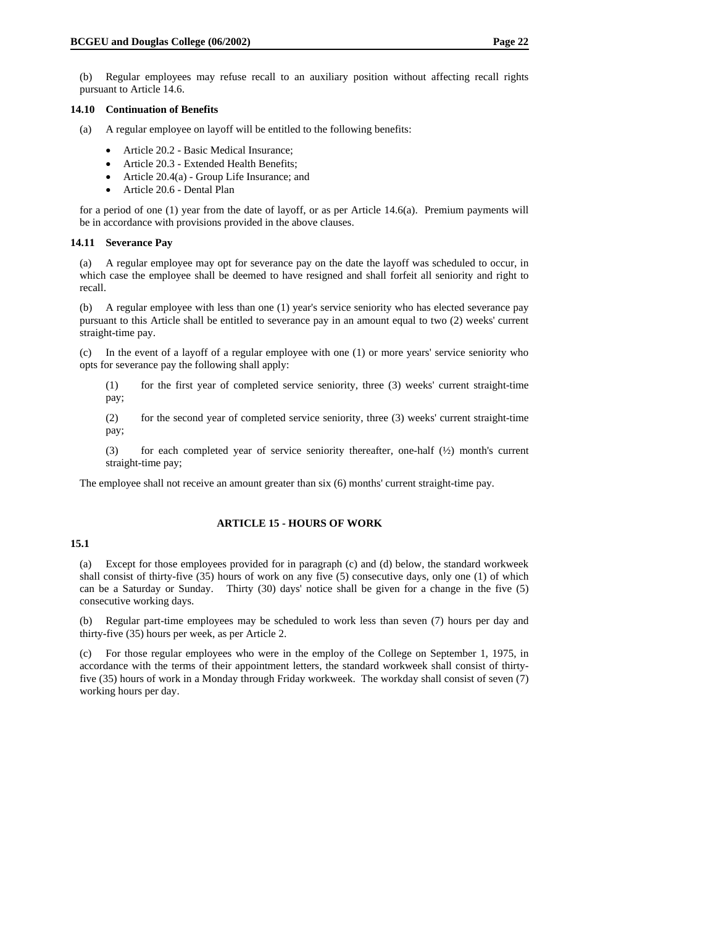(b) Regular employees may refuse recall to an auxiliary position without affecting recall rights pursuant to Article 14.6.

#### **14.10 Continuation of Benefits**

- (a) A regular employee on layoff will be entitled to the following benefits:
	- Article 20.2 Basic Medical Insurance;
	- Article 20.3 Extended Health Benefits;
	- Article 20.4(a) Group Life Insurance; and
	- Article 20.6 Dental Plan

for a period of one (1) year from the date of layoff, or as per Article 14.6(a). Premium payments will be in accordance with provisions provided in the above clauses.

#### **14.11 Severance Pay**

(a) A regular employee may opt for severance pay on the date the layoff was scheduled to occur, in which case the employee shall be deemed to have resigned and shall forfeit all seniority and right to recall.

(b) A regular employee with less than one (1) year's service seniority who has elected severance pay pursuant to this Article shall be entitled to severance pay in an amount equal to two (2) weeks' current straight-time pay.

(c) In the event of a layoff of a regular employee with one (1) or more years' service seniority who opts for severance pay the following shall apply:

(1) for the first year of completed service seniority, three (3) weeks' current straight-time pay;

(2) for the second year of completed service seniority, three (3) weeks' current straight-time pay;

(3) for each completed year of service seniority thereafter, one-half (½) month's current straight-time pay;

The employee shall not receive an amount greater than six (6) months' current straight-time pay.

#### **ARTICLE 15 - HOURS OF WORK**

### **15.1**

(a) Except for those employees provided for in paragraph (c) and (d) below, the standard workweek shall consist of thirty-five (35) hours of work on any five (5) consecutive days, only one (1) of which can be a Saturday or Sunday. Thirty (30) days' notice shall be given for a change in the five (5) consecutive working days.

(b) Regular part-time employees may be scheduled to work less than seven (7) hours per day and thirty-five (35) hours per week, as per Article 2.

(c) For those regular employees who were in the employ of the College on September 1, 1975, in accordance with the terms of their appointment letters, the standard workweek shall consist of thirtyfive (35) hours of work in a Monday through Friday workweek. The workday shall consist of seven (7) working hours per day.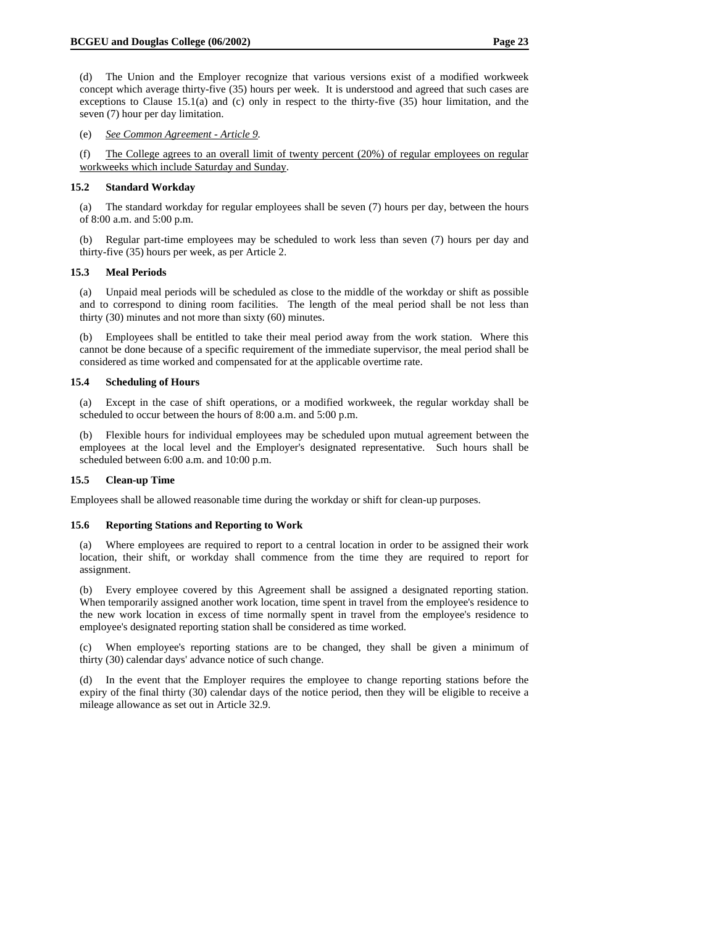(e) *See Common Agreement - Article 9.* 

(f) The College agrees to an overall limit of twenty percent (20%) of regular employees on regular workweeks which include Saturday and Sunday.

### **15.2 Standard Workday**

(a) The standard workday for regular employees shall be seven (7) hours per day, between the hours of 8:00 a.m. and 5:00 p.m.

(b) Regular part-time employees may be scheduled to work less than seven (7) hours per day and thirty-five (35) hours per week, as per Article 2.

### **15.3 Meal Periods**

(a) Unpaid meal periods will be scheduled as close to the middle of the workday or shift as possible and to correspond to dining room facilities. The length of the meal period shall be not less than thirty (30) minutes and not more than sixty (60) minutes.

(b) Employees shall be entitled to take their meal period away from the work station. Where this cannot be done because of a specific requirement of the immediate supervisor, the meal period shall be considered as time worked and compensated for at the applicable overtime rate.

### **15.4 Scheduling of Hours**

(a) Except in the case of shift operations, or a modified workweek, the regular workday shall be scheduled to occur between the hours of 8:00 a.m. and 5:00 p.m.

(b) Flexible hours for individual employees may be scheduled upon mutual agreement between the employees at the local level and the Employer's designated representative. Such hours shall be scheduled between 6:00 a.m. and 10:00 p.m.

# **15.5 Clean-up Time**

Employees shall be allowed reasonable time during the workday or shift for clean-up purposes.

#### **15.6 Reporting Stations and Reporting to Work**

Where employees are required to report to a central location in order to be assigned their work location, their shift, or workday shall commence from the time they are required to report for assignment.

(b) Every employee covered by this Agreement shall be assigned a designated reporting station. When temporarily assigned another work location, time spent in travel from the employee's residence to the new work location in excess of time normally spent in travel from the employee's residence to employee's designated reporting station shall be considered as time worked.

(c) When employee's reporting stations are to be changed, they shall be given a minimum of thirty (30) calendar days' advance notice of such change.

(d) In the event that the Employer requires the employee to change reporting stations before the expiry of the final thirty (30) calendar days of the notice period, then they will be eligible to receive a mileage allowance as set out in Article 32.9.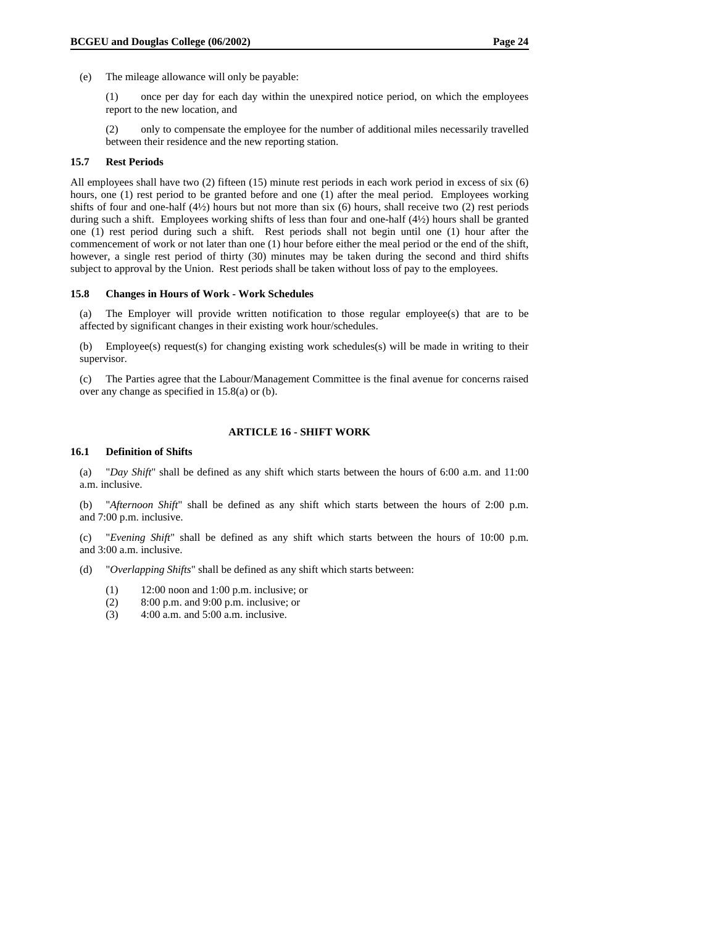(e) The mileage allowance will only be payable:

(1) once per day for each day within the unexpired notice period, on which the employees report to the new location, and

(2) only to compensate the employee for the number of additional miles necessarily travelled between their residence and the new reporting station.

### **15.7 Rest Periods**

All employees shall have two (2) fifteen (15) minute rest periods in each work period in excess of six (6) hours, one (1) rest period to be granted before and one (1) after the meal period. Employees working shifts of four and one-half  $(4\frac{1}{2})$  hours but not more than six (6) hours, shall receive two (2) rest periods during such a shift. Employees working shifts of less than four and one-half (4½) hours shall be granted one (1) rest period during such a shift. Rest periods shall not begin until one (1) hour after the commencement of work or not later than one (1) hour before either the meal period or the end of the shift, however, a single rest period of thirty (30) minutes may be taken during the second and third shifts subject to approval by the Union. Rest periods shall be taken without loss of pay to the employees.

#### **15.8 Changes in Hours of Work - Work Schedules**

(a) The Employer will provide written notification to those regular employee(s) that are to be affected by significant changes in their existing work hour/schedules.

(b) Employee(s) request(s) for changing existing work schedules(s) will be made in writing to their supervisor.

(c) The Parties agree that the Labour/Management Committee is the final avenue for concerns raised over any change as specified in 15.8(a) or (b).

### **ARTICLE 16 - SHIFT WORK**

### **16.1 Definition of Shifts**

(a) "*Day Shift*" shall be defined as any shift which starts between the hours of 6:00 a.m. and 11:00 a.m. inclusive.

(b) "*Afternoon Shift*" shall be defined as any shift which starts between the hours of 2:00 p.m. and 7:00 p.m. inclusive.

(c) "*Evening Shift*" shall be defined as any shift which starts between the hours of 10:00 p.m. and 3:00 a.m. inclusive.

(d) "*Overlapping Shifts*" shall be defined as any shift which starts between:

- (1) 12:00 noon and 1:00 p.m. inclusive; or
- (2) 8:00 p.m. and 9:00 p.m. inclusive; or
- (3) 4:00 a.m. and 5:00 a.m. inclusive.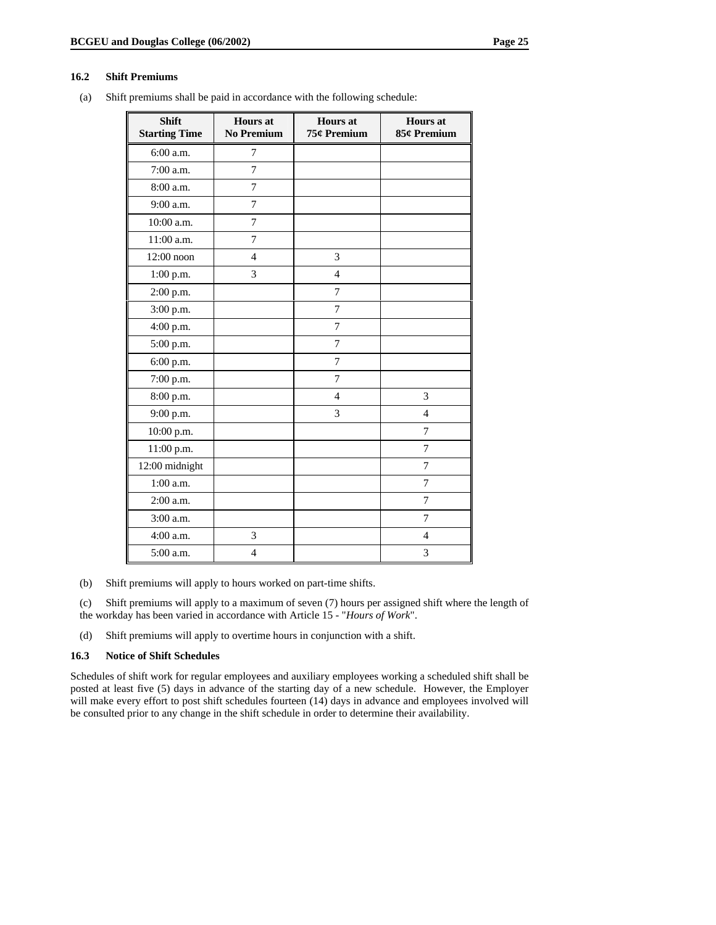### **16.2 Shift Premiums**

(a) Shift premiums shall be paid in accordance with the following schedule:

| <b>Shift</b><br><b>Starting Time</b> | <b>Hours</b> at<br><b>No Premium</b> | <b>Hours</b> at<br>75¢ Premium | <b>Hours</b> at<br>85¢ Premium |
|--------------------------------------|--------------------------------------|--------------------------------|--------------------------------|
| 6:00 a.m.                            | 7                                    |                                |                                |
| 7:00 a.m.                            | 7                                    |                                |                                |
| 8:00 a.m.                            | 7                                    |                                |                                |
| 9:00 a.m.                            | $\overline{7}$                       |                                |                                |
| 10:00 a.m.                           | 7                                    |                                |                                |
| 11:00 a.m.                           | 7                                    |                                |                                |
| 12:00 noon                           | $\overline{4}$                       | 3                              |                                |
| $1:00$ p.m.                          | 3                                    | $\overline{4}$                 |                                |
| 2:00 p.m.                            |                                      | $\overline{7}$                 |                                |
| 3:00 p.m.                            |                                      | $\overline{7}$                 |                                |
| 4:00 p.m.                            |                                      | 7                              |                                |
| 5:00 p.m.                            |                                      | 7                              |                                |
| 6:00 p.m.                            |                                      | 7                              |                                |
| 7:00 p.m.                            |                                      | $\overline{7}$                 |                                |
| 8:00 p.m.                            |                                      | $\overline{4}$                 | 3                              |
| 9:00 p.m.                            |                                      | 3                              | $\overline{4}$                 |
| 10:00 p.m.                           |                                      |                                | 7                              |
| 11:00 p.m.                           |                                      |                                | 7                              |
| 12:00 midnight                       |                                      |                                | $\overline{7}$                 |
| 1:00 a.m.                            |                                      |                                | 7                              |
| 2:00 a.m.                            |                                      |                                | 7                              |
| 3:00 a.m.                            |                                      |                                | $\overline{7}$                 |
| 4:00 a.m.                            | 3                                    |                                | $\overline{4}$                 |
| 5:00 a.m.                            | $\overline{4}$                       |                                | 3                              |

(b) Shift premiums will apply to hours worked on part-time shifts.

(c) Shift premiums will apply to a maximum of seven (7) hours per assigned shift where the length of the workday has been varied in accordance with Article 15 - "*Hours of Work*".

(d) Shift premiums will apply to overtime hours in conjunction with a shift.

### **16.3 Notice of Shift Schedules**

Schedules of shift work for regular employees and auxiliary employees working a scheduled shift shall be posted at least five (5) days in advance of the starting day of a new schedule. However, the Employer will make every effort to post shift schedules fourteen (14) days in advance and employees involved will be consulted prior to any change in the shift schedule in order to determine their availability.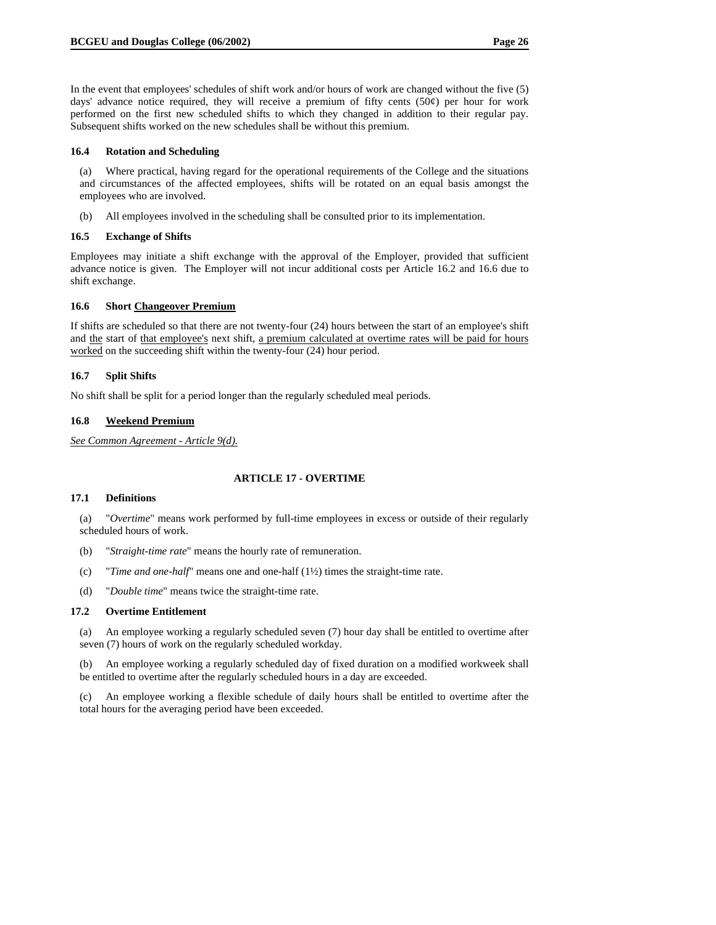In the event that employees' schedules of shift work and/or hours of work are changed without the five (5) days' advance notice required, they will receive a premium of fifty cents  $(50¢)$  per hour for work performed on the first new scheduled shifts to which they changed in addition to their regular pay. Subsequent shifts worked on the new schedules shall be without this premium.

#### **16.4 Rotation and Scheduling**

(a) Where practical, having regard for the operational requirements of the College and the situations and circumstances of the affected employees, shifts will be rotated on an equal basis amongst the employees who are involved.

(b) All employees involved in the scheduling shall be consulted prior to its implementation.

#### **16.5 Exchange of Shifts**

Employees may initiate a shift exchange with the approval of the Employer, provided that sufficient advance notice is given. The Employer will not incur additional costs per Article 16.2 and 16.6 due to shift exchange.

### **16.6 Short Changeover Premium**

If shifts are scheduled so that there are not twenty-four (24) hours between the start of an employee's shift and the start of that employee's next shift, a premium calculated at overtime rates will be paid for hours worked on the succeeding shift within the twenty-four (24) hour period.

#### **16.7 Split Shifts**

No shift shall be split for a period longer than the regularly scheduled meal periods.

#### **16.8 Weekend Premium**

*See Common Agreement - Article 9(d).*

### **ARTICLE 17 - OVERTIME**

### **17.1 Definitions**

(a) "*Overtime*" means work performed by full-time employees in excess or outside of their regularly scheduled hours of work.

- (b) "*Straight-time rate*" means the hourly rate of remuneration.
- (c) "*Time and one-half*" means one and one-half (1½) times the straight-time rate.
- (d) "*Double time*" means twice the straight-time rate.

### **17.2 Overtime Entitlement**

(a) An employee working a regularly scheduled seven (7) hour day shall be entitled to overtime after seven (7) hours of work on the regularly scheduled workday.

(b) An employee working a regularly scheduled day of fixed duration on a modified workweek shall be entitled to overtime after the regularly scheduled hours in a day are exceeded.

(c) An employee working a flexible schedule of daily hours shall be entitled to overtime after the total hours for the averaging period have been exceeded.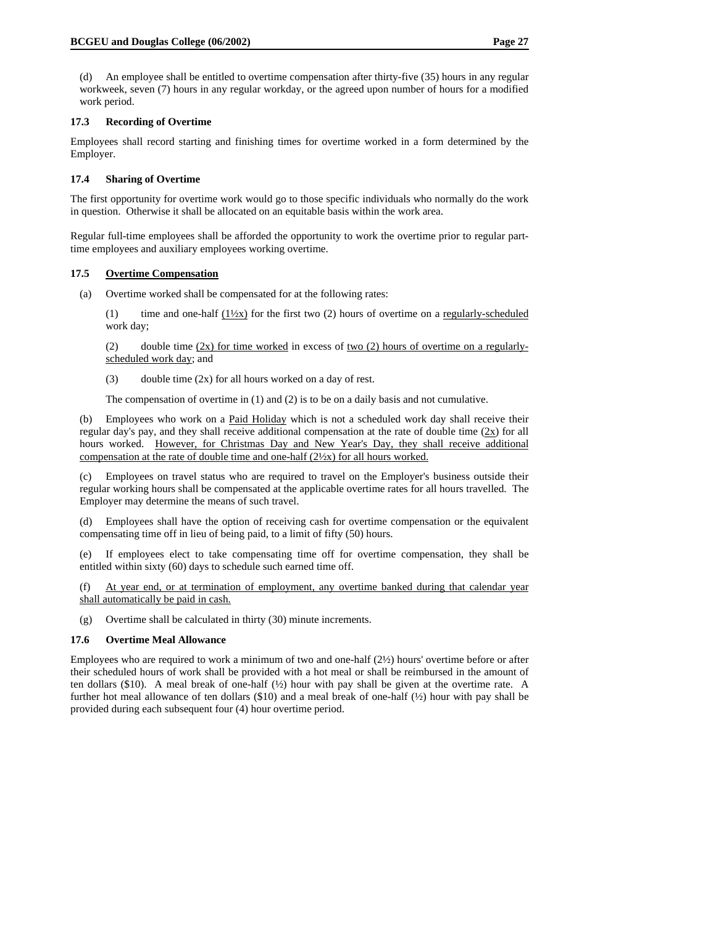(d) An employee shall be entitled to overtime compensation after thirty-five (35) hours in any regular workweek, seven (7) hours in any regular workday, or the agreed upon number of hours for a modified work period.

### **17.3 Recording of Overtime**

Employees shall record starting and finishing times for overtime worked in a form determined by the Employer.

#### **17.4 Sharing of Overtime**

The first opportunity for overtime work would go to those specific individuals who normally do the work in question. Otherwise it shall be allocated on an equitable basis within the work area.

Regular full-time employees shall be afforded the opportunity to work the overtime prior to regular parttime employees and auxiliary employees working overtime.

#### **17.5 Overtime Compensation**

(a) Overtime worked shall be compensated for at the following rates:

(1) time and one-half  $(1/\chi_{\rm X})$  for the first two (2) hours of overtime on a regularly-scheduled work day;

(2) double time  $(2x)$  for time worked in excess of two (2) hours of overtime on a regularlyscheduled work day; and

(3) double time (2x) for all hours worked on a day of rest.

The compensation of overtime in (1) and (2) is to be on a daily basis and not cumulative.

(b) Employees who work on a Paid Holiday which is not a scheduled work day shall receive their regular day's pay, and they shall receive additional compensation at the rate of double time  $(2x)$  for all hours worked. However, for Christmas Day and New Year's Day, they shall receive additional compensation at the rate of double time and one-half (2½x) for all hours worked.

(c) Employees on travel status who are required to travel on the Employer's business outside their regular working hours shall be compensated at the applicable overtime rates for all hours travelled. The Employer may determine the means of such travel.

(d) Employees shall have the option of receiving cash for overtime compensation or the equivalent compensating time off in lieu of being paid, to a limit of fifty (50) hours.

(e) If employees elect to take compensating time off for overtime compensation, they shall be entitled within sixty (60) days to schedule such earned time off.

(f) At year end, or at termination of employment, any overtime banked during that calendar year shall automatically be paid in cash.

(g) Overtime shall be calculated in thirty (30) minute increments.

### **17.6 Overtime Meal Allowance**

Employees who are required to work a minimum of two and one-half (2½) hours' overtime before or after their scheduled hours of work shall be provided with a hot meal or shall be reimbursed in the amount of ten dollars (\$10). A meal break of one-half  $(\frac{1}{2})$  hour with pay shall be given at the overtime rate. A further hot meal allowance of ten dollars (\$10) and a meal break of one-half (½) hour with pay shall be provided during each subsequent four (4) hour overtime period.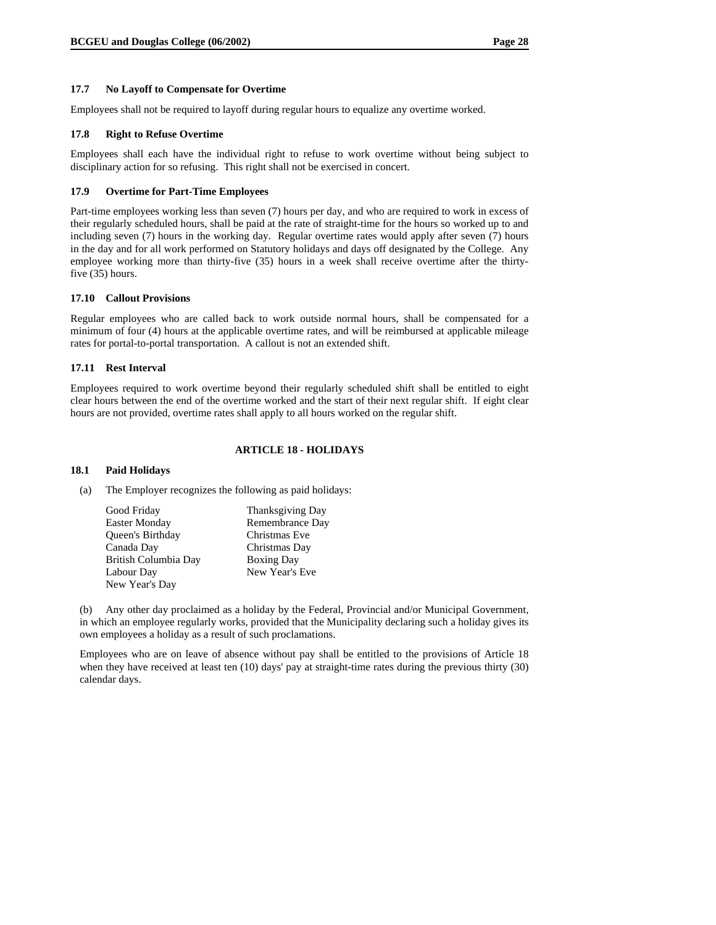#### **17.7 No Layoff to Compensate for Overtime**

Employees shall not be required to layoff during regular hours to equalize any overtime worked.

#### **17.8 Right to Refuse Overtime**

Employees shall each have the individual right to refuse to work overtime without being subject to disciplinary action for so refusing. This right shall not be exercised in concert.

#### **17.9 Overtime for Part-Time Employees**

Part-time employees working less than seven (7) hours per day, and who are required to work in excess of their regularly scheduled hours, shall be paid at the rate of straight-time for the hours so worked up to and including seven (7) hours in the working day. Regular overtime rates would apply after seven (7) hours in the day and for all work performed on Statutory holidays and days off designated by the College. Any employee working more than thirty-five (35) hours in a week shall receive overtime after the thirtyfive (35) hours.

#### **17.10 Callout Provisions**

Regular employees who are called back to work outside normal hours, shall be compensated for a minimum of four (4) hours at the applicable overtime rates, and will be reimbursed at applicable mileage rates for portal-to-portal transportation. A callout is not an extended shift.

#### **17.11 Rest Interval**

Employees required to work overtime beyond their regularly scheduled shift shall be entitled to eight clear hours between the end of the overtime worked and the start of their next regular shift. If eight clear hours are not provided, overtime rates shall apply to all hours worked on the regular shift.

### **ARTICLE 18 - HOLIDAYS**

### **18.1 Paid Holidays**

(a) The Employer recognizes the following as paid holidays:

| Good Friday          | Thanksgiving Day  |
|----------------------|-------------------|
| <b>Easter Monday</b> | Remembrance Day   |
| Queen's Birthday     | Christmas Eve     |
| Canada Day           | Christmas Day     |
| British Columbia Day | <b>Boxing Day</b> |
| Labour Day           | New Year's Eve    |
| New Year's Day       |                   |

(b) Any other day proclaimed as a holiday by the Federal, Provincial and/or Municipal Government, in which an employee regularly works, provided that the Municipality declaring such a holiday gives its own employees a holiday as a result of such proclamations.

Employees who are on leave of absence without pay shall be entitled to the provisions of Article 18 when they have received at least ten (10) days' pay at straight-time rates during the previous thirty (30) calendar days.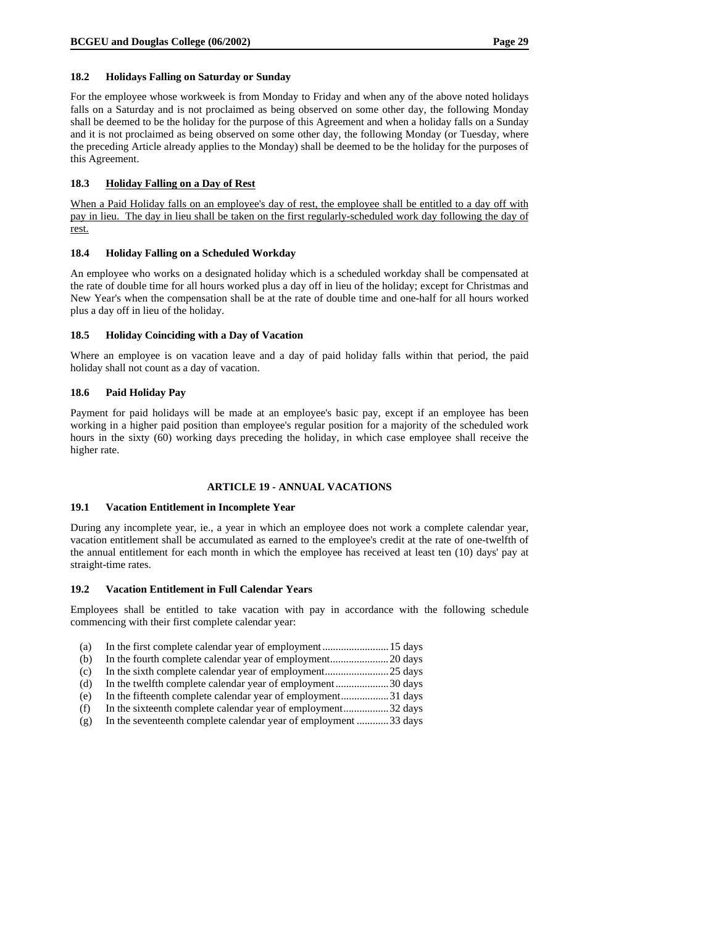#### **18.2 Holidays Falling on Saturday or Sunday**

For the employee whose workweek is from Monday to Friday and when any of the above noted holidays falls on a Saturday and is not proclaimed as being observed on some other day, the following Monday shall be deemed to be the holiday for the purpose of this Agreement and when a holiday falls on a Sunday and it is not proclaimed as being observed on some other day, the following Monday (or Tuesday, where the preceding Article already applies to the Monday) shall be deemed to be the holiday for the purposes of this Agreement.

#### **18.3 Holiday Falling on a Day of Rest**

When a Paid Holiday falls on an employee's day of rest, the employee shall be entitled to a day off with pay in lieu. The day in lieu shall be taken on the first regularly-scheduled work day following the day of rest.

#### **18.4 Holiday Falling on a Scheduled Workday**

An employee who works on a designated holiday which is a scheduled workday shall be compensated at the rate of double time for all hours worked plus a day off in lieu of the holiday; except for Christmas and New Year's when the compensation shall be at the rate of double time and one-half for all hours worked plus a day off in lieu of the holiday.

#### **18.5 Holiday Coinciding with a Day of Vacation**

Where an employee is on vacation leave and a day of paid holiday falls within that period, the paid holiday shall not count as a day of vacation.

#### **18.6 Paid Holiday Pay**

Payment for paid holidays will be made at an employee's basic pay, except if an employee has been working in a higher paid position than employee's regular position for a majority of the scheduled work hours in the sixty (60) working days preceding the holiday, in which case employee shall receive the higher rate.

#### **ARTICLE 19 - ANNUAL VACATIONS**

#### **19.1 Vacation Entitlement in Incomplete Year**

During any incomplete year, ie., a year in which an employee does not work a complete calendar year, vacation entitlement shall be accumulated as earned to the employee's credit at the rate of one-twelfth of the annual entitlement for each month in which the employee has received at least ten (10) days' pay at straight-time rates.

#### **19.2 Vacation Entitlement in Full Calendar Years**

Employees shall be entitled to take vacation with pay in accordance with the following schedule commencing with their first complete calendar year:

| (a) | In the first complete calendar year of employment 15 days       |  |
|-----|-----------------------------------------------------------------|--|
| (b) |                                                                 |  |
| (c) | In the sixth complete calendar year of employment25 days        |  |
| (d) | In the twelfth complete calendar year of employment30 days      |  |
| (e) | In the fifteenth complete calendar year of employment31 days    |  |
| (f) | In the sixteenth complete calendar year of employment32 days    |  |
| (g) | In the seventeenth complete calendar year of employment 33 days |  |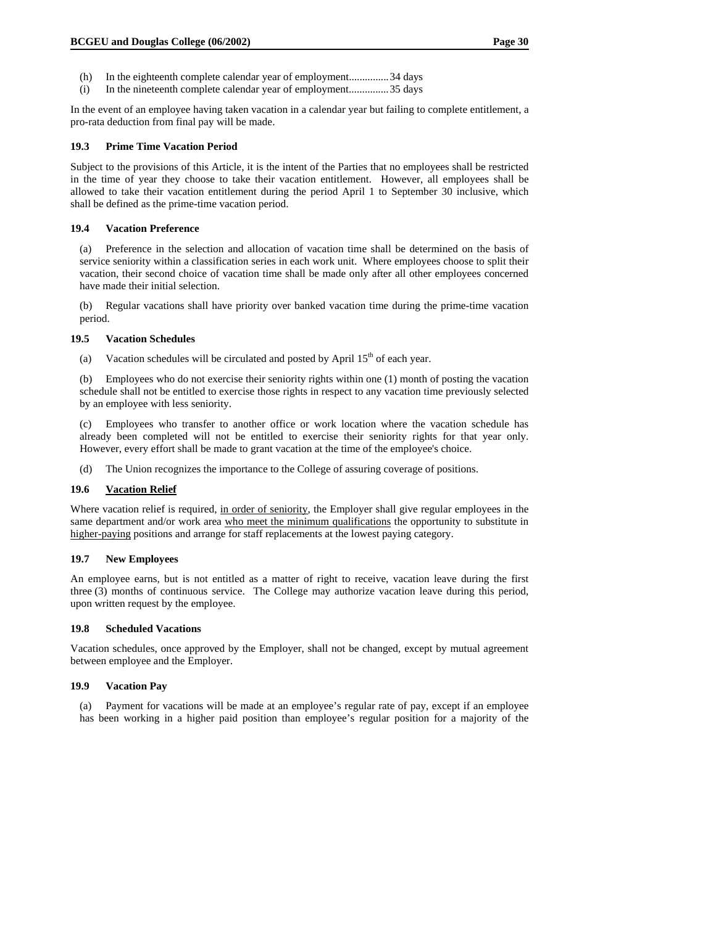- (h) In the eighteenth complete calendar year of employment...............34 days
- (i) In the nineteenth complete calendar year of employment...............35 days

In the event of an employee having taken vacation in a calendar year but failing to complete entitlement, a pro-rata deduction from final pay will be made.

#### **19.3 Prime Time Vacation Period**

Subject to the provisions of this Article, it is the intent of the Parties that no employees shall be restricted in the time of year they choose to take their vacation entitlement. However, all employees shall be allowed to take their vacation entitlement during the period April 1 to September 30 inclusive, which shall be defined as the prime-time vacation period.

#### **19.4 Vacation Preference**

(a) Preference in the selection and allocation of vacation time shall be determined on the basis of service seniority within a classification series in each work unit. Where employees choose to split their vacation, their second choice of vacation time shall be made only after all other employees concerned have made their initial selection.

(b) Regular vacations shall have priority over banked vacation time during the prime-time vacation period.

#### **19.5 Vacation Schedules**

(a) Vacation schedules will be circulated and posted by April  $15<sup>th</sup>$  of each year.

(b) Employees who do not exercise their seniority rights within one (1) month of posting the vacation schedule shall not be entitled to exercise those rights in respect to any vacation time previously selected by an employee with less seniority.

(c) Employees who transfer to another office or work location where the vacation schedule has already been completed will not be entitled to exercise their seniority rights for that year only. However, every effort shall be made to grant vacation at the time of the employee's choice.

(d) The Union recognizes the importance to the College of assuring coverage of positions.

#### **19.6 Vacation Relief**

Where vacation relief is required, in order of seniority, the Employer shall give regular employees in the same department and/or work area who meet the minimum qualifications the opportunity to substitute in higher-paying positions and arrange for staff replacements at the lowest paying category.

#### **19.7 New Employees**

An employee earns, but is not entitled as a matter of right to receive, vacation leave during the first three (3) months of continuous service. The College may authorize vacation leave during this period, upon written request by the employee.

#### **19.8 Scheduled Vacations**

Vacation schedules, once approved by the Employer, shall not be changed, except by mutual agreement between employee and the Employer.

## **19.9 Vacation Pay**

(a) Payment for vacations will be made at an employee's regular rate of pay, except if an employee has been working in a higher paid position than employee's regular position for a majority of the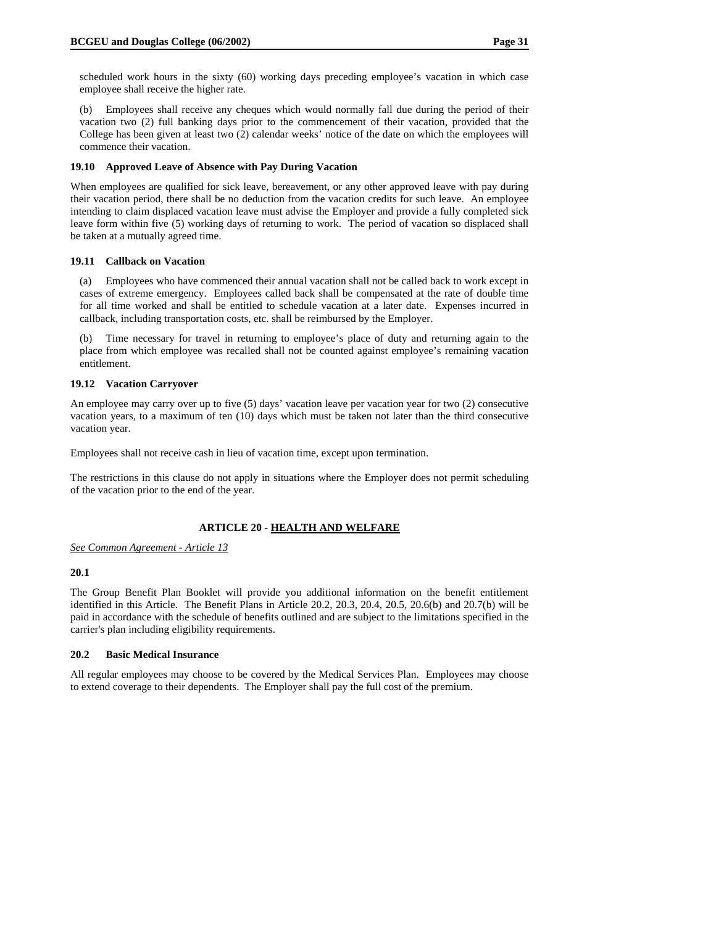scheduled work hours in the sixty (60) working days preceding employee's vacation in which case employee shall receive the higher rate.

(b) Employees shall receive any cheques which would normally fall due during the period of their vacation two (2) full banking days prior to the commencement of their vacation, provided that the College has been given at least two (2) calendar weeks' notice of the date on which the employees will commence their vacation.

## **19.10 Approved Leave of Absence with Pay During Vacation**

When employees are qualified for sick leave, bereavement, or any other approved leave with pay during their vacation period, there shall be no deduction from the vacation credits for such leave. An employee intending to claim displaced vacation leave must advise the Employer and provide a fully completed sick leave form within five (5) working days of returning to work. The period of vacation so displaced shall be taken at a mutually agreed time.

#### **19.11 Callback on Vacation**

(a) Employees who have commenced their annual vacation shall not be called back to work except in cases of extreme emergency. Employees called back shall be compensated at the rate of double time for all time worked and shall be entitled to schedule vacation at a later date. Expenses incurred in callback, including transportation costs, etc. shall be reimbursed by the Employer.

(b) Time necessary for travel in returning to employee's place of duty and returning again to the place from which employee was recalled shall not be counted against employee's remaining vacation entitlement.

#### **19.12 Vacation Carryover**

An employee may carry over up to five (5) days' vacation leave per vacation year for two (2) consecutive vacation years, to a maximum of ten (10) days which must be taken not later than the third consecutive vacation year.

Employees shall not receive cash in lieu of vacation time, except upon termination.

The restrictions in this clause do not apply in situations where the Employer does not permit scheduling of the vacation prior to the end of the year.

## **ARTICLE 20 - HEALTH AND WELFARE**

#### *See Common Agreement - Article 13*

#### **20.1**

The Group Benefit Plan Booklet will provide you additional information on the benefit entitlement identified in this Article. The Benefit Plans in Article 20.2, 20.3, 20.4, 20.5, 20.6(b) and 20.7(b) will be paid in accordance with the schedule of benefits outlined and are subject to the limitations specified in the carrier's plan including eligibility requirements.

#### **20.2 Basic Medical Insurance**

All regular employees may choose to be covered by the Medical Services Plan. Employees may choose to extend coverage to their dependents. The Employer shall pay the full cost of the premium.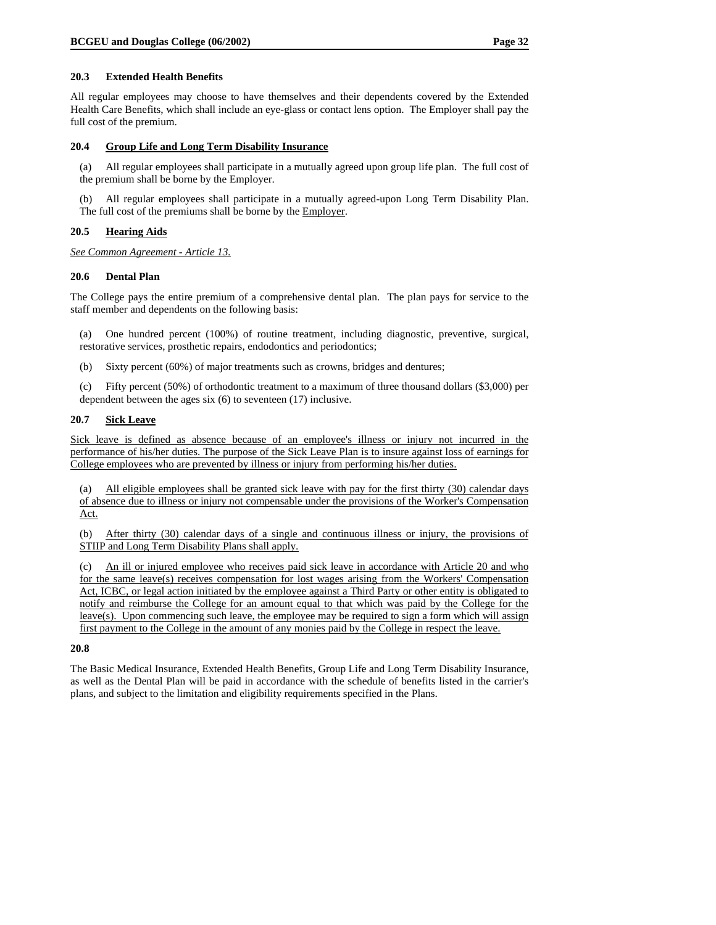#### **20.3 Extended Health Benefits**

All regular employees may choose to have themselves and their dependents covered by the Extended Health Care Benefits, which shall include an eye-glass or contact lens option. The Employer shall pay the full cost of the premium.

#### **20.4 Group Life and Long Term Disability Insurance**

(a) All regular employees shall participate in a mutually agreed upon group life plan. The full cost of the premium shall be borne by the Employer.

All regular employees shall participate in a mutually agreed-upon Long Term Disability Plan. The full cost of the premiums shall be borne by the Employer.

## **20.5 Hearing Aids**

*See Common Agreement - Article 13.*

#### **20.6 Dental Plan**

The College pays the entire premium of a comprehensive dental plan. The plan pays for service to the staff member and dependents on the following basis:

(a) One hundred percent (100%) of routine treatment, including diagnostic, preventive, surgical, restorative services, prosthetic repairs, endodontics and periodontics;

(b) Sixty percent (60%) of major treatments such as crowns, bridges and dentures;

(c) Fifty percent (50%) of orthodontic treatment to a maximum of three thousand dollars (\$3,000) per dependent between the ages six (6) to seventeen (17) inclusive.

#### **20.7 Sick Leave**

Sick leave is defined as absence because of an employee's illness or injury not incurred in the performance of his/her duties. The purpose of the Sick Leave Plan is to insure against loss of earnings for College employees who are prevented by illness or injury from performing his/her duties.

(a) All eligible employees shall be granted sick leave with pay for the first thirty (30) calendar days of absence due to illness or injury not compensable under the provisions of the Worker's Compensation Act.

(b) After thirty (30) calendar days of a single and continuous illness or injury, the provisions of STIIP and Long Term Disability Plans shall apply.

(c) An ill or injured employee who receives paid sick leave in accordance with Article 20 and who for the same leave(s) receives compensation for lost wages arising from the Workers' Compensation Act, ICBC, or legal action initiated by the employee against a Third Party or other entity is obligated to notify and reimburse the College for an amount equal to that which was paid by the College for the leave(s). Upon commencing such leave, the employee may be required to sign a form which will assign first payment to the College in the amount of any monies paid by the College in respect the leave.

#### **20.8**

The Basic Medical Insurance, Extended Health Benefits, Group Life and Long Term Disability Insurance, as well as the Dental Plan will be paid in accordance with the schedule of benefits listed in the carrier's plans, and subject to the limitation and eligibility requirements specified in the Plans.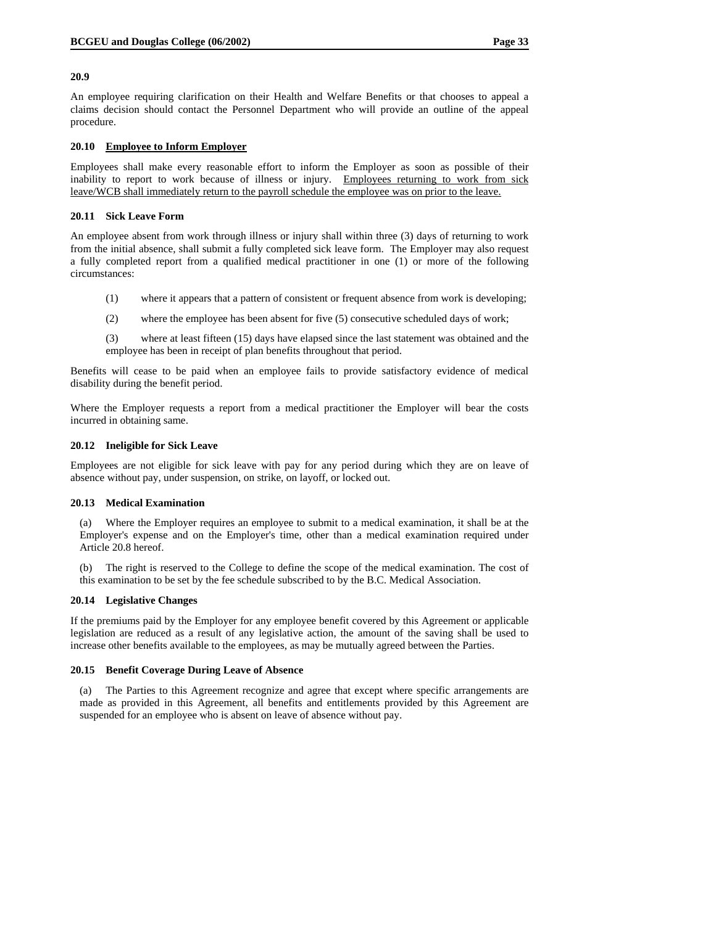#### **20.9**

An employee requiring clarification on their Health and Welfare Benefits or that chooses to appeal a claims decision should contact the Personnel Department who will provide an outline of the appeal procedure.

#### **20.10 Employee to Inform Employer**

Employees shall make every reasonable effort to inform the Employer as soon as possible of their inability to report to work because of illness or injury. Employees returning to work from sick leave/WCB shall immediately return to the payroll schedule the employee was on prior to the leave.

## **20.11 Sick Leave Form**

An employee absent from work through illness or injury shall within three (3) days of returning to work from the initial absence, shall submit a fully completed sick leave form. The Employer may also request a fully completed report from a qualified medical practitioner in one (1) or more of the following circumstances:

- (1) where it appears that a pattern of consistent or frequent absence from work is developing;
- (2) where the employee has been absent for five (5) consecutive scheduled days of work;
- (3) where at least fifteen (15) days have elapsed since the last statement was obtained and the employee has been in receipt of plan benefits throughout that period.

Benefits will cease to be paid when an employee fails to provide satisfactory evidence of medical disability during the benefit period.

Where the Employer requests a report from a medical practitioner the Employer will bear the costs incurred in obtaining same.

## **20.12 Ineligible for Sick Leave**

Employees are not eligible for sick leave with pay for any period during which they are on leave of absence without pay, under suspension, on strike, on layoff, or locked out.

#### **20.13 Medical Examination**

Where the Employer requires an employee to submit to a medical examination, it shall be at the Employer's expense and on the Employer's time, other than a medical examination required under Article 20.8 hereof.

(b) The right is reserved to the College to define the scope of the medical examination. The cost of this examination to be set by the fee schedule subscribed to by the B.C. Medical Association.

## **20.14 Legislative Changes**

If the premiums paid by the Employer for any employee benefit covered by this Agreement or applicable legislation are reduced as a result of any legislative action, the amount of the saving shall be used to increase other benefits available to the employees, as may be mutually agreed between the Parties.

#### **20.15 Benefit Coverage During Leave of Absence**

(a) The Parties to this Agreement recognize and agree that except where specific arrangements are made as provided in this Agreement, all benefits and entitlements provided by this Agreement are suspended for an employee who is absent on leave of absence without pay.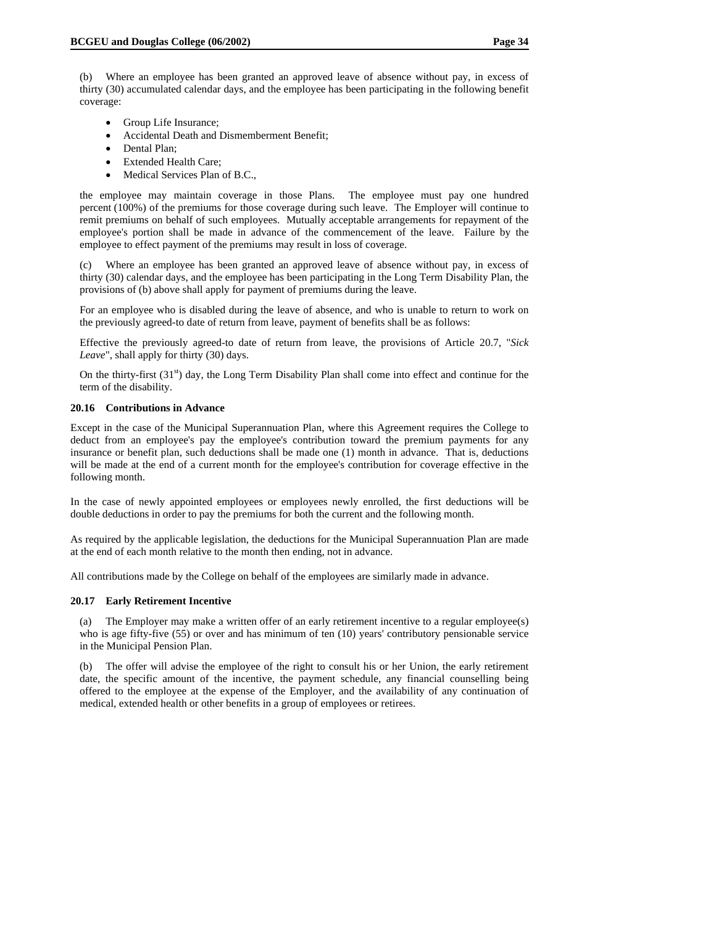(b) Where an employee has been granted an approved leave of absence without pay, in excess of thirty (30) accumulated calendar days, and the employee has been participating in the following benefit coverage:

- Group Life Insurance;
- Accidental Death and Dismemberment Benefit;
- Dental Plan;
- Extended Health Care;
- Medical Services Plan of B.C.,

the employee may maintain coverage in those Plans. The employee must pay one hundred percent (100%) of the premiums for those coverage during such leave. The Employer will continue to remit premiums on behalf of such employees. Mutually acceptable arrangements for repayment of the employee's portion shall be made in advance of the commencement of the leave. Failure by the employee to effect payment of the premiums may result in loss of coverage.

(c) Where an employee has been granted an approved leave of absence without pay, in excess of thirty (30) calendar days, and the employee has been participating in the Long Term Disability Plan, the provisions of (b) above shall apply for payment of premiums during the leave.

For an employee who is disabled during the leave of absence, and who is unable to return to work on the previously agreed-to date of return from leave, payment of benefits shall be as follows:

Effective the previously agreed-to date of return from leave, the provisions of Article 20.7, "*Sick Leave*", shall apply for thirty (30) days.

On the thirty-first  $(31<sup>st</sup>)$  day, the Long Term Disability Plan shall come into effect and continue for the term of the disability.

#### **20.16 Contributions in Advance**

Except in the case of the Municipal Superannuation Plan, where this Agreement requires the College to deduct from an employee's pay the employee's contribution toward the premium payments for any insurance or benefit plan, such deductions shall be made one (1) month in advance. That is, deductions will be made at the end of a current month for the employee's contribution for coverage effective in the following month.

In the case of newly appointed employees or employees newly enrolled, the first deductions will be double deductions in order to pay the premiums for both the current and the following month.

As required by the applicable legislation, the deductions for the Municipal Superannuation Plan are made at the end of each month relative to the month then ending, not in advance.

All contributions made by the College on behalf of the employees are similarly made in advance.

#### **20.17 Early Retirement Incentive**

(a) The Employer may make a written offer of an early retirement incentive to a regular employee(s) who is age fifty-five (55) or over and has minimum of ten (10) years' contributory pensionable service in the Municipal Pension Plan.

(b) The offer will advise the employee of the right to consult his or her Union, the early retirement date, the specific amount of the incentive, the payment schedule, any financial counselling being offered to the employee at the expense of the Employer, and the availability of any continuation of medical, extended health or other benefits in a group of employees or retirees.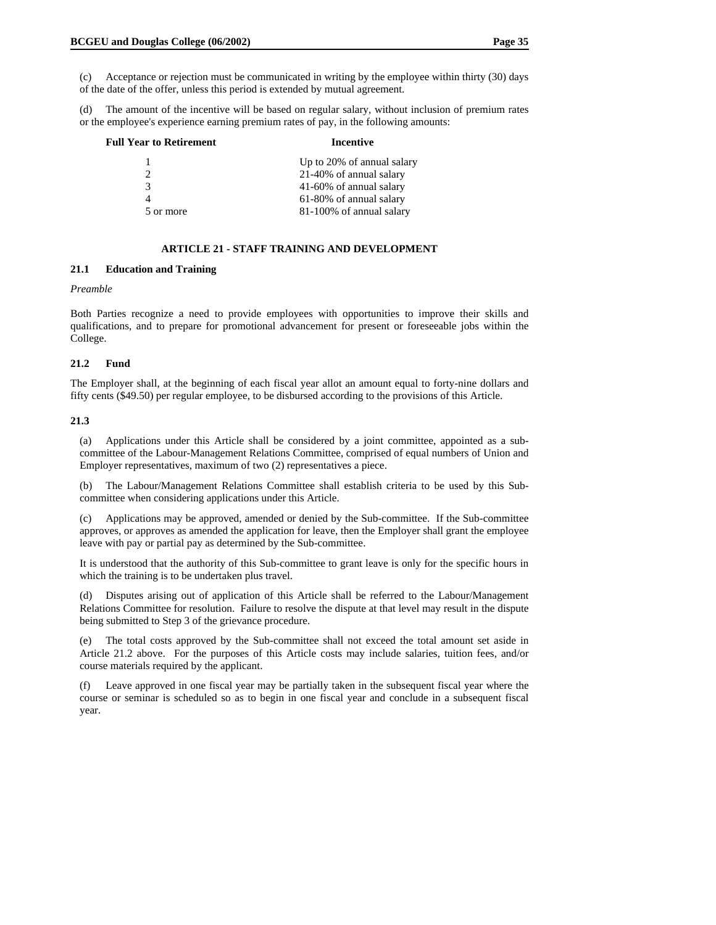(c) Acceptance or rejection must be communicated in writing by the employee within thirty (30) days of the date of the offer, unless this period is extended by mutual agreement.

(d) The amount of the incentive will be based on regular salary, without inclusion of premium rates or the employee's experience earning premium rates of pay, in the following amounts:

| <b>Full Year to Retirement</b> | Incentive                  |  |  |
|--------------------------------|----------------------------|--|--|
|                                | Up to 20% of annual salary |  |  |
| $\mathfrak{D}$                 | 21-40% of annual salary    |  |  |
| 3                              | 41-60% of annual salary    |  |  |
|                                | 61-80% of annual salary    |  |  |
| 5 or more                      | 81-100% of annual salary   |  |  |

## **ARTICLE 21 - STAFF TRAINING AND DEVELOPMENT**

## **21.1 Education and Training**

#### *Preamble*

Both Parties recognize a need to provide employees with opportunities to improve their skills and qualifications, and to prepare for promotional advancement for present or foreseeable jobs within the College.

#### **21.2 Fund**

The Employer shall, at the beginning of each fiscal year allot an amount equal to forty-nine dollars and fifty cents (\$49.50) per regular employee, to be disbursed according to the provisions of this Article.

#### **21.3**

(a) Applications under this Article shall be considered by a joint committee, appointed as a subcommittee of the Labour-Management Relations Committee, comprised of equal numbers of Union and Employer representatives, maximum of two (2) representatives a piece.

(b) The Labour/Management Relations Committee shall establish criteria to be used by this Subcommittee when considering applications under this Article.

(c) Applications may be approved, amended or denied by the Sub-committee. If the Sub-committee approves, or approves as amended the application for leave, then the Employer shall grant the employee leave with pay or partial pay as determined by the Sub-committee.

It is understood that the authority of this Sub-committee to grant leave is only for the specific hours in which the training is to be undertaken plus travel.

(d) Disputes arising out of application of this Article shall be referred to the Labour/Management Relations Committee for resolution. Failure to resolve the dispute at that level may result in the dispute being submitted to Step 3 of the grievance procedure.

(e) The total costs approved by the Sub-committee shall not exceed the total amount set aside in Article 21.2 above. For the purposes of this Article costs may include salaries, tuition fees, and/or course materials required by the applicant.

(f) Leave approved in one fiscal year may be partially taken in the subsequent fiscal year where the course or seminar is scheduled so as to begin in one fiscal year and conclude in a subsequent fiscal year.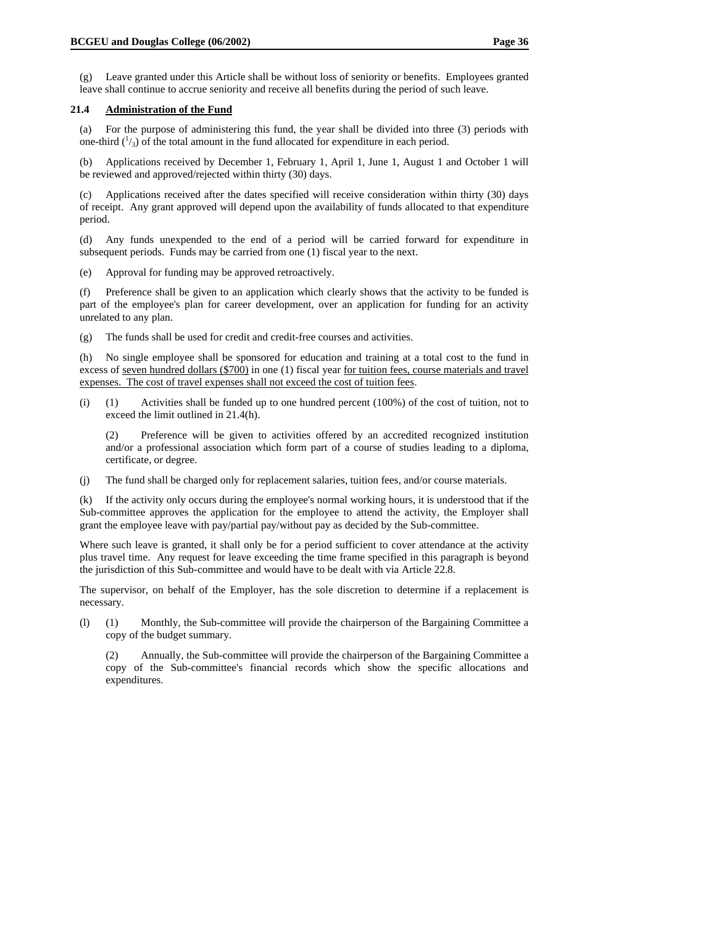(g) Leave granted under this Article shall be without loss of seniority or benefits. Employees granted leave shall continue to accrue seniority and receive all benefits during the period of such leave.

#### **21.4 Administration of the Fund**

(a) For the purpose of administering this fund, the year shall be divided into three (3) periods with one-third  $\binom{1}{3}$  of the total amount in the fund allocated for expenditure in each period.

(b) Applications received by December 1, February 1, April 1, June 1, August 1 and October 1 will be reviewed and approved/rejected within thirty (30) days.

(c) Applications received after the dates specified will receive consideration within thirty (30) days of receipt. Any grant approved will depend upon the availability of funds allocated to that expenditure period.

(d) Any funds unexpended to the end of a period will be carried forward for expenditure in subsequent periods. Funds may be carried from one (1) fiscal year to the next.

(e) Approval for funding may be approved retroactively.

(f) Preference shall be given to an application which clearly shows that the activity to be funded is part of the employee's plan for career development, over an application for funding for an activity unrelated to any plan.

(g) The funds shall be used for credit and credit-free courses and activities.

(h) No single employee shall be sponsored for education and training at a total cost to the fund in excess of seven hundred dollars (\$700) in one (1) fiscal year for tuition fees, course materials and travel expenses. The cost of travel expenses shall not exceed the cost of tuition fees.

(i) (1) Activities shall be funded up to one hundred percent (100%) of the cost of tuition, not to exceed the limit outlined in 21.4(h).

(2) Preference will be given to activities offered by an accredited recognized institution and/or a professional association which form part of a course of studies leading to a diploma, certificate, or degree.

(j) The fund shall be charged only for replacement salaries, tuition fees, and/or course materials.

(k) If the activity only occurs during the employee's normal working hours, it is understood that if the Sub-committee approves the application for the employee to attend the activity, the Employer shall grant the employee leave with pay/partial pay/without pay as decided by the Sub-committee.

Where such leave is granted, it shall only be for a period sufficient to cover attendance at the activity plus travel time. Any request for leave exceeding the time frame specified in this paragraph is beyond the jurisdiction of this Sub-committee and would have to be dealt with via Article 22.8.

The supervisor, on behalf of the Employer, has the sole discretion to determine if a replacement is necessary.

(l) (1) Monthly, the Sub-committee will provide the chairperson of the Bargaining Committee a copy of the budget summary.

(2) Annually, the Sub-committee will provide the chairperson of the Bargaining Committee a copy of the Sub-committee's financial records which show the specific allocations and expenditures.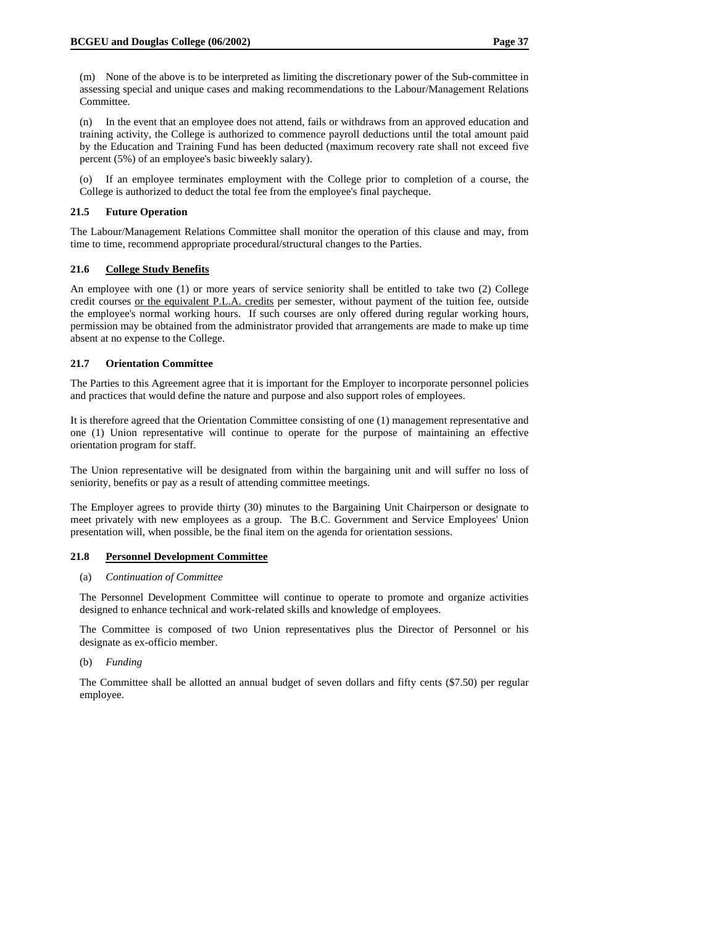(m) None of the above is to be interpreted as limiting the discretionary power of the Sub-committee in assessing special and unique cases and making recommendations to the Labour/Management Relations Committee.

(n) In the event that an employee does not attend, fails or withdraws from an approved education and training activity, the College is authorized to commence payroll deductions until the total amount paid by the Education and Training Fund has been deducted (maximum recovery rate shall not exceed five percent (5%) of an employee's basic biweekly salary).

(o) If an employee terminates employment with the College prior to completion of a course, the College is authorized to deduct the total fee from the employee's final paycheque.

#### **21.5 Future Operation**

The Labour/Management Relations Committee shall monitor the operation of this clause and may, from time to time, recommend appropriate procedural/structural changes to the Parties.

## **21.6 College Study Benefits**

An employee with one (1) or more years of service seniority shall be entitled to take two (2) College credit courses or the equivalent P.L.A. credits per semester, without payment of the tuition fee, outside the employee's normal working hours. If such courses are only offered during regular working hours, permission may be obtained from the administrator provided that arrangements are made to make up time absent at no expense to the College.

## **21.7 Orientation Committee**

The Parties to this Agreement agree that it is important for the Employer to incorporate personnel policies and practices that would define the nature and purpose and also support roles of employees.

It is therefore agreed that the Orientation Committee consisting of one (1) management representative and one (1) Union representative will continue to operate for the purpose of maintaining an effective orientation program for staff.

The Union representative will be designated from within the bargaining unit and will suffer no loss of seniority, benefits or pay as a result of attending committee meetings.

The Employer agrees to provide thirty (30) minutes to the Bargaining Unit Chairperson or designate to meet privately with new employees as a group. The B.C. Government and Service Employees' Union presentation will, when possible, be the final item on the agenda for orientation sessions.

#### **21.8 Personnel Development Committee**

## (a) *Continuation of Committee*

The Personnel Development Committee will continue to operate to promote and organize activities designed to enhance technical and work-related skills and knowledge of employees.

The Committee is composed of two Union representatives plus the Director of Personnel or his designate as ex-officio member.

#### (b) *Funding*

The Committee shall be allotted an annual budget of seven dollars and fifty cents (\$7.50) per regular employee.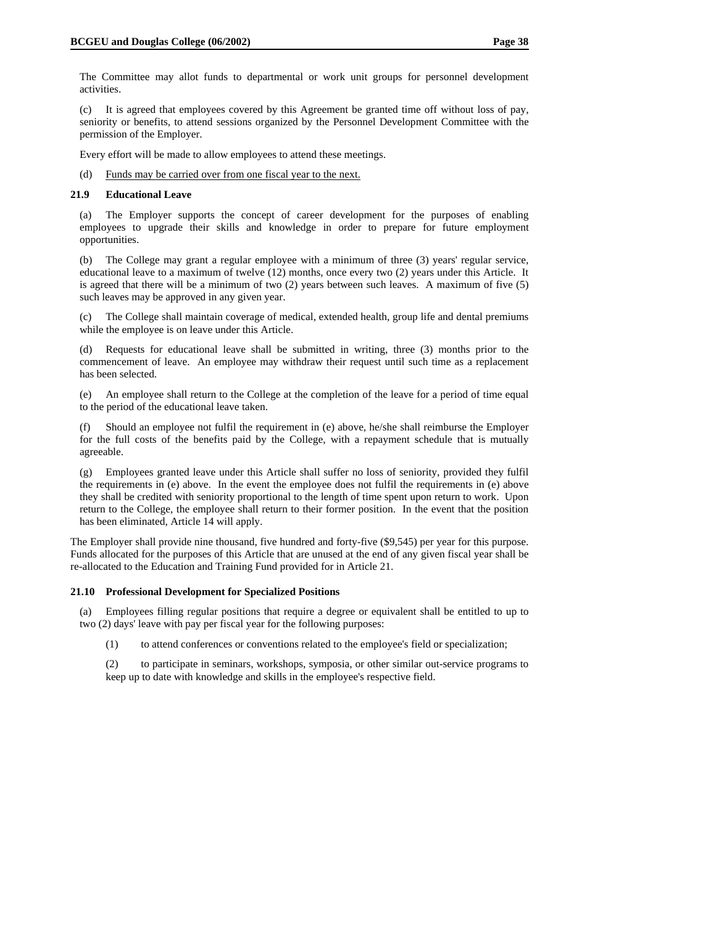The Committee may allot funds to departmental or work unit groups for personnel development activities.

(c) It is agreed that employees covered by this Agreement be granted time off without loss of pay, seniority or benefits, to attend sessions organized by the Personnel Development Committee with the permission of the Employer.

Every effort will be made to allow employees to attend these meetings.

(d) Funds may be carried over from one fiscal year to the next.

#### **21.9 Educational Leave**

(a) The Employer supports the concept of career development for the purposes of enabling employees to upgrade their skills and knowledge in order to prepare for future employment opportunities.

(b) The College may grant a regular employee with a minimum of three (3) years' regular service, educational leave to a maximum of twelve (12) months, once every two (2) years under this Article. It is agreed that there will be a minimum of two (2) years between such leaves. A maximum of five (5) such leaves may be approved in any given year.

(c) The College shall maintain coverage of medical, extended health, group life and dental premiums while the employee is on leave under this Article.

(d) Requests for educational leave shall be submitted in writing, three (3) months prior to the commencement of leave. An employee may withdraw their request until such time as a replacement has been selected.

(e) An employee shall return to the College at the completion of the leave for a period of time equal to the period of the educational leave taken.

(f) Should an employee not fulfil the requirement in (e) above, he/she shall reimburse the Employer for the full costs of the benefits paid by the College, with a repayment schedule that is mutually agreeable.

(g) Employees granted leave under this Article shall suffer no loss of seniority, provided they fulfil the requirements in (e) above. In the event the employee does not fulfil the requirements in (e) above they shall be credited with seniority proportional to the length of time spent upon return to work. Upon return to the College, the employee shall return to their former position. In the event that the position has been eliminated, Article 14 will apply.

The Employer shall provide nine thousand, five hundred and forty-five (\$9,545) per year for this purpose. Funds allocated for the purposes of this Article that are unused at the end of any given fiscal year shall be re-allocated to the Education and Training Fund provided for in Article 21.

#### **21.10 Professional Development for Specialized Positions**

(a) Employees filling regular positions that require a degree or equivalent shall be entitled to up to two (2) days' leave with pay per fiscal year for the following purposes:

(1) to attend conferences or conventions related to the employee's field or specialization;

(2) to participate in seminars, workshops, symposia, or other similar out-service programs to keep up to date with knowledge and skills in the employee's respective field.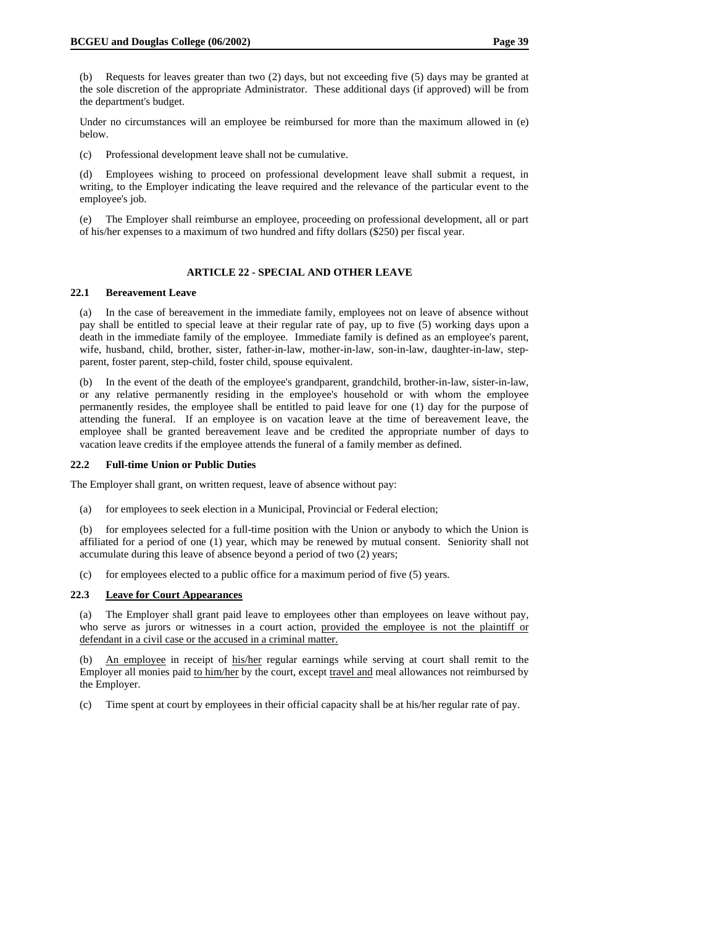(b) Requests for leaves greater than two (2) days, but not exceeding five (5) days may be granted at the sole discretion of the appropriate Administrator. These additional days (if approved) will be from the department's budget.

Under no circumstances will an employee be reimbursed for more than the maximum allowed in (e) below.

(c) Professional development leave shall not be cumulative.

(d) Employees wishing to proceed on professional development leave shall submit a request, in writing, to the Employer indicating the leave required and the relevance of the particular event to the employee's job.

(e) The Employer shall reimburse an employee, proceeding on professional development, all or part of his/her expenses to a maximum of two hundred and fifty dollars (\$250) per fiscal year.

#### **ARTICLE 22 - SPECIAL AND OTHER LEAVE**

#### **22.1 Bereavement Leave**

(a) In the case of bereavement in the immediate family, employees not on leave of absence without pay shall be entitled to special leave at their regular rate of pay, up to five (5) working days upon a death in the immediate family of the employee. Immediate family is defined as an employee's parent, wife, husband, child, brother, sister, father-in-law, mother-in-law, son-in-law, daughter-in-law, stepparent, foster parent, step-child, foster child, spouse equivalent.

(b) In the event of the death of the employee's grandparent, grandchild, brother-in-law, sister-in-law, or any relative permanently residing in the employee's household or with whom the employee permanently resides, the employee shall be entitled to paid leave for one (1) day for the purpose of attending the funeral. If an employee is on vacation leave at the time of bereavement leave, the employee shall be granted bereavement leave and be credited the appropriate number of days to vacation leave credits if the employee attends the funeral of a family member as defined.

#### **22.2 Full-time Union or Public Duties**

The Employer shall grant, on written request, leave of absence without pay:

(a) for employees to seek election in a Municipal, Provincial or Federal election;

(b) for employees selected for a full-time position with the Union or anybody to which the Union is affiliated for a period of one (1) year, which may be renewed by mutual consent. Seniority shall not accumulate during this leave of absence beyond a period of two (2) years;

(c) for employees elected to a public office for a maximum period of five (5) years.

## **22.3 Leave for Court Appearances**

(a) The Employer shall grant paid leave to employees other than employees on leave without pay, who serve as jurors or witnesses in a court action, provided the employee is not the plaintiff or defendant in a civil case or the accused in a criminal matter.

(b) An employee in receipt of his/her regular earnings while serving at court shall remit to the Employer all monies paid to him/her by the court, except travel and meal allowances not reimbursed by the Employer.

(c) Time spent at court by employees in their official capacity shall be at his/her regular rate of pay.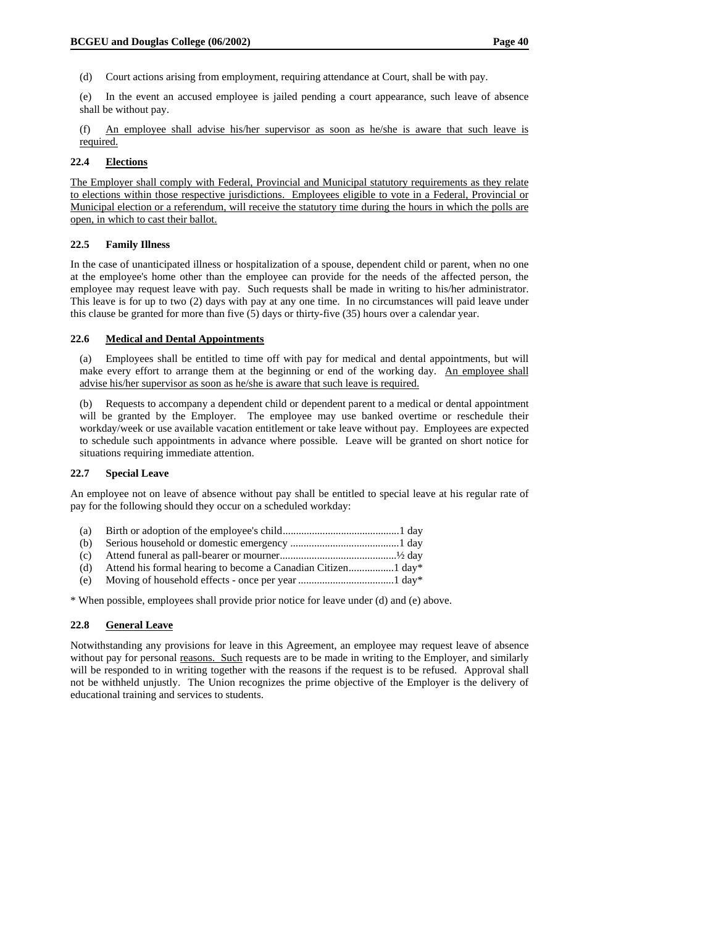(d) Court actions arising from employment, requiring attendance at Court, shall be with pay.

(e) In the event an accused employee is jailed pending a court appearance, such leave of absence shall be without pay.

(f) An employee shall advise his/her supervisor as soon as he/she is aware that such leave is required.

## **22.4 Elections**

The Employer shall comply with Federal, Provincial and Municipal statutory requirements as they relate to elections within those respective jurisdictions. Employees eligible to vote in a Federal, Provincial or Municipal election or a referendum, will receive the statutory time during the hours in which the polls are open, in which to cast their ballot.

## **22.5 Family Illness**

In the case of unanticipated illness or hospitalization of a spouse, dependent child or parent, when no one at the employee's home other than the employee can provide for the needs of the affected person, the employee may request leave with pay. Such requests shall be made in writing to his/her administrator. This leave is for up to two (2) days with pay at any one time. In no circumstances will paid leave under this clause be granted for more than five (5) days or thirty-five (35) hours over a calendar year.

## **22.6 Medical and Dental Appointments**

(a) Employees shall be entitled to time off with pay for medical and dental appointments, but will make every effort to arrange them at the beginning or end of the working day. An employee shall advise his/her supervisor as soon as he/she is aware that such leave is required.

(b) Requests to accompany a dependent child or dependent parent to a medical or dental appointment will be granted by the Employer. The employee may use banked overtime or reschedule their workday/week or use available vacation entitlement or take leave without pay. Employees are expected to schedule such appointments in advance where possible. Leave will be granted on short notice for situations requiring immediate attention.

## **22.7 Special Leave**

An employee not on leave of absence without pay shall be entitled to special leave at his regular rate of pay for the following should they occur on a scheduled workday:

| (a) |  |
|-----|--|
|     |  |

- (b) Serious household or domestic emergency .........................................1 day
- (c) Attend funeral as pall-bearer or mourner............................................½ day
- (d) Attend his formal hearing to become a Canadian Citizen.................1 day\*
- (e) Moving of household effects once per year ....................................1 day\*

\* When possible, employees shall provide prior notice for leave under (d) and (e) above.

## **22.8 General Leave**

Notwithstanding any provisions for leave in this Agreement, an employee may request leave of absence without pay for personal <u>reasons. Such</u> requests are to be made in writing to the Employer, and similarly will be responded to in writing together with the reasons if the request is to be refused. Approval shall not be withheld unjustly. The Union recognizes the prime objective of the Employer is the delivery of educational training and services to students.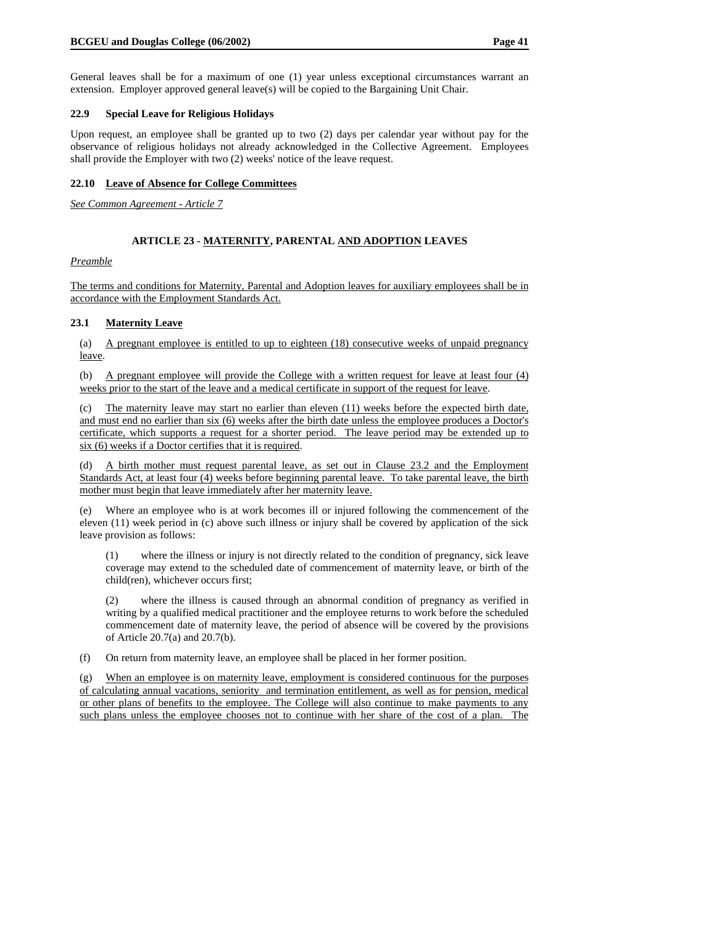General leaves shall be for a maximum of one (1) year unless exceptional circumstances warrant an extension. Employer approved general leave(s) will be copied to the Bargaining Unit Chair.

#### **22.9 Special Leave for Religious Holidays**

Upon request, an employee shall be granted up to two (2) days per calendar year without pay for the observance of religious holidays not already acknowledged in the Collective Agreement. Employees shall provide the Employer with two (2) weeks' notice of the leave request.

## **22.10 Leave of Absence for College Committees**

*See Common Agreement - Article 7*

## **ARTICLE 23 - MATERNITY, PARENTAL AND ADOPTION LEAVES**

*Preamble*

The terms and conditions for Maternity, Parental and Adoption leaves for auxiliary employees shall be in accordance with the Employment Standards Act.

## **23.1 Maternity Leave**

(a) A pregnant employee is entitled to up to eighteen (18) consecutive weeks of unpaid pregnancy leave.

(b) A pregnant employee will provide the College with a written request for leave at least four (4) weeks prior to the start of the leave and a medical certificate in support of the request for leave.

(c) The maternity leave may start no earlier than eleven (11) weeks before the expected birth date, and must end no earlier than six (6) weeks after the birth date unless the employee produces a Doctor's certificate, which supports a request for a shorter period. The leave period may be extended up to six (6) weeks if a Doctor certifies that it is required.

(d) A birth mother must request parental leave, as set out in Clause 23.2 and the Employment Standards Act, at least four (4) weeks before beginning parental leave. To take parental leave, the birth mother must begin that leave immediately after her maternity leave.

(e) Where an employee who is at work becomes ill or injured following the commencement of the eleven (11) week period in (c) above such illness or injury shall be covered by application of the sick leave provision as follows:

(1) where the illness or injury is not directly related to the condition of pregnancy, sick leave coverage may extend to the scheduled date of commencement of maternity leave, or birth of the child(ren), whichever occurs first;

(2) where the illness is caused through an abnormal condition of pregnancy as verified in writing by a qualified medical practitioner and the employee returns to work before the scheduled commencement date of maternity leave, the period of absence will be covered by the provisions of Article 20.7(a) and 20.7(b).

(f) On return from maternity leave, an employee shall be placed in her former position.

(g) When an employee is on maternity leave, employment is considered continuous for the purposes of calculating annual vacations, seniority and termination entitlement, as well as for pension, medical or other plans of benefits to the employee. The College will also continue to make payments to any such plans unless the employee chooses not to continue with her share of the cost of a plan. The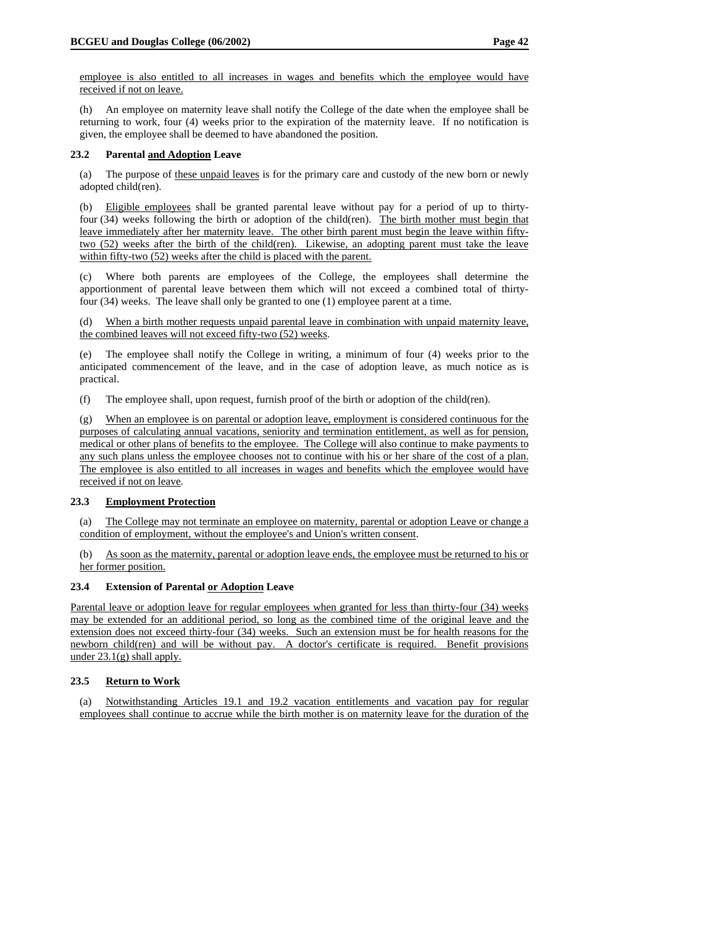employee is also entitled to all increases in wages and benefits which the employee would have received if not on leave.

(h) An employee on maternity leave shall notify the College of the date when the employee shall be returning to work, four (4) weeks prior to the expiration of the maternity leave. If no notification is given, the employee shall be deemed to have abandoned the position.

## **23.2 Parental and Adoption Leave**

(a) The purpose of these unpaid leaves is for the primary care and custody of the new born or newly adopted child(ren).

(b) Eligible employees shall be granted parental leave without pay for a period of up to thirtyfour (34) weeks following the birth or adoption of the child(ren). The birth mother must begin that leave immediately after her maternity leave. The other birth parent must begin the leave within fiftytwo (52) weeks after the birth of the child(ren). Likewise, an adopting parent must take the leave within fifty-two (52) weeks after the child is placed with the parent.

(c) Where both parents are employees of the College, the employees shall determine the apportionment of parental leave between them which will not exceed a combined total of thirtyfour (34) weeks. The leave shall only be granted to one (1) employee parent at a time.

(d) When a birth mother requests unpaid parental leave in combination with unpaid maternity leave, the combined leaves will not exceed fifty-two (52) weeks.

(e) The employee shall notify the College in writing, a minimum of four (4) weeks prior to the anticipated commencement of the leave, and in the case of adoption leave, as much notice as is practical.

(f) The employee shall, upon request, furnish proof of the birth or adoption of the child(ren).

(g) When an employee is on parental or adoption leave, employment is considered continuous for the purposes of calculating annual vacations, seniority and termination entitlement, as well as for pension, medical or other plans of benefits to the employee. The College will also continue to make payments to any such plans unless the employee chooses not to continue with his or her share of the cost of a plan. The employee is also entitled to all increases in wages and benefits which the employee would have received if not on leave.

## **23.3 Employment Protection**

(a) The College may not terminate an employee on maternity, parental or adoption Leave or change a condition of employment, without the employee's and Union's written consent.

(b) As soon as the maternity, parental or adoption leave ends, the employee must be returned to his or her former position.

#### **23.4 Extension of Parental or Adoption Leave**

Parental leave or adoption leave for regular employees when granted for less than thirty-four (34) weeks may be extended for an additional period, so long as the combined time of the original leave and the extension does not exceed thirty-four (34) weeks. Such an extension must be for health reasons for the newborn child(ren) and will be without pay. A doctor's certificate is required. Benefit provisions under 23.1(g) shall apply.

## **23.5 Return to Work**

(a) Notwithstanding Articles 19.1 and 19.2 vacation entitlements and vacation pay for regular employees shall continue to accrue while the birth mother is on maternity leave for the duration of the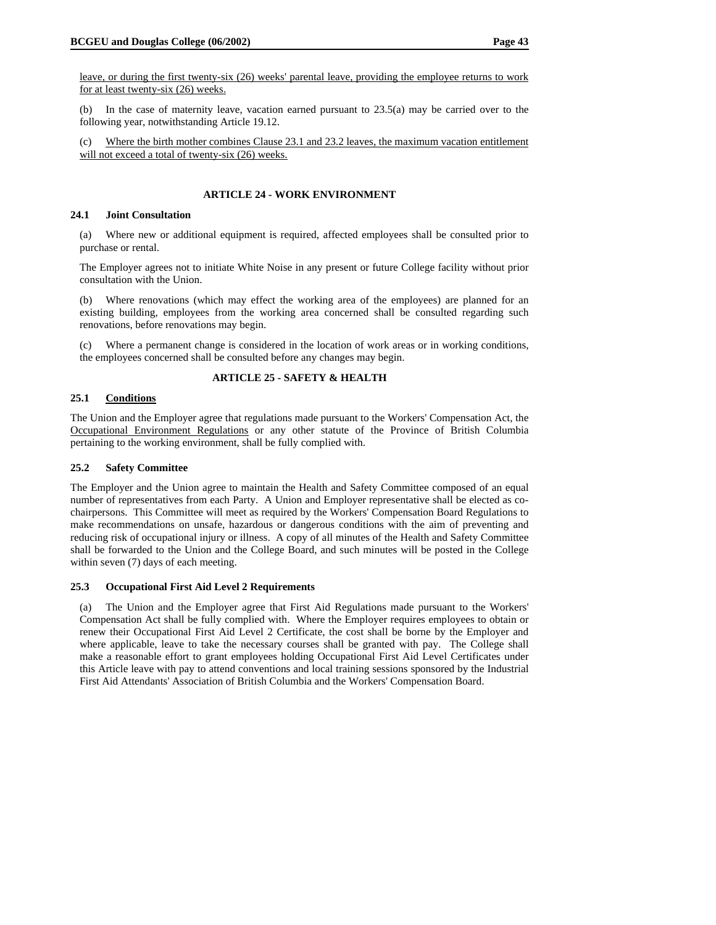leave, or during the first twenty-six (26) weeks' parental leave, providing the employee returns to work for at least twenty-six (26) weeks.

(b) In the case of maternity leave, vacation earned pursuant to 23.5(a) may be carried over to the following year, notwithstanding Article 19.12.

(c) Where the birth mother combines Clause 23.1 and 23.2 leaves, the maximum vacation entitlement will not exceed a total of twenty-six (26) weeks.

## **ARTICLE 24 - WORK ENVIRONMENT**

#### **24.1 Joint Consultation**

(a) Where new or additional equipment is required, affected employees shall be consulted prior to purchase or rental.

The Employer agrees not to initiate White Noise in any present or future College facility without prior consultation with the Union.

(b) Where renovations (which may effect the working area of the employees) are planned for an existing building, employees from the working area concerned shall be consulted regarding such renovations, before renovations may begin.

(c) Where a permanent change is considered in the location of work areas or in working conditions, the employees concerned shall be consulted before any changes may begin.

## **ARTICLE 25 - SAFETY & HEALTH**

## **25.1 Conditions**

The Union and the Employer agree that regulations made pursuant to the Workers' Compensation Act, the Occupational Environment Regulations or any other statute of the Province of British Columbia pertaining to the working environment, shall be fully complied with.

## **25.2 Safety Committee**

The Employer and the Union agree to maintain the Health and Safety Committee composed of an equal number of representatives from each Party. A Union and Employer representative shall be elected as cochairpersons. This Committee will meet as required by the Workers' Compensation Board Regulations to make recommendations on unsafe, hazardous or dangerous conditions with the aim of preventing and reducing risk of occupational injury or illness. A copy of all minutes of the Health and Safety Committee shall be forwarded to the Union and the College Board, and such minutes will be posted in the College within seven (7) days of each meeting.

#### **25.3 Occupational First Aid Level 2 Requirements**

(a) The Union and the Employer agree that First Aid Regulations made pursuant to the Workers' Compensation Act shall be fully complied with. Where the Employer requires employees to obtain or renew their Occupational First Aid Level 2 Certificate, the cost shall be borne by the Employer and where applicable, leave to take the necessary courses shall be granted with pay. The College shall make a reasonable effort to grant employees holding Occupational First Aid Level Certificates under this Article leave with pay to attend conventions and local training sessions sponsored by the Industrial First Aid Attendants' Association of British Columbia and the Workers' Compensation Board.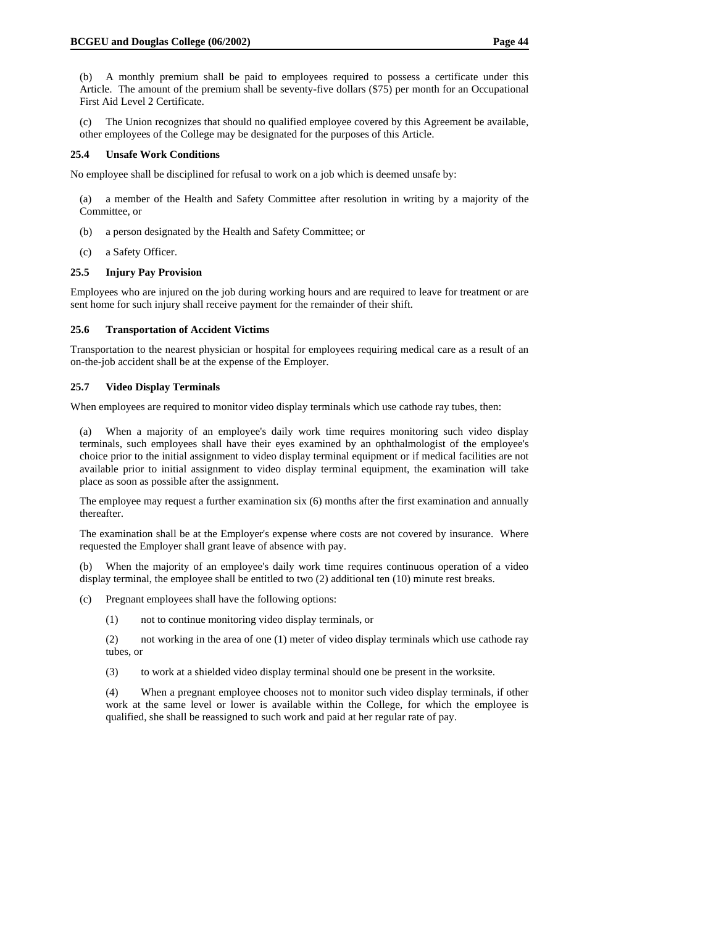(c) The Union recognizes that should no qualified employee covered by this Agreement be available, other employees of the College may be designated for the purposes of this Article.

#### **25.4 Unsafe Work Conditions**

No employee shall be disciplined for refusal to work on a job which is deemed unsafe by:

(a) a member of the Health and Safety Committee after resolution in writing by a majority of the Committee, or

- (b) a person designated by the Health and Safety Committee; or
- (c) a Safety Officer.

## **25.5 Injury Pay Provision**

Employees who are injured on the job during working hours and are required to leave for treatment or are sent home for such injury shall receive payment for the remainder of their shift.

## **25.6 Transportation of Accident Victims**

Transportation to the nearest physician or hospital for employees requiring medical care as a result of an on-the-job accident shall be at the expense of the Employer.

## **25.7 Video Display Terminals**

When employees are required to monitor video display terminals which use cathode ray tubes, then:

(a) When a majority of an employee's daily work time requires monitoring such video display terminals, such employees shall have their eyes examined by an ophthalmologist of the employee's choice prior to the initial assignment to video display terminal equipment or if medical facilities are not available prior to initial assignment to video display terminal equipment, the examination will take place as soon as possible after the assignment.

The employee may request a further examination six (6) months after the first examination and annually thereafter.

The examination shall be at the Employer's expense where costs are not covered by insurance. Where requested the Employer shall grant leave of absence with pay.

(b) When the majority of an employee's daily work time requires continuous operation of a video display terminal, the employee shall be entitled to two (2) additional ten (10) minute rest breaks.

(c) Pregnant employees shall have the following options:

(1) not to continue monitoring video display terminals, or

(2) not working in the area of one (1) meter of video display terminals which use cathode ray tubes, or

(3) to work at a shielded video display terminal should one be present in the worksite.

(4) When a pregnant employee chooses not to monitor such video display terminals, if other work at the same level or lower is available within the College, for which the employee is qualified, she shall be reassigned to such work and paid at her regular rate of pay.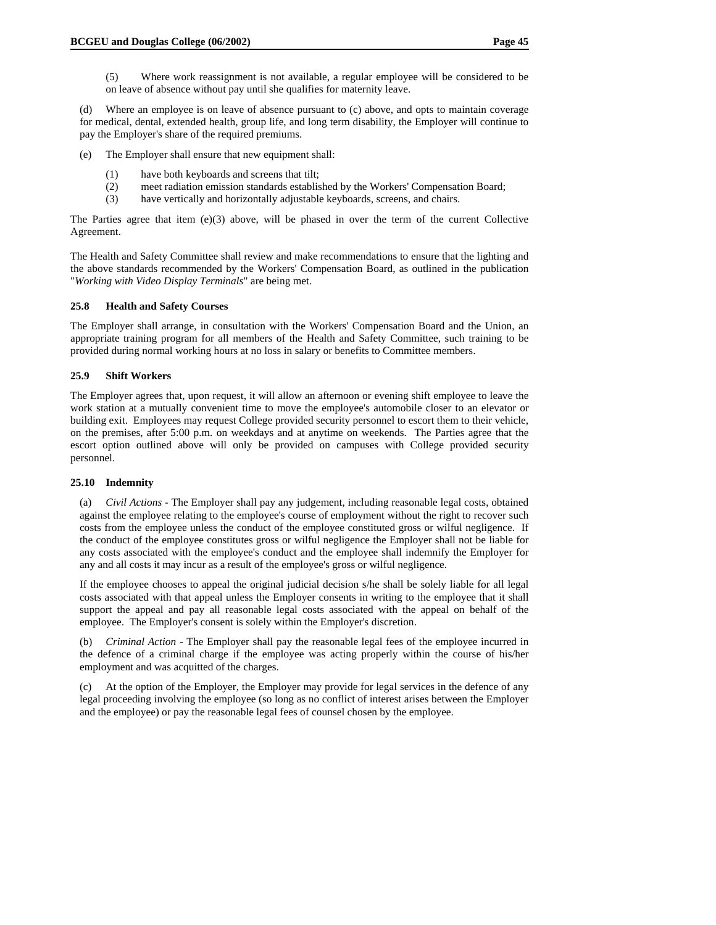(d) Where an employee is on leave of absence pursuant to (c) above, and opts to maintain coverage for medical, dental, extended health, group life, and long term disability, the Employer will continue to pay the Employer's share of the required premiums.

- (e) The Employer shall ensure that new equipment shall:
	- (1) have both keyboards and screens that tilt;
	- (2) meet radiation emission standards established by the Workers' Compensation Board;
	- (3) have vertically and horizontally adjustable keyboards, screens, and chairs.

The Parties agree that item  $(e)(3)$  above, will be phased in over the term of the current Collective Agreement.

The Health and Safety Committee shall review and make recommendations to ensure that the lighting and the above standards recommended by the Workers' Compensation Board, as outlined in the publication "*Working with Video Display Terminals*" are being met.

## **25.8 Health and Safety Courses**

The Employer shall arrange, in consultation with the Workers' Compensation Board and the Union, an appropriate training program for all members of the Health and Safety Committee, such training to be provided during normal working hours at no loss in salary or benefits to Committee members.

## **25.9 Shift Workers**

The Employer agrees that, upon request, it will allow an afternoon or evening shift employee to leave the work station at a mutually convenient time to move the employee's automobile closer to an elevator or building exit. Employees may request College provided security personnel to escort them to their vehicle, on the premises, after 5:00 p.m. on weekdays and at anytime on weekends. The Parties agree that the escort option outlined above will only be provided on campuses with College provided security personnel.

#### **25.10 Indemnity**

(a) *Civil Actions* - The Employer shall pay any judgement, including reasonable legal costs, obtained against the employee relating to the employee's course of employment without the right to recover such costs from the employee unless the conduct of the employee constituted gross or wilful negligence. If the conduct of the employee constitutes gross or wilful negligence the Employer shall not be liable for any costs associated with the employee's conduct and the employee shall indemnify the Employer for any and all costs it may incur as a result of the employee's gross or wilful negligence.

If the employee chooses to appeal the original judicial decision s/he shall be solely liable for all legal costs associated with that appeal unless the Employer consents in writing to the employee that it shall support the appeal and pay all reasonable legal costs associated with the appeal on behalf of the employee. The Employer's consent is solely within the Employer's discretion.

(b) *Criminal Action* - The Employer shall pay the reasonable legal fees of the employee incurred in the defence of a criminal charge if the employee was acting properly within the course of his/her employment and was acquitted of the charges.

(c) At the option of the Employer, the Employer may provide for legal services in the defence of any legal proceeding involving the employee (so long as no conflict of interest arises between the Employer and the employee) or pay the reasonable legal fees of counsel chosen by the employee.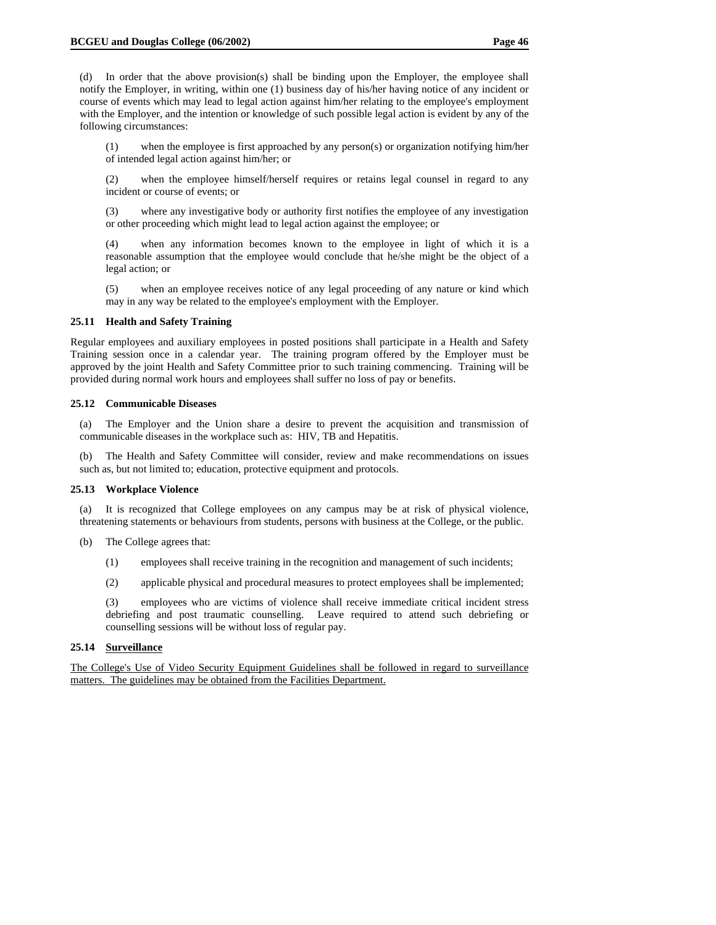(d) In order that the above provision(s) shall be binding upon the Employer, the employee shall notify the Employer, in writing, within one (1) business day of his/her having notice of any incident or course of events which may lead to legal action against him/her relating to the employee's employment with the Employer, and the intention or knowledge of such possible legal action is evident by any of the following circumstances:

(1) when the employee is first approached by any person(s) or organization notifying him/her of intended legal action against him/her; or

(2) when the employee himself/herself requires or retains legal counsel in regard to any incident or course of events; or

(3) where any investigative body or authority first notifies the employee of any investigation or other proceeding which might lead to legal action against the employee; or

(4) when any information becomes known to the employee in light of which it is a reasonable assumption that the employee would conclude that he/she might be the object of a legal action; or

(5) when an employee receives notice of any legal proceeding of any nature or kind which may in any way be related to the employee's employment with the Employer.

#### **25.11 Health and Safety Training**

Regular employees and auxiliary employees in posted positions shall participate in a Health and Safety Training session once in a calendar year. The training program offered by the Employer must be approved by the joint Health and Safety Committee prior to such training commencing. Training will be provided during normal work hours and employees shall suffer no loss of pay or benefits.

#### **25.12 Communicable Diseases**

(a) The Employer and the Union share a desire to prevent the acquisition and transmission of communicable diseases in the workplace such as: HIV, TB and Hepatitis.

(b) The Health and Safety Committee will consider, review and make recommendations on issues such as, but not limited to; education, protective equipment and protocols.

#### **25.13 Workplace Violence**

(a) It is recognized that College employees on any campus may be at risk of physical violence, threatening statements or behaviours from students, persons with business at the College, or the public.

- (b) The College agrees that:
	- (1) employees shall receive training in the recognition and management of such incidents;
	- (2) applicable physical and procedural measures to protect employees shall be implemented;

(3) employees who are victims of violence shall receive immediate critical incident stress debriefing and post traumatic counselling. Leave required to attend such debriefing or counselling sessions will be without loss of regular pay.

#### **25.14 Surveillance**

The College's Use of Video Security Equipment Guidelines shall be followed in regard to surveillance matters. The guidelines may be obtained from the Facilities Department.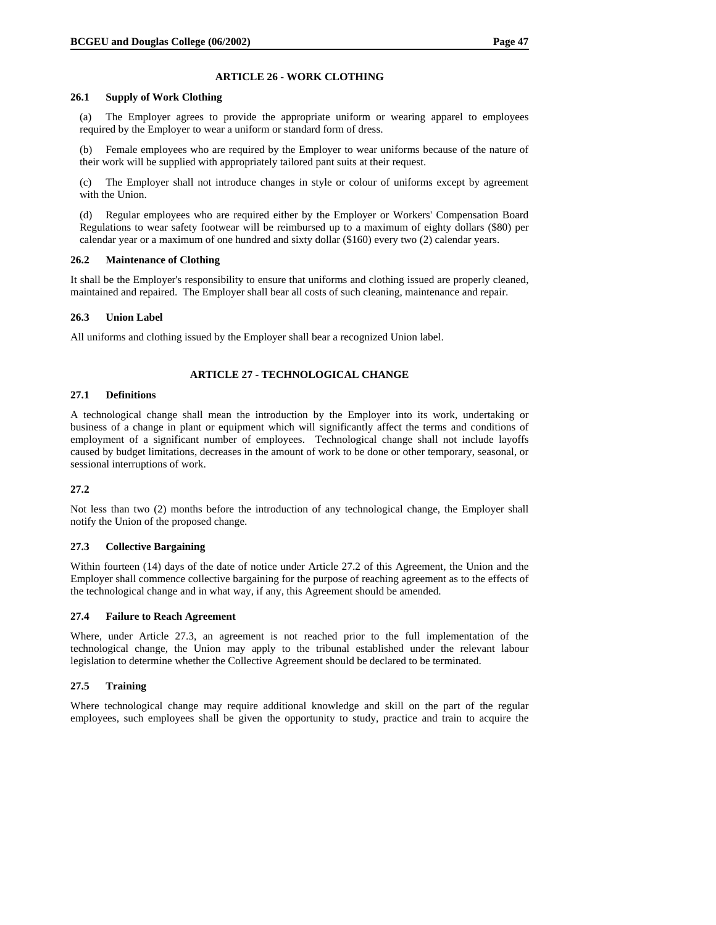## **ARTICLE 26 - WORK CLOTHING**

## **26.1 Supply of Work Clothing**

(a) The Employer agrees to provide the appropriate uniform or wearing apparel to employees required by the Employer to wear a uniform or standard form of dress.

(b) Female employees who are required by the Employer to wear uniforms because of the nature of their work will be supplied with appropriately tailored pant suits at their request.

(c) The Employer shall not introduce changes in style or colour of uniforms except by agreement with the Union.

(d) Regular employees who are required either by the Employer or Workers' Compensation Board Regulations to wear safety footwear will be reimbursed up to a maximum of eighty dollars (\$80) per calendar year or a maximum of one hundred and sixty dollar (\$160) every two (2) calendar years.

## **26.2 Maintenance of Clothing**

It shall be the Employer's responsibility to ensure that uniforms and clothing issued are properly cleaned, maintained and repaired. The Employer shall bear all costs of such cleaning, maintenance and repair.

## **26.3 Union Label**

All uniforms and clothing issued by the Employer shall bear a recognized Union label.

## **ARTICLE 27 - TECHNOLOGICAL CHANGE**

## **27.1 Definitions**

A technological change shall mean the introduction by the Employer into its work, undertaking or business of a change in plant or equipment which will significantly affect the terms and conditions of employment of a significant number of employees. Technological change shall not include layoffs caused by budget limitations, decreases in the amount of work to be done or other temporary, seasonal, or sessional interruptions of work.

## **27.2**

Not less than two (2) months before the introduction of any technological change, the Employer shall notify the Union of the proposed change.

## **27.3 Collective Bargaining**

Within fourteen (14) days of the date of notice under Article 27.2 of this Agreement, the Union and the Employer shall commence collective bargaining for the purpose of reaching agreement as to the effects of the technological change and in what way, if any, this Agreement should be amended.

#### **27.4 Failure to Reach Agreement**

Where, under Article 27.3, an agreement is not reached prior to the full implementation of the technological change, the Union may apply to the tribunal established under the relevant labour legislation to determine whether the Collective Agreement should be declared to be terminated.

## **27.5 Training**

Where technological change may require additional knowledge and skill on the part of the regular employees, such employees shall be given the opportunity to study, practice and train to acquire the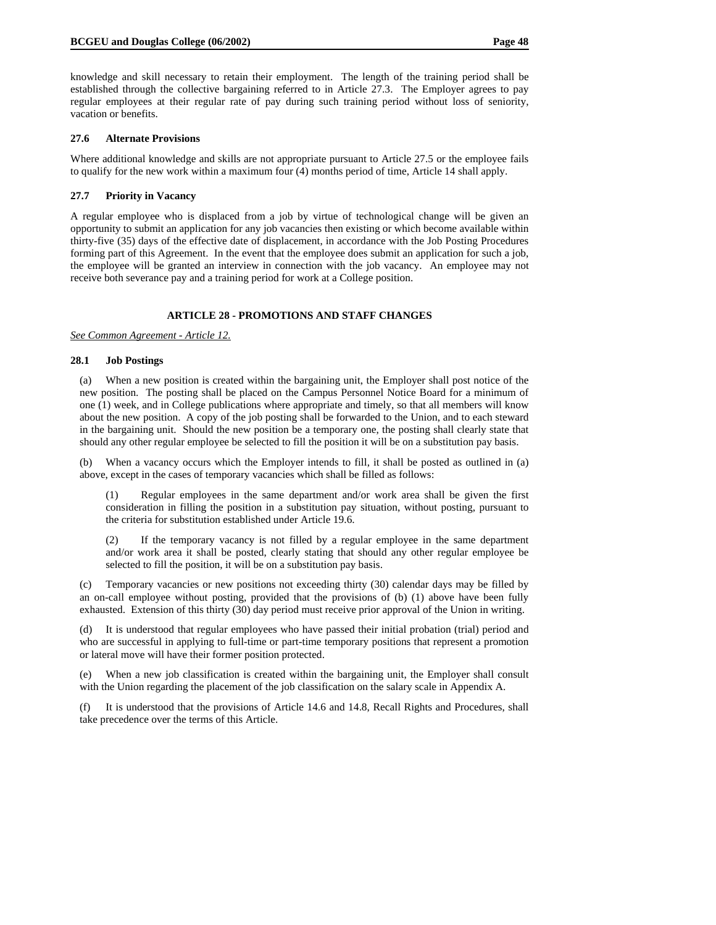knowledge and skill necessary to retain their employment. The length of the training period shall be established through the collective bargaining referred to in Article 27.3. The Employer agrees to pay regular employees at their regular rate of pay during such training period without loss of seniority, vacation or benefits.

#### **27.6 Alternate Provisions**

Where additional knowledge and skills are not appropriate pursuant to Article 27.5 or the employee fails to qualify for the new work within a maximum four (4) months period of time, Article 14 shall apply.

#### **27.7 Priority in Vacancy**

A regular employee who is displaced from a job by virtue of technological change will be given an opportunity to submit an application for any job vacancies then existing or which become available within thirty-five (35) days of the effective date of displacement, in accordance with the Job Posting Procedures forming part of this Agreement. In the event that the employee does submit an application for such a job, the employee will be granted an interview in connection with the job vacancy. An employee may not receive both severance pay and a training period for work at a College position.

#### **ARTICLE 28 - PROMOTIONS AND STAFF CHANGES**

*See Common Agreement - Article 12.*

#### **28.1 Job Postings**

(a) When a new position is created within the bargaining unit, the Employer shall post notice of the new position. The posting shall be placed on the Campus Personnel Notice Board for a minimum of one (1) week, and in College publications where appropriate and timely, so that all members will know about the new position. A copy of the job posting shall be forwarded to the Union, and to each steward in the bargaining unit. Should the new position be a temporary one, the posting shall clearly state that should any other regular employee be selected to fill the position it will be on a substitution pay basis.

(b) When a vacancy occurs which the Employer intends to fill, it shall be posted as outlined in (a) above, except in the cases of temporary vacancies which shall be filled as follows:

(1) Regular employees in the same department and/or work area shall be given the first consideration in filling the position in a substitution pay situation, without posting, pursuant to the criteria for substitution established under Article 19.6.

(2) If the temporary vacancy is not filled by a regular employee in the same department and/or work area it shall be posted, clearly stating that should any other regular employee be selected to fill the position, it will be on a substitution pay basis.

(c) Temporary vacancies or new positions not exceeding thirty (30) calendar days may be filled by an on-call employee without posting, provided that the provisions of (b) (1) above have been fully exhausted. Extension of this thirty (30) day period must receive prior approval of the Union in writing.

(d) It is understood that regular employees who have passed their initial probation (trial) period and who are successful in applying to full-time or part-time temporary positions that represent a promotion or lateral move will have their former position protected.

(e) When a new job classification is created within the bargaining unit, the Employer shall consult with the Union regarding the placement of the job classification on the salary scale in Appendix A.

(f) It is understood that the provisions of Article 14.6 and 14.8, Recall Rights and Procedures, shall take precedence over the terms of this Article.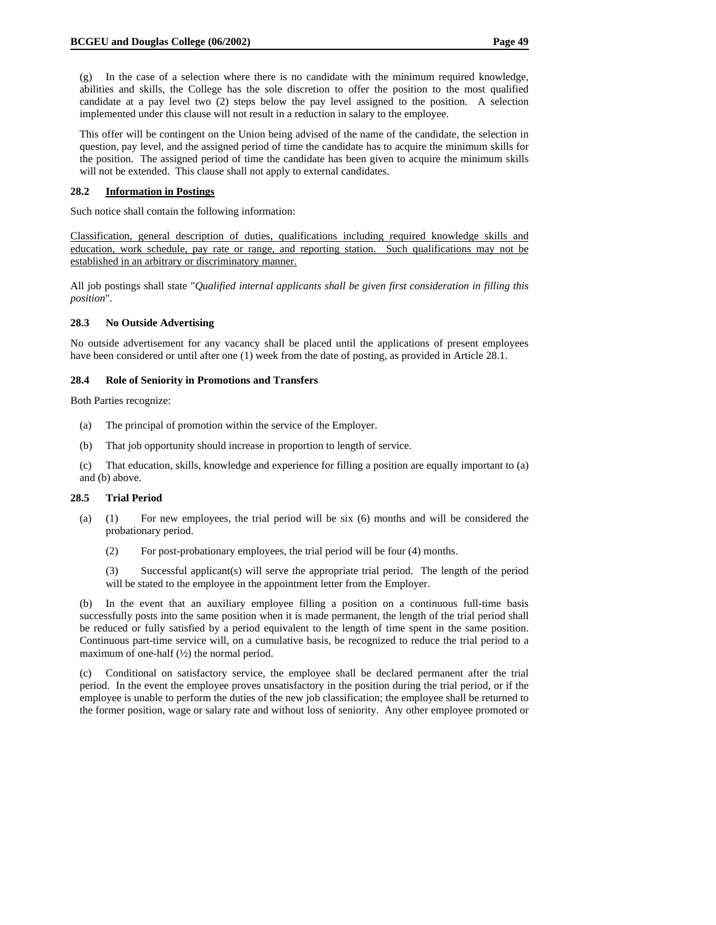(g) In the case of a selection where there is no candidate with the minimum required knowledge, abilities and skills, the College has the sole discretion to offer the position to the most qualified candidate at a pay level two (2) steps below the pay level assigned to the position. A selection implemented under this clause will not result in a reduction in salary to the employee.

This offer will be contingent on the Union being advised of the name of the candidate, the selection in question, pay level, and the assigned period of time the candidate has to acquire the minimum skills for the position. The assigned period of time the candidate has been given to acquire the minimum skills will not be extended. This clause shall not apply to external candidates.

#### **28.2 Information in Postings**

Such notice shall contain the following information:

Classification, general description of duties, qualifications including required knowledge skills and education, work schedule, pay rate or range, and reporting station. Such qualifications may not be established in an arbitrary or discriminatory manner.

All job postings shall state "*Qualified internal applicants shall be given first consideration in filling this position*".

#### **28.3 No Outside Advertising**

No outside advertisement for any vacancy shall be placed until the applications of present employees have been considered or until after one (1) week from the date of posting, as provided in Article 28.1.

#### **28.4 Role of Seniority in Promotions and Transfers**

Both Parties recognize:

- (a) The principal of promotion within the service of the Employer.
- (b) That job opportunity should increase in proportion to length of service.

(c) That education, skills, knowledge and experience for filling a position are equally important to (a) and (b) above.

#### **28.5 Trial Period**

- (a) (1) For new employees, the trial period will be six (6) months and will be considered the probationary period.
	- (2) For post-probationary employees, the trial period will be four (4) months.

(3) Successful applicant(s) will serve the appropriate trial period. The length of the period will be stated to the employee in the appointment letter from the Employer.

(b) In the event that an auxiliary employee filling a position on a continuous full-time basis successfully posts into the same position when it is made permanent, the length of the trial period shall be reduced or fully satisfied by a period equivalent to the length of time spent in the same position. Continuous part-time service will, on a cumulative basis, be recognized to reduce the trial period to a maximum of one-half  $(\frac{1}{2})$  the normal period.

(c) Conditional on satisfactory service, the employee shall be declared permanent after the trial period. In the event the employee proves unsatisfactory in the position during the trial period, or if the employee is unable to perform the duties of the new job classification; the employee shall be returned to the former position, wage or salary rate and without loss of seniority. Any other employee promoted or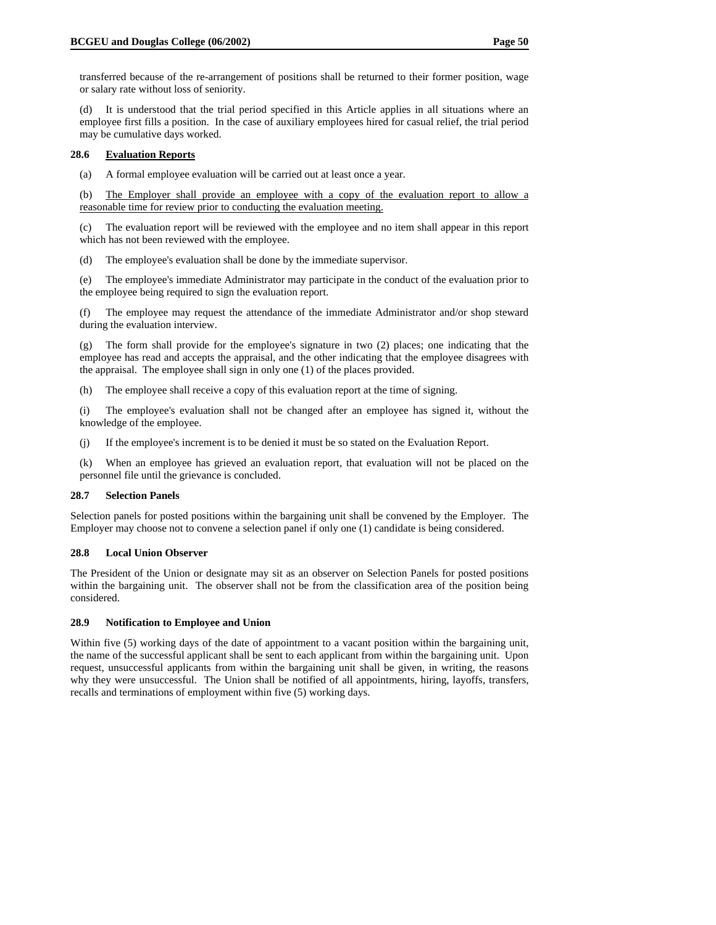transferred because of the re-arrangement of positions shall be returned to their former position, wage or salary rate without loss of seniority.

(d) It is understood that the trial period specified in this Article applies in all situations where an employee first fills a position. In the case of auxiliary employees hired for casual relief, the trial period may be cumulative days worked.

#### **28.6 Evaluation Reports**

(a) A formal employee evaluation will be carried out at least once a year.

(b) The Employer shall provide an employee with a copy of the evaluation report to allow a reasonable time for review prior to conducting the evaluation meeting.

(c) The evaluation report will be reviewed with the employee and no item shall appear in this report which has not been reviewed with the employee.

(d) The employee's evaluation shall be done by the immediate supervisor.

(e) The employee's immediate Administrator may participate in the conduct of the evaluation prior to the employee being required to sign the evaluation report.

(f) The employee may request the attendance of the immediate Administrator and/or shop steward during the evaluation interview.

(g) The form shall provide for the employee's signature in two (2) places; one indicating that the employee has read and accepts the appraisal, and the other indicating that the employee disagrees with the appraisal. The employee shall sign in only one (1) of the places provided.

(h) The employee shall receive a copy of this evaluation report at the time of signing.

(i) The employee's evaluation shall not be changed after an employee has signed it, without the knowledge of the employee.

(j) If the employee's increment is to be denied it must be so stated on the Evaluation Report.

(k) When an employee has grieved an evaluation report, that evaluation will not be placed on the personnel file until the grievance is concluded.

#### **28.7 Selection Panels**

Selection panels for posted positions within the bargaining unit shall be convened by the Employer. The Employer may choose not to convene a selection panel if only one (1) candidate is being considered.

#### **28.8 Local Union Observer**

The President of the Union or designate may sit as an observer on Selection Panels for posted positions within the bargaining unit. The observer shall not be from the classification area of the position being considered.

## **28.9 Notification to Employee and Union**

Within five (5) working days of the date of appointment to a vacant position within the bargaining unit, the name of the successful applicant shall be sent to each applicant from within the bargaining unit. Upon request, unsuccessful applicants from within the bargaining unit shall be given, in writing, the reasons why they were unsuccessful. The Union shall be notified of all appointments, hiring, layoffs, transfers, recalls and terminations of employment within five (5) working days.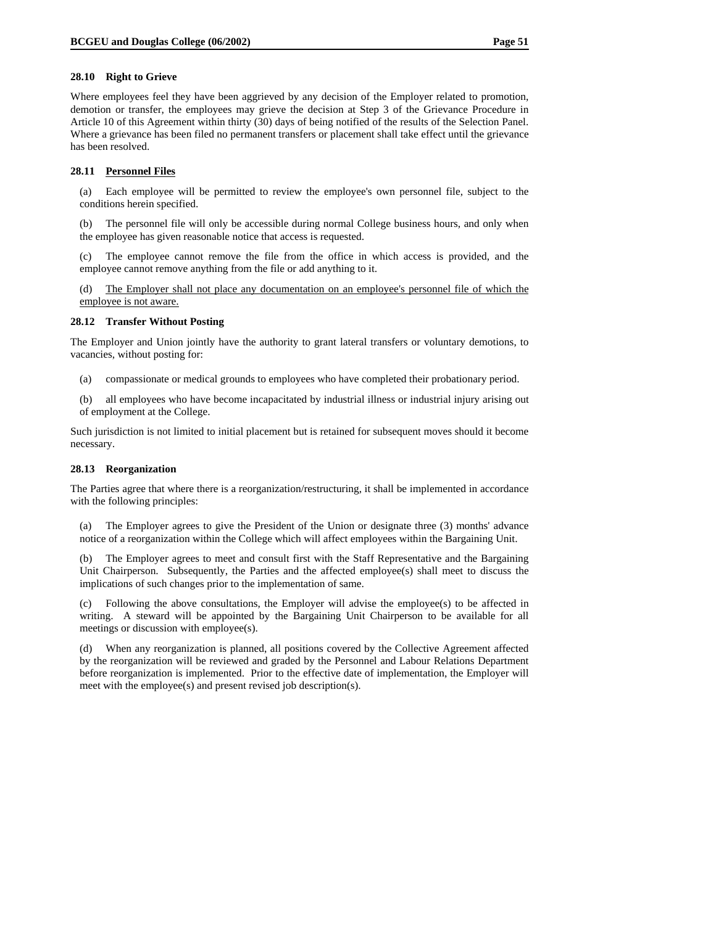#### **28.10 Right to Grieve**

Where employees feel they have been aggrieved by any decision of the Employer related to promotion, demotion or transfer, the employees may grieve the decision at Step 3 of the Grievance Procedure in Article 10 of this Agreement within thirty (30) days of being notified of the results of the Selection Panel. Where a grievance has been filed no permanent transfers or placement shall take effect until the grievance has been resolved.

#### **28.11 Personnel Files**

(a) Each employee will be permitted to review the employee's own personnel file, subject to the conditions herein specified.

(b) The personnel file will only be accessible during normal College business hours, and only when the employee has given reasonable notice that access is requested.

(c) The employee cannot remove the file from the office in which access is provided, and the employee cannot remove anything from the file or add anything to it.

(d) The Employer shall not place any documentation on an employee's personnel file of which the employee is not aware.

#### **28.12 Transfer Without Posting**

The Employer and Union jointly have the authority to grant lateral transfers or voluntary demotions, to vacancies, without posting for:

- (a) compassionate or medical grounds to employees who have completed their probationary period.
- (b) all employees who have become incapacitated by industrial illness or industrial injury arising out of employment at the College.

Such jurisdiction is not limited to initial placement but is retained for subsequent moves should it become necessary.

#### **28.13 Reorganization**

The Parties agree that where there is a reorganization/restructuring, it shall be implemented in accordance with the following principles:

(a) The Employer agrees to give the President of the Union or designate three (3) months' advance notice of a reorganization within the College which will affect employees within the Bargaining Unit.

(b) The Employer agrees to meet and consult first with the Staff Representative and the Bargaining Unit Chairperson. Subsequently, the Parties and the affected employee(s) shall meet to discuss the implications of such changes prior to the implementation of same.

(c) Following the above consultations, the Employer will advise the employee(s) to be affected in writing. A steward will be appointed by the Bargaining Unit Chairperson to be available for all meetings or discussion with employee(s).

(d) When any reorganization is planned, all positions covered by the Collective Agreement affected by the reorganization will be reviewed and graded by the Personnel and Labour Relations Department before reorganization is implemented. Prior to the effective date of implementation, the Employer will meet with the employee(s) and present revised job description(s).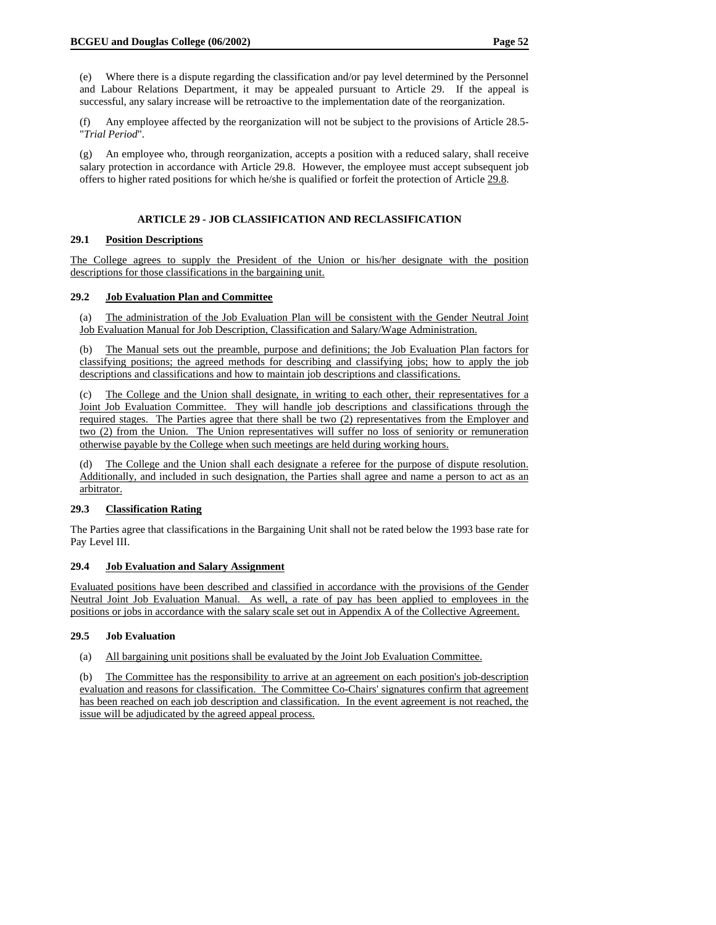(e) Where there is a dispute regarding the classification and/or pay level determined by the Personnel and Labour Relations Department, it may be appealed pursuant to Article 29. If the appeal is successful, any salary increase will be retroactive to the implementation date of the reorganization.

(f) Any employee affected by the reorganization will not be subject to the provisions of Article 28.5- "*Trial Period*".

(g) An employee who, through reorganization, accepts a position with a reduced salary, shall receive salary protection in accordance with Article 29.8. However, the employee must accept subsequent job offers to higher rated positions for which he/she is qualified or forfeit the protection of Article 29.8.

## **ARTICLE 29 - JOB CLASSIFICATION AND RECLASSIFICATION**

#### **29.1 Position Descriptions**

The College agrees to supply the President of the Union or his/her designate with the position descriptions for those classifications in the bargaining unit.

## **29.2 Job Evaluation Plan and Committee**

(a) The administration of the Job Evaluation Plan will be consistent with the Gender Neutral Joint Job Evaluation Manual for Job Description, Classification and Salary/Wage Administration.

(b) The Manual sets out the preamble, purpose and definitions; the Job Evaluation Plan factors for classifying positions; the agreed methods for describing and classifying jobs; how to apply the job descriptions and classifications and how to maintain job descriptions and classifications.

(c) The College and the Union shall designate, in writing to each other, their representatives for a Joint Job Evaluation Committee. They will handle job descriptions and classifications through the required stages. The Parties agree that there shall be two (2) representatives from the Employer and two (2) from the Union. The Union representatives will suffer no loss of seniority or remuneration otherwise payable by the College when such meetings are held during working hours.

(d) The College and the Union shall each designate a referee for the purpose of dispute resolution. Additionally, and included in such designation, the Parties shall agree and name a person to act as an arbitrator.

## **29.3 Classification Rating**

The Parties agree that classifications in the Bargaining Unit shall not be rated below the 1993 base rate for Pay Level III.

## **29.4 Job Evaluation and Salary Assignment**

Evaluated positions have been described and classified in accordance with the provisions of the Gender Neutral Joint Job Evaluation Manual. As well, a rate of pay has been applied to employees in the positions or jobs in accordance with the salary scale set out in Appendix A of the Collective Agreement.

## **29.5 Job Evaluation**

(a) All bargaining unit positions shall be evaluated by the Joint Job Evaluation Committee.

(b) The Committee has the responsibility to arrive at an agreement on each position's job-description evaluation and reasons for classification. The Committee Co-Chairs' signatures confirm that agreement has been reached on each job description and classification. In the event agreement is not reached, the issue will be adjudicated by the agreed appeal process.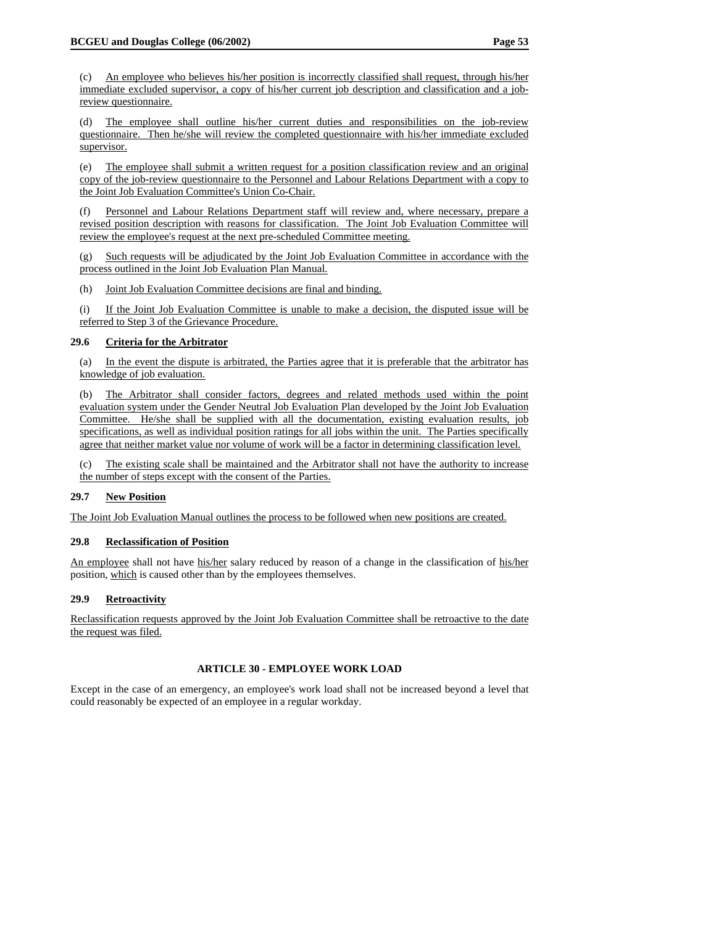(d) The employee shall outline his/her current duties and responsibilities on the job-review questionnaire. Then he/she will review the completed questionnaire with his/her immediate excluded supervisor.

(e) The employee shall submit a written request for a position classification review and an original copy of the job-review questionnaire to the Personnel and Labour Relations Department with a copy to the Joint Job Evaluation Committee's Union Co-Chair.

(f) Personnel and Labour Relations Department staff will review and, where necessary, prepare a revised position description with reasons for classification. The Joint Job Evaluation Committee will review the employee's request at the next pre-scheduled Committee meeting.

(g) Such requests will be adjudicated by the Joint Job Evaluation Committee in accordance with the process outlined in the Joint Job Evaluation Plan Manual.

(h) Joint Job Evaluation Committee decisions are final and binding.

(i) If the Joint Job Evaluation Committee is unable to make a decision, the disputed issue will be referred to Step 3 of the Grievance Procedure.

## **29.6 Criteria for the Arbitrator**

(a) In the event the dispute is arbitrated, the Parties agree that it is preferable that the arbitrator has knowledge of job evaluation.

(b) The Arbitrator shall consider factors, degrees and related methods used within the point evaluation system under the Gender Neutral Job Evaluation Plan developed by the Joint Job Evaluation Committee. He/she shall be supplied with all the documentation, existing evaluation results, job specifications, as well as individual position ratings for all jobs within the unit. The Parties specifically agree that neither market value nor volume of work will be a factor in determining classification level.

(c) The existing scale shall be maintained and the Arbitrator shall not have the authority to increase the number of steps except with the consent of the Parties.

## **29.7 New Position**

The Joint Job Evaluation Manual outlines the process to be followed when new positions are created.

## **29.8 Reclassification of Position**

An employee shall not have his/her salary reduced by reason of a change in the classification of his/her position, which is caused other than by the employees themselves.

## **29.9 Retroactivity**

Reclassification requests approved by the Joint Job Evaluation Committee shall be retroactive to the date the request was filed.

## **ARTICLE 30 - EMPLOYEE WORK LOAD**

Except in the case of an emergency, an employee's work load shall not be increased beyond a level that could reasonably be expected of an employee in a regular workday.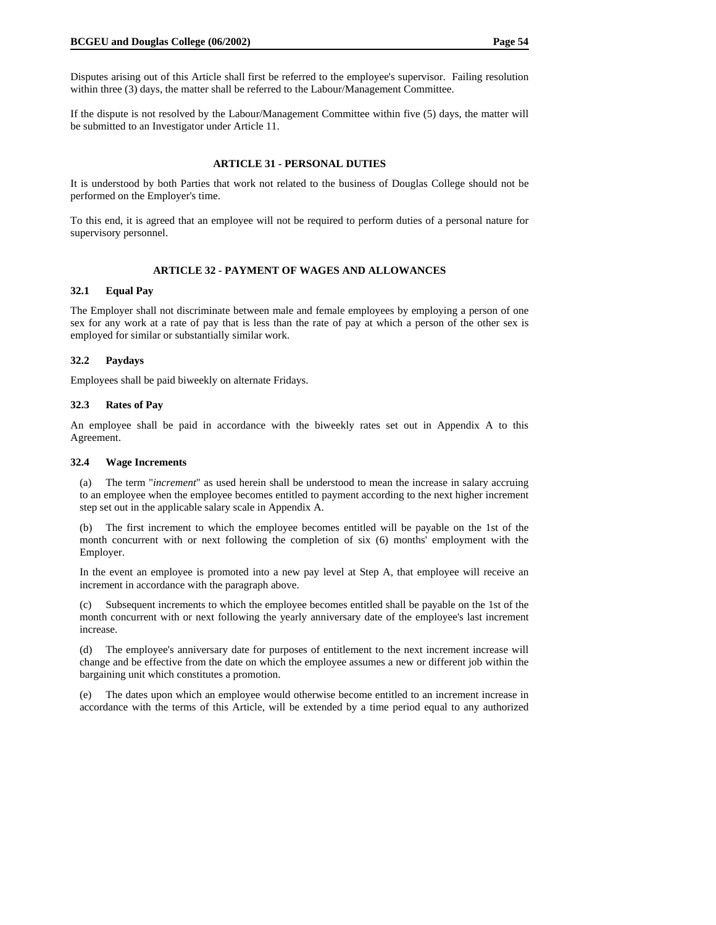Disputes arising out of this Article shall first be referred to the employee's supervisor. Failing resolution within three (3) days, the matter shall be referred to the Labour/Management Committee.

If the dispute is not resolved by the Labour/Management Committee within five (5) days, the matter will be submitted to an Investigator under Article 11.

#### **ARTICLE 31 - PERSONAL DUTIES**

It is understood by both Parties that work not related to the business of Douglas College should not be performed on the Employer's time.

To this end, it is agreed that an employee will not be required to perform duties of a personal nature for supervisory personnel.

## **ARTICLE 32 - PAYMENT OF WAGES AND ALLOWANCES**

## **32.1 Equal Pay**

The Employer shall not discriminate between male and female employees by employing a person of one sex for any work at a rate of pay that is less than the rate of pay at which a person of the other sex is employed for similar or substantially similar work.

## **32.2 Paydays**

Employees shall be paid biweekly on alternate Fridays.

#### **32.3 Rates of Pay**

An employee shall be paid in accordance with the biweekly rates set out in Appendix A to this Agreement.

#### **32.4 Wage Increments**

(a) The term "*increment*" as used herein shall be understood to mean the increase in salary accruing to an employee when the employee becomes entitled to payment according to the next higher increment step set out in the applicable salary scale in Appendix A.

(b) The first increment to which the employee becomes entitled will be payable on the 1st of the month concurrent with or next following the completion of six (6) months' employment with the Employer.

In the event an employee is promoted into a new pay level at Step A, that employee will receive an increment in accordance with the paragraph above.

(c) Subsequent increments to which the employee becomes entitled shall be payable on the 1st of the month concurrent with or next following the yearly anniversary date of the employee's last increment increase.

(d) The employee's anniversary date for purposes of entitlement to the next increment increase will change and be effective from the date on which the employee assumes a new or different job within the bargaining unit which constitutes a promotion.

(e) The dates upon which an employee would otherwise become entitled to an increment increase in accordance with the terms of this Article, will be extended by a time period equal to any authorized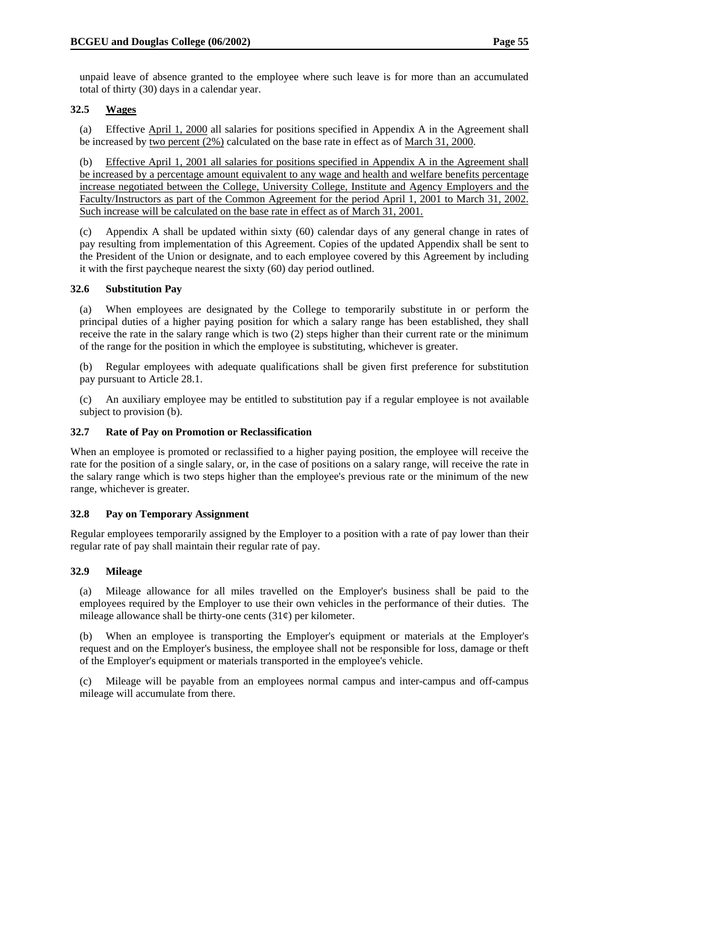unpaid leave of absence granted to the employee where such leave is for more than an accumulated total of thirty (30) days in a calendar year.

## **32.5 Wages**

(a) Effective April 1, 2000 all salaries for positions specified in Appendix A in the Agreement shall be increased by two percent (2%) calculated on the base rate in effect as of March 31, 2000.

(b) Effective April 1, 2001 all salaries for positions specified in Appendix A in the Agreement shall be increased by a percentage amount equivalent to any wage and health and welfare benefits percentage increase negotiated between the College, University College, Institute and Agency Employers and the Faculty/Instructors as part of the Common Agreement for the period April 1, 2001 to March 31, 2002. Such increase will be calculated on the base rate in effect as of March 31, 2001.

(c) Appendix A shall be updated within sixty (60) calendar days of any general change in rates of pay resulting from implementation of this Agreement. Copies of the updated Appendix shall be sent to the President of the Union or designate, and to each employee covered by this Agreement by including it with the first paycheque nearest the sixty (60) day period outlined.

#### **32.6 Substitution Pay**

(a) When employees are designated by the College to temporarily substitute in or perform the principal duties of a higher paying position for which a salary range has been established, they shall receive the rate in the salary range which is two (2) steps higher than their current rate or the minimum of the range for the position in which the employee is substituting, whichever is greater.

(b) Regular employees with adequate qualifications shall be given first preference for substitution pay pursuant to Article 28.1.

(c) An auxiliary employee may be entitled to substitution pay if a regular employee is not available subject to provision (b).

#### **32.7 Rate of Pay on Promotion or Reclassification**

When an employee is promoted or reclassified to a higher paying position, the employee will receive the rate for the position of a single salary, or, in the case of positions on a salary range, will receive the rate in the salary range which is two steps higher than the employee's previous rate or the minimum of the new range, whichever is greater.

#### **32.8 Pay on Temporary Assignment**

Regular employees temporarily assigned by the Employer to a position with a rate of pay lower than their regular rate of pay shall maintain their regular rate of pay.

#### **32.9 Mileage**

(a) Mileage allowance for all miles travelled on the Employer's business shall be paid to the employees required by the Employer to use their own vehicles in the performance of their duties. The mileage allowance shall be thirty-one cents  $(31¢)$  per kilometer.

(b) When an employee is transporting the Employer's equipment or materials at the Employer's request and on the Employer's business, the employee shall not be responsible for loss, damage or theft of the Employer's equipment or materials transported in the employee's vehicle.

(c) Mileage will be payable from an employees normal campus and inter-campus and off-campus mileage will accumulate from there.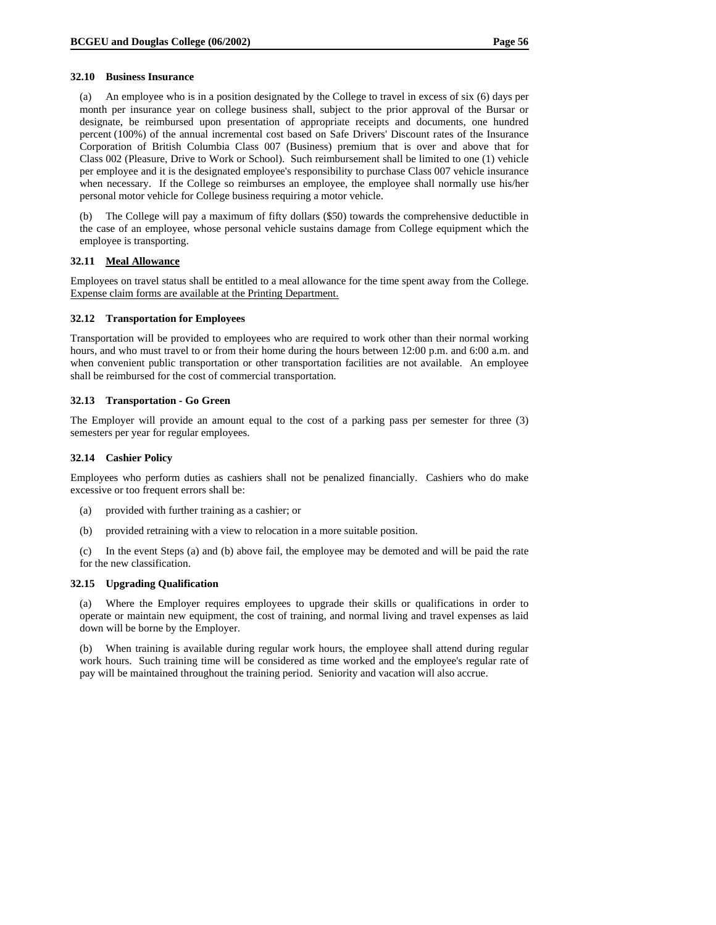#### **32.10 Business Insurance**

(a) An employee who is in a position designated by the College to travel in excess of six (6) days per month per insurance year on college business shall, subject to the prior approval of the Bursar or designate, be reimbursed upon presentation of appropriate receipts and documents, one hundred percent (100%) of the annual incremental cost based on Safe Drivers' Discount rates of the Insurance Corporation of British Columbia Class 007 (Business) premium that is over and above that for Class 002 (Pleasure, Drive to Work or School). Such reimbursement shall be limited to one (1) vehicle per employee and it is the designated employee's responsibility to purchase Class 007 vehicle insurance when necessary. If the College so reimburses an employee, the employee shall normally use his/her personal motor vehicle for College business requiring a motor vehicle.

(b) The College will pay a maximum of fifty dollars (\$50) towards the comprehensive deductible in the case of an employee, whose personal vehicle sustains damage from College equipment which the employee is transporting.

#### **32.11 Meal Allowance**

Employees on travel status shall be entitled to a meal allowance for the time spent away from the College. Expense claim forms are available at the Printing Department.

#### **32.12 Transportation for Employees**

Transportation will be provided to employees who are required to work other than their normal working hours, and who must travel to or from their home during the hours between 12:00 p.m. and 6:00 a.m. and when convenient public transportation or other transportation facilities are not available. An employee shall be reimbursed for the cost of commercial transportation.

## **32.13 Transportation - Go Green**

The Employer will provide an amount equal to the cost of a parking pass per semester for three (3) semesters per year for regular employees.

## **32.14 Cashier Policy**

Employees who perform duties as cashiers shall not be penalized financially. Cashiers who do make excessive or too frequent errors shall be:

- (a) provided with further training as a cashier; or
- (b) provided retraining with a view to relocation in a more suitable position.

(c) In the event Steps (a) and (b) above fail, the employee may be demoted and will be paid the rate for the new classification.

#### **32.15 Upgrading Qualification**

(a) Where the Employer requires employees to upgrade their skills or qualifications in order to operate or maintain new equipment, the cost of training, and normal living and travel expenses as laid down will be borne by the Employer.

(b) When training is available during regular work hours, the employee shall attend during regular work hours. Such training time will be considered as time worked and the employee's regular rate of pay will be maintained throughout the training period. Seniority and vacation will also accrue.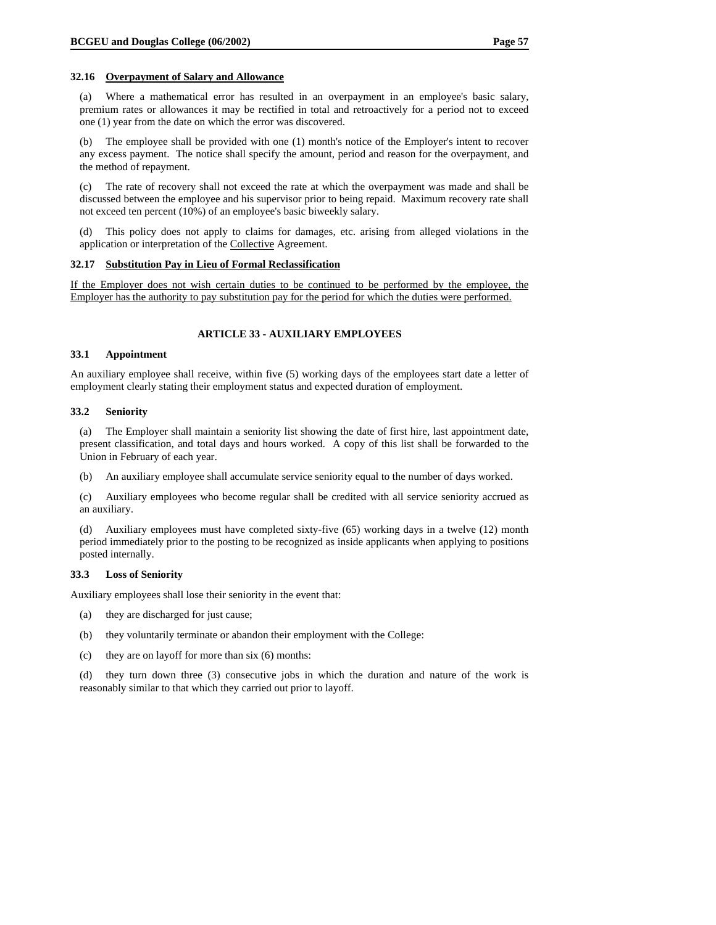#### **32.16 Overpayment of Salary and Allowance**

(a) Where a mathematical error has resulted in an overpayment in an employee's basic salary, premium rates or allowances it may be rectified in total and retroactively for a period not to exceed one (1) year from the date on which the error was discovered.

(b) The employee shall be provided with one (1) month's notice of the Employer's intent to recover any excess payment. The notice shall specify the amount, period and reason for the overpayment, and the method of repayment.

(c) The rate of recovery shall not exceed the rate at which the overpayment was made and shall be discussed between the employee and his supervisor prior to being repaid. Maximum recovery rate shall not exceed ten percent (10%) of an employee's basic biweekly salary.

(d) This policy does not apply to claims for damages, etc. arising from alleged violations in the application or interpretation of the Collective Agreement.

## **32.17 Substitution Pay in Lieu of Formal Reclassification**

If the Employer does not wish certain duties to be continued to be performed by the employee, the Employer has the authority to pay substitution pay for the period for which the duties were performed.

## **ARTICLE 33 - AUXILIARY EMPLOYEES**

#### **33.1 Appointment**

An auxiliary employee shall receive, within five (5) working days of the employees start date a letter of employment clearly stating their employment status and expected duration of employment.

#### **33.2 Seniority**

(a) The Employer shall maintain a seniority list showing the date of first hire, last appointment date, present classification, and total days and hours worked. A copy of this list shall be forwarded to the Union in February of each year.

(b) An auxiliary employee shall accumulate service seniority equal to the number of days worked.

(c) Auxiliary employees who become regular shall be credited with all service seniority accrued as an auxiliary.

(d) Auxiliary employees must have completed sixty-five (65) working days in a twelve (12) month period immediately prior to the posting to be recognized as inside applicants when applying to positions posted internally.

#### **33.3 Loss of Seniority**

Auxiliary employees shall lose their seniority in the event that:

- (a) they are discharged for just cause;
- (b) they voluntarily terminate or abandon their employment with the College:
- (c) they are on layoff for more than six (6) months:

(d) they turn down three (3) consecutive jobs in which the duration and nature of the work is reasonably similar to that which they carried out prior to layoff.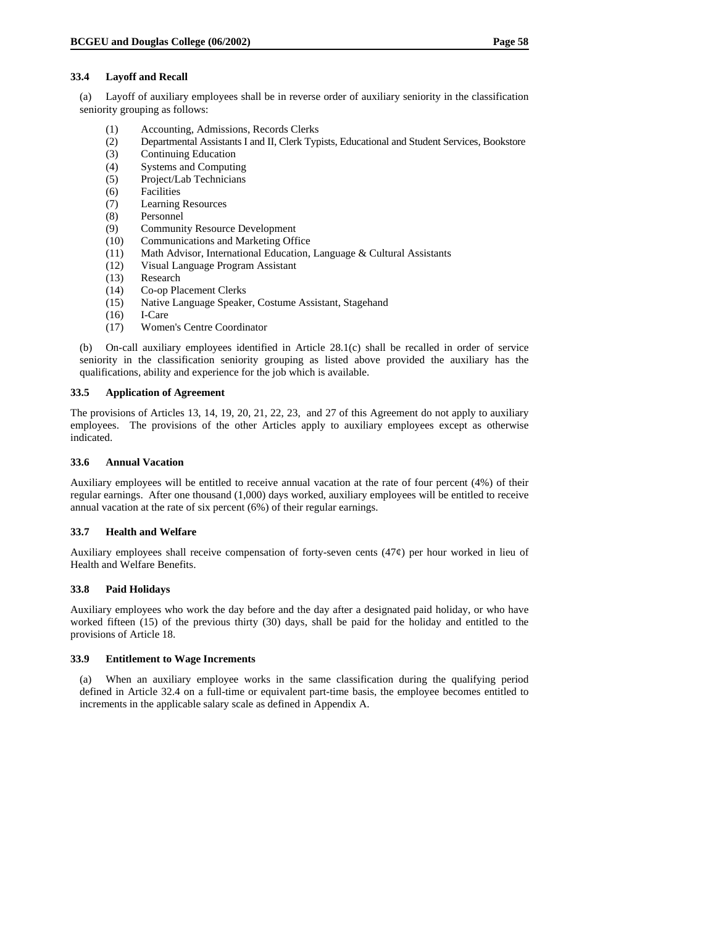#### **33.4 Layoff and Recall**

(a) Layoff of auxiliary employees shall be in reverse order of auxiliary seniority in the classification seniority grouping as follows:

- (1) Accounting, Admissions, Records Clerks
- (2) Departmental Assistants I and II, Clerk Typists, Educational and Student Services, Bookstore
- (3) Continuing Education
- (4) Systems and Computing
- (5) Project/Lab Technicians
- (6) Facilities
- (7) Learning Resources
- (8) Personnel
- (9) Community Resource Development
- (10) Communications and Marketing Office
- (11) Math Advisor, International Education, Language & Cultural Assistants
- (12) Visual Language Program Assistant
- (13) Research
- (14) Co-op Placement Clerks
- (15) Native Language Speaker, Costume Assistant, Stagehand
- (16) I-Care<br>(17) Wome
- (17) Women's Centre Coordinator

(b) On-call auxiliary employees identified in Article 28.1(c) shall be recalled in order of service seniority in the classification seniority grouping as listed above provided the auxiliary has the qualifications, ability and experience for the job which is available.

#### **33.5 Application of Agreement**

The provisions of Articles 13, 14, 19, 20, 21, 22, 23, and 27 of this Agreement do not apply to auxiliary employees. The provisions of the other Articles apply to auxiliary employees except as otherwise indicated.

#### **33.6 Annual Vacation**

Auxiliary employees will be entitled to receive annual vacation at the rate of four percent (4%) of their regular earnings. After one thousand (1,000) days worked, auxiliary employees will be entitled to receive annual vacation at the rate of six percent (6%) of their regular earnings.

#### **33.7 Health and Welfare**

Auxiliary employees shall receive compensation of forty-seven cents (47¢) per hour worked in lieu of Health and Welfare Benefits.

#### **33.8 Paid Holidays**

Auxiliary employees who work the day before and the day after a designated paid holiday, or who have worked fifteen (15) of the previous thirty (30) days, shall be paid for the holiday and entitled to the provisions of Article 18.

#### **33.9 Entitlement to Wage Increments**

(a) When an auxiliary employee works in the same classification during the qualifying period defined in Article 32.4 on a full-time or equivalent part-time basis, the employee becomes entitled to increments in the applicable salary scale as defined in Appendix A.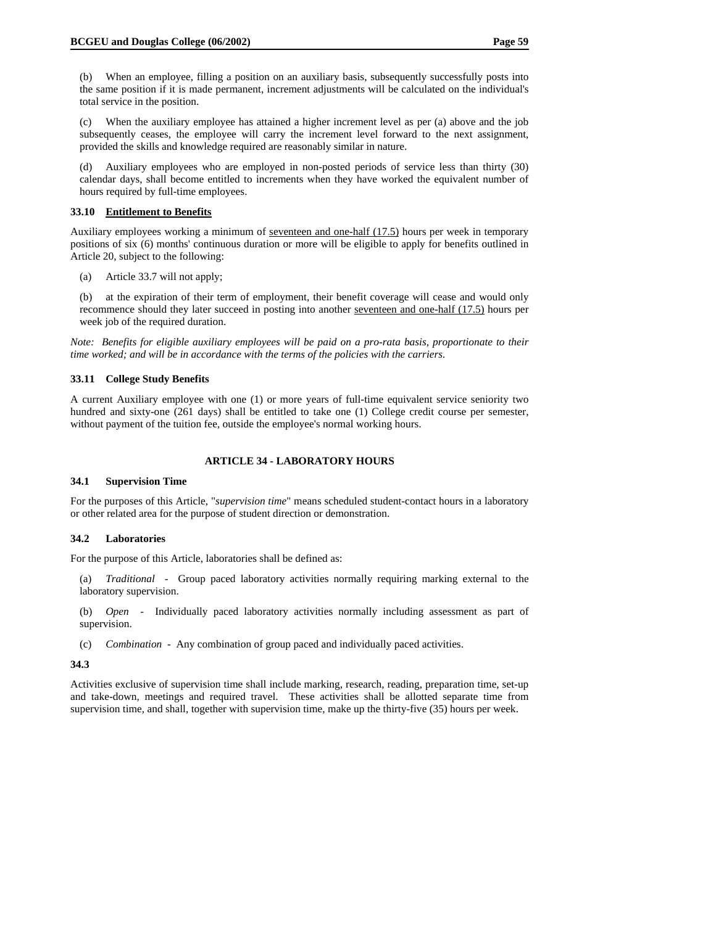(b) When an employee, filling a position on an auxiliary basis, subsequently successfully posts into the same position if it is made permanent, increment adjustments will be calculated on the individual's total service in the position.

(c) When the auxiliary employee has attained a higher increment level as per (a) above and the job subsequently ceases, the employee will carry the increment level forward to the next assignment, provided the skills and knowledge required are reasonably similar in nature.

(d) Auxiliary employees who are employed in non-posted periods of service less than thirty (30) calendar days, shall become entitled to increments when they have worked the equivalent number of hours required by full-time employees.

## **33.10 Entitlement to Benefits**

Auxiliary employees working a minimum of seventeen and one-half (17.5) hours per week in temporary positions of six (6) months' continuous duration or more will be eligible to apply for benefits outlined in Article 20, subject to the following:

(a) Article 33.7 will not apply;

(b) at the expiration of their term of employment, their benefit coverage will cease and would only recommence should they later succeed in posting into another seventeen and one-half (17.5) hours per week job of the required duration.

*Note: Benefits for eligible auxiliary employees will be paid on a pro-rata basis, proportionate to their time worked; and will be in accordance with the terms of the policies with the carriers.* 

## **33.11 College Study Benefits**

A current Auxiliary employee with one (1) or more years of full-time equivalent service seniority two hundred and sixty-one (261 days) shall be entitled to take one (1) College credit course per semester, without payment of the tuition fee, outside the employee's normal working hours.

## **ARTICLE 34 - LABORATORY HOURS**

## **34.1 Supervision Time**

For the purposes of this Article, "*supervision time*" means scheduled student-contact hours in a laboratory or other related area for the purpose of student direction or demonstration.

#### **34.2 Laboratories**

For the purpose of this Article, laboratories shall be defined as:

(a) *Traditional* - Group paced laboratory activities normally requiring marking external to the laboratory supervision.

(b) *Open* - Individually paced laboratory activities normally including assessment as part of supervision.

(c) *Combination* - Any combination of group paced and individually paced activities.

#### **34.3**

Activities exclusive of supervision time shall include marking, research, reading, preparation time, set-up and take-down, meetings and required travel. These activities shall be allotted separate time from supervision time, and shall, together with supervision time, make up the thirty-five (35) hours per week.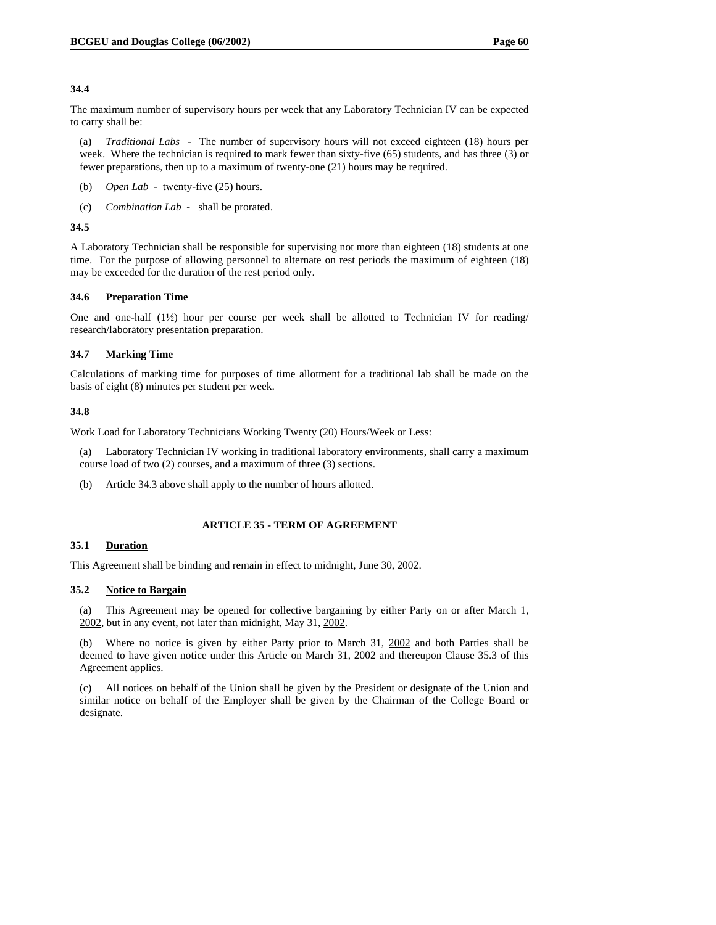#### **34.4**

The maximum number of supervisory hours per week that any Laboratory Technician IV can be expected to carry shall be:

(a) *Traditional Labs* - The number of supervisory hours will not exceed eighteen (18) hours per week. Where the technician is required to mark fewer than sixty-five (65) students, and has three (3) or fewer preparations, then up to a maximum of twenty-one (21) hours may be required.

- (b) *Open Lab* twenty-five (25) hours.
- (c) *Combination Lab* shall be prorated.

#### **34.5**

A Laboratory Technician shall be responsible for supervising not more than eighteen (18) students at one time. For the purpose of allowing personnel to alternate on rest periods the maximum of eighteen (18) may be exceeded for the duration of the rest period only.

#### **34.6 Preparation Time**

One and one-half  $(1/2)$  hour per course per week shall be allotted to Technician IV for reading/ research/laboratory presentation preparation.

#### **34.7 Marking Time**

Calculations of marking time for purposes of time allotment for a traditional lab shall be made on the basis of eight (8) minutes per student per week.

#### **34.8**

Work Load for Laboratory Technicians Working Twenty (20) Hours/Week or Less:

- (a) Laboratory Technician IV working in traditional laboratory environments, shall carry a maximum course load of two (2) courses, and a maximum of three (3) sections.
- (b) Article 34.3 above shall apply to the number of hours allotted.

#### **ARTICLE 35 - TERM OF AGREEMENT**

#### **35.1 Duration**

This Agreement shall be binding and remain in effect to midnight, June 30, 2002.

#### **35.2 Notice to Bargain**

(a) This Agreement may be opened for collective bargaining by either Party on or after March 1, 2002, but in any event, not later than midnight, May 31, 2002.

(b) Where no notice is given by either Party prior to March 31, 2002 and both Parties shall be deemed to have given notice under this Article on March 31, 2002 and thereupon Clause 35.3 of this Agreement applies.

(c) All notices on behalf of the Union shall be given by the President or designate of the Union and similar notice on behalf of the Employer shall be given by the Chairman of the College Board or designate.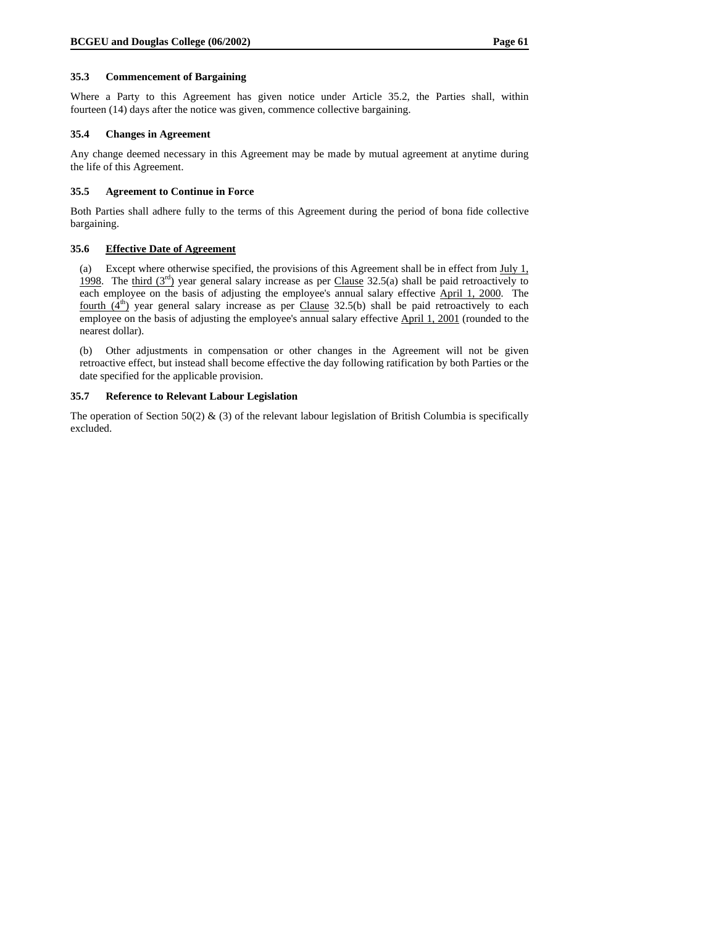#### **35.3 Commencement of Bargaining**

Where a Party to this Agreement has given notice under Article 35.2, the Parties shall, within fourteen (14) days after the notice was given, commence collective bargaining.

#### **35.4 Changes in Agreement**

Any change deemed necessary in this Agreement may be made by mutual agreement at anytime during the life of this Agreement.

#### **35.5 Agreement to Continue in Force**

Both Parties shall adhere fully to the terms of this Agreement during the period of bona fide collective bargaining.

### **35.6 Effective Date of Agreement**

(a) Except where otherwise specified, the provisions of this Agreement shall be in effect from  $\underline{Ju}v1$ , 1998. The third  $(3<sup>rd</sup>)$  year general salary increase as per Clause 32.5(a) shall be paid retroactively to each employee on the basis of adjusting the employee's annual salary effective April 1, 2000. The <u>fourth  $(4<sup>th</sup>)$ </u> year general salary increase as per Clause 32.5(b) shall be paid retroactively to each employee on the basis of adjusting the employee's annual salary effective April 1, 2001 (rounded to the nearest dollar).

(b) Other adjustments in compensation or other changes in the Agreement will not be given retroactive effect, but instead shall become effective the day following ratification by both Parties or the date specified for the applicable provision.

#### **35.7 Reference to Relevant Labour Legislation**

The operation of Section 50(2)  $\&$  (3) of the relevant labour legislation of British Columbia is specifically excluded.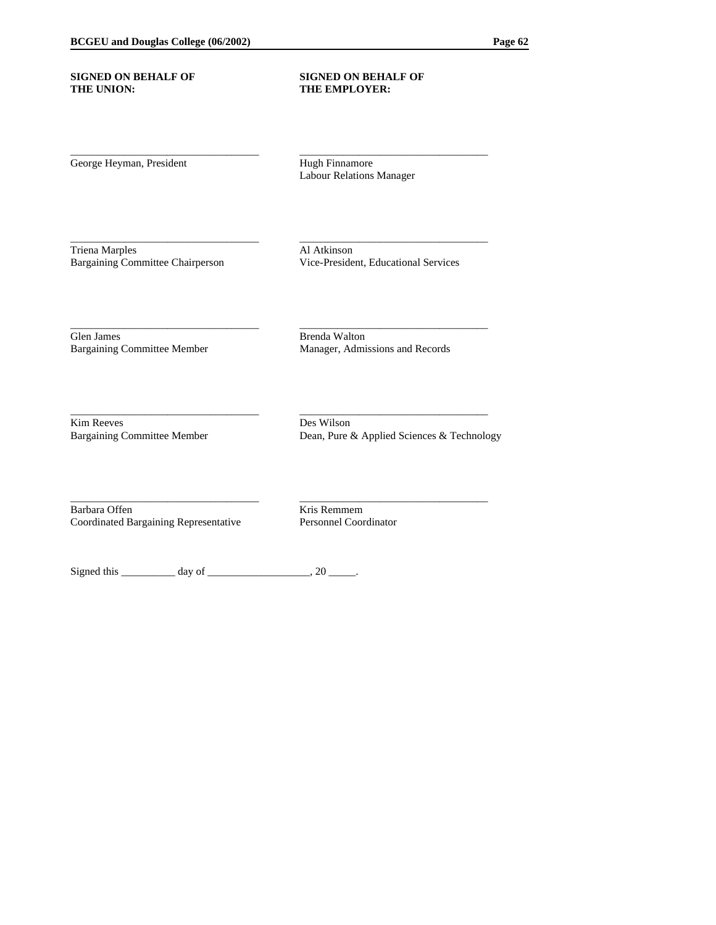#### **SIGNED ON BEHALF OF SIGNED ON BEHALF OF THE UNION: THE EMPLOYER:**

George Heyman, President Hugh Finnamore

Labour Relations Manager

\_\_\_\_\_\_\_\_\_\_\_\_\_\_\_\_\_\_\_\_\_\_\_\_\_\_\_\_\_\_\_\_\_\_\_ \_\_\_\_\_\_\_\_\_\_\_\_\_\_\_\_\_\_\_\_\_\_\_\_\_\_\_\_\_\_\_\_\_\_\_

\_\_\_\_\_\_\_\_\_\_\_\_\_\_\_\_\_\_\_\_\_\_\_\_\_\_\_\_\_\_\_\_\_\_\_ \_\_\_\_\_\_\_\_\_\_\_\_\_\_\_\_\_\_\_\_\_\_\_\_\_\_\_\_\_\_\_\_\_\_\_

\_\_\_\_\_\_\_\_\_\_\_\_\_\_\_\_\_\_\_\_\_\_\_\_\_\_\_\_\_\_\_\_\_\_\_ \_\_\_\_\_\_\_\_\_\_\_\_\_\_\_\_\_\_\_\_\_\_\_\_\_\_\_\_\_\_\_\_\_\_\_

\_\_\_\_\_\_\_\_\_\_\_\_\_\_\_\_\_\_\_\_\_\_\_\_\_\_\_\_\_\_\_\_\_\_\_ \_\_\_\_\_\_\_\_\_\_\_\_\_\_\_\_\_\_\_\_\_\_\_\_\_\_\_\_\_\_\_\_\_\_\_

\_\_\_\_\_\_\_\_\_\_\_\_\_\_\_\_\_\_\_\_\_\_\_\_\_\_\_\_\_\_\_\_\_\_\_ \_\_\_\_\_\_\_\_\_\_\_\_\_\_\_\_\_\_\_\_\_\_\_\_\_\_\_\_\_\_\_\_\_\_\_

Triena Marples Al Atkinson Bargaining Committee Chairperson Vice-President, Educational Services

Glen James Brenda Walton<br>Bargaining Committee Member Manager, Admi

Manager, Admissions and Records

Kim Reeves Des Wilson

Bargaining Committee Member Dean, Pure & Applied Sciences & Technology

Barbara Offen<br>
Coordinated Bargaining Representative<br>
Personnel Coordinator Coordinated Bargaining Representative

Signed this  $\frac{1}{\text{sum}}$  day of  $\frac{1}{\text{sum}}$ , 20  $\frac{1}{\text{sum}}$ .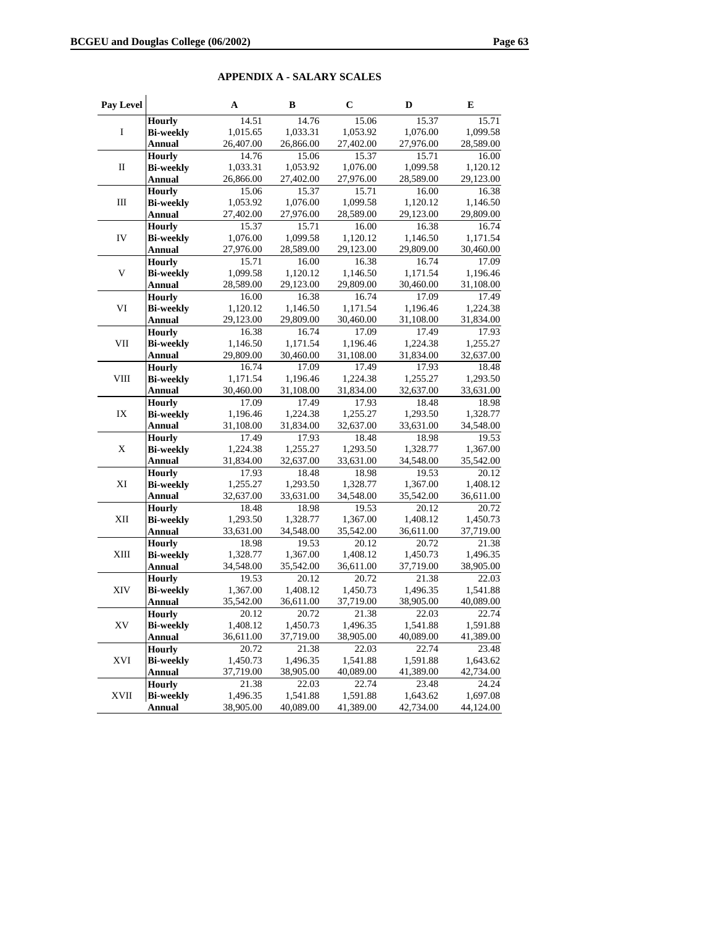# **APPENDIX A - SALARY SCALES**

| Pay Level   |                                   | A                 | В                  | $\mathbf C$        | D                  | Е                     |
|-------------|-----------------------------------|-------------------|--------------------|--------------------|--------------------|-----------------------|
|             | <b>Hourly</b>                     | 14.51             | 14.76              | 15.06              | 15.37              | 15.71                 |
| I           | <b>Bi-weekly</b>                  | 1,015.65          | 1,033.31           | 1,053.92           | 1,076.00           | 1,099.58              |
|             | <b>Annual</b>                     | 26,407.00         | 26,866.00          | 27,402.00          | 27,976.00          | 28,589.00             |
|             | <b>Hourly</b>                     | 14.76             | 15.06              | 15.37              | 15.71              | 16.00                 |
| П           | <b>Bi-weekly</b>                  | 1,033.31          | 1,053.92           | 1,076.00           | 1,099.58           | 1,120.12              |
|             | <b>Annual</b>                     | 26,866.00         | 27,402.00          | 27,976.00          | 28,589.00          | 29,123.00             |
|             | <b>Hourly</b>                     | 15.06             | 15.37              | 15.71              | 16.00              | 16.38                 |
| $\rm III$   | <b>Bi-weekly</b>                  | 1,053.92          | 1,076.00           | 1,099.58           | 1,120.12           | 1,146.50              |
|             | Annual                            | 27,402.00         | 27,976.00          | 28,589.00          | 29,123.00          | 29,809.00             |
|             | <b>Hourly</b>                     | 15.37             | 15.71              | 16.00              | 16.38              | 16.74                 |
| IV          | <b>Bi-weekly</b>                  | 1,076.00          | 1,099.58           | 1,120.12           | 1,146.50           | 1,171.54              |
|             | <b>Annual</b>                     | 27,976.00         | 28,589.00          | 29,123.00          | 29,809.00          | 30,460.00             |
|             | <b>Hourly</b>                     | 15.71             | $\overline{16.00}$ | 16.38              | 16.74              | 17.09                 |
| V           | <b>Bi-weekly</b>                  | 1,099.58          | 1,120.12           | 1,146.50           | 1,171.54           | 1,196.46              |
|             | <b>Annual</b>                     | 28,589.00         | 29,123.00          | 29,809.00          | 30,460.00          | 31,108.00             |
|             | <b>Hourly</b>                     | 16.00             | 16.38              | 16.74              | 17.09              | 17.49                 |
| VI          | <b>Bi-weekly</b>                  | 1,120.12          | 1,146.50           | 1,171.54           | 1,196.46           | 1,224.38              |
|             | <b>Annual</b>                     | 29,123.00         | 29,809.00          | 30,460.00          | 31,108.00          | 31,834.00             |
|             | <b>Hourly</b>                     | 16.38             | 16.74              | 17.09              | 17.49              | 17.93                 |
| VII         | <b>Bi-weekly</b>                  | 1,146.50          | 1,171.54           | 1,196.46           | 1,224.38           | 1,255.27              |
|             | <b>Annual</b>                     | 29,809.00         | 30,460.00          | 31,108.00          | 31,834.00          | 32,637.00             |
|             | <b>Hourly</b>                     | 16.74             | 17.09              | 17.49              | 17.93              | 18.48                 |
| VIII        | <b>Bi-weekly</b>                  | 1,171.54          | 1,196.46           | 1,224.38           | 1,255.27           | 1,293.50              |
|             | <b>Annual</b>                     | 30,460.00         | 31,108.00          | 31,834.00          | 32,637.00          | 33,631.00             |
|             | <b>Hourly</b>                     | 17.09             | 17.49              | 17.93              | 18.48              | 18.98                 |
| IX          | <b>Bi-weekly</b>                  | 1,196.46          | 1,224.38           | 1,255.27           | 1,293.50           | 1,328.77              |
|             | <b>Annual</b>                     | 31,108.00         | 31,834.00          | 32,637.00          | 33,631.00          | 34,548.00             |
|             | <b>Hourly</b>                     | 17.49             | 17.93              | 18.48              | 18.98              | 19.53                 |
| Χ           | <b>Bi-weekly</b>                  | 1,224.38          | 1,255.27           | 1,293.50           | 1,328.77           | 1,367.00              |
|             | <b>Annual</b>                     | 31,834.00         | 32,637.00          | 33,631.00          | 34,548.00          | 35,542.00             |
|             | <b>Hourly</b>                     | 17.93             | 18.48              | 18.98              | 19.53              | 20.12                 |
| ΧI          | <b>Bi-weekly</b>                  | 1,255.27          | 1,293.50           | 1,328.77           | 1,367.00           | 1,408.12              |
|             | <b>Annual</b>                     | 32,637.00         | 33,631.00          | 34,548.00          | 35,542.00          | 36,611.00             |
|             | <b>Hourly</b>                     | 18.48             | 18.98              | 19.53              | 20.12              | 20.72                 |
| XII         | <b>Bi-weekly</b>                  | 1,293.50          | 1,328.77           | 1,367.00           | 1,408.12           | 1,450.73              |
|             | <b>Annual</b>                     | 33,631.00         | 34,548.00          | 35,542.00          | 36,611.00          | 37,719.00             |
|             | <b>Hourly</b>                     | 18.98             | 19.53              | $\overline{20.12}$ | 20.72              | 21.38                 |
| XIII        | <b>Bi-weekly</b>                  | 1,328.77          | 1,367.00           | 1,408.12           | 1,450.73           | 1,496.35              |
|             | <b>Annual</b>                     | 34,548.00         | 35,542.00          | 36,611.00          | 37,719.00          | 38,905.00             |
|             | <b>Hourly</b>                     | 19.53             | 20.12              | 20.72              | 21.38              | 22.03                 |
| XIV         | <b>Bi-weekly</b>                  | 1,367.00          | 1,408.12           | 1,450.73           | 1,496.35           | 1,541.88<br>40,089.00 |
|             | <b>Annual</b>                     | 35,542.00         | 36,611.00          | 37,719.00          | 38,905.00          | 22.74                 |
|             | <b>Hourly</b>                     | 20.12             | 20.72              | 21.38              | 22.03              |                       |
| XV.         | <b>Bi-weekly</b>                  | 1,408.12          | 1,450.73           | 1,496.35           | 1,541.88           | 1,591.88<br>41,389.00 |
|             | <b>Annual</b>                     | 36,611.00         | 37,719.00          | 38,905.00<br>22.03 | 40,089.00<br>22.74 | 23.48                 |
| XVI         | <b>Hourly</b><br><b>Bi-weekly</b> | 20.72<br>1,450.73 | 21.38<br>1,496.35  | 1,541.88           | 1,591.88           | 1,643.62              |
|             | <b>Annual</b>                     | 37,719.00         | 38,905.00          | 40,089.00          | 41,389.00          | 42,734.00             |
|             | <b>Hourly</b>                     | 21.38             | 22.03              | 22.74              | 23.48              | 24.24                 |
| <b>XVII</b> | <b>Bi-weekly</b>                  | 1,496.35          | 1,541.88           | 1,591.88           | 1,643.62           | 1,697.08              |
|             | <b>Annual</b>                     | 38,905.00         | 40,089.00          | 41,389.00          | 42,734.00          | 44,124.00             |
|             |                                   |                   |                    |                    |                    |                       |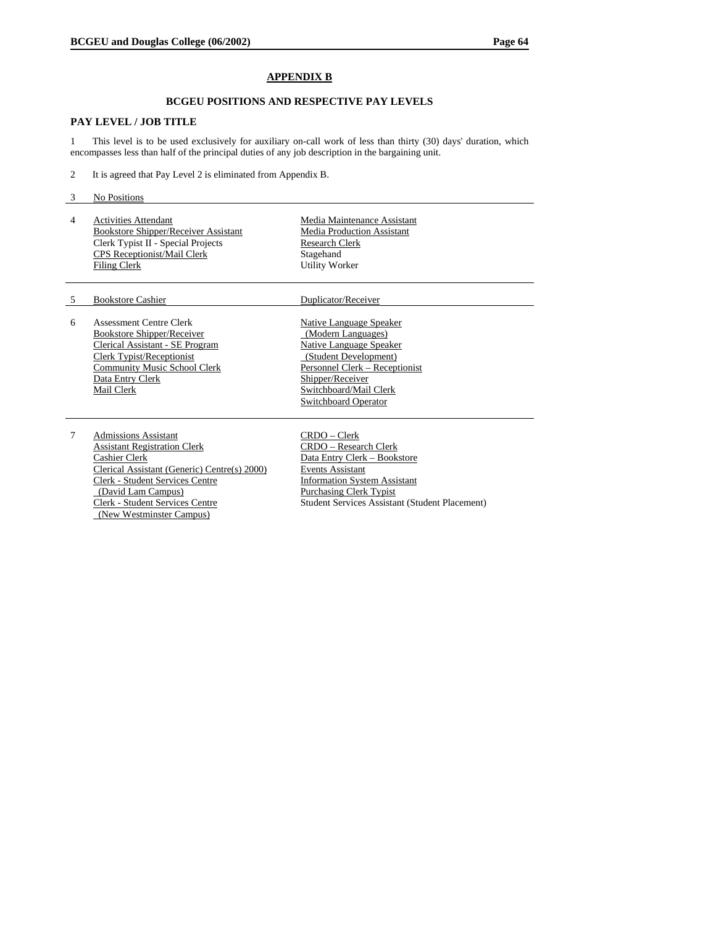## **APPENDIX B**

#### **BCGEU POSITIONS AND RESPECTIVE PAY LEVELS**

## **PAY LEVEL / JOB TITLE**

1 This level is to be used exclusively for auxiliary on-call work of less than thirty (30) days' duration, which encompasses less than half of the principal duties of any job description in the bargaining unit.

- 2 It is agreed that Pay Level 2 is eliminated from Appendix B.
- 3 No Positions
- 4 Activities Attendant Bookstore Shipper/Receiver Assistant Clerk Typist II - Special Projects CPS Receptionist/Mail Clerk Filing Clerk

Media Maintenance Assistant Media Production Assistant Research Clerk Stagehand Utility Worker

#### 5 Bookstore Cashier Duplicator/Receiver

6 Assessment Centre Clerk Bookstore Shipper/Receiver Clerical Assistant - SE Program Clerk Typist/Receptionist Community Music School Clerk Data Entry Clerk Mail Clerk

7 Admissions Assistant Assistant Registration Clerk Cashier Clerk Clerical Assistant (Generic) Centre(s) 2000) Clerk - Student Services Centre (David Lam Campus) Clerk - Student Services Centre (New Westminster Campus)

#### Native Language Speaker (Modern Languages) Native Language Speaker (Student Development) Personnel Clerk – Receptionist Shipper/Receiver Switchboard/Mail Clerk Switchboard Operator

CRDO – Clerk CRDO – Research Clerk Data Entry Clerk – Bookstore Events Assistant Information System Assistant Purchasing Clerk Typist Student Services Assistant (Student Placement)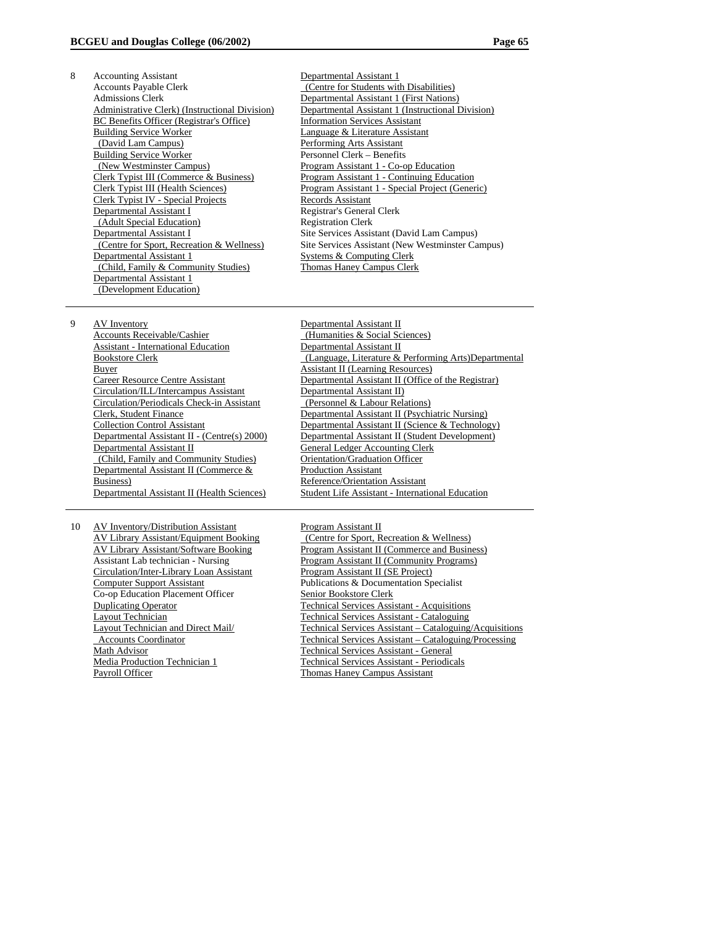- 8 Accounting Assistant Accounts Payable Clerk Admissions Clerk Administrative Clerk) (Instructional Division) BC Benefits Officer (Registrar's Office) Building Service Worker (David Lam Campus) Building Service Worker (New Westminster Campus) Clerk Typist III (Commerce & Business) Clerk Typist III (Health Sciences) Clerk Typist IV - Special Projects Departmental Assistant I (Adult Special Education) Departmental Assistant I (Centre for Sport, Recreation & Wellness) Departmental Assistant 1 (Child, Family & Community Studies) Departmental Assistant 1 (Development Education)
- Departmental Assistant 1 (Centre for Students with Disabilities) Departmental Assistant 1 (First Nations) Departmental Assistant 1 (Instructional Division) Information Services Assistant Language & Literature Assistant Performing Arts Assistant Personnel Clerk – Benefits Program Assistant 1 - Co-op Education Program Assistant 1 - Continuing Education Program Assistant 1 - Special Project (Generic) Records Assistant Registrar's General Clerk Registration Clerk Site Services Assistant (David Lam Campus) Site Services Assistant (New Westminster Campus) Systems & Computing Clerk Thomas Haney Campus Clerk
- 9 AV Inventory Accounts Receivable/Cashier Assistant - International Education Bookstore Clerk Buyer Career Resource Centre Assistant Circulation/ILL/Intercampus Assistant Circulation/Periodicals Check-in Assistant Clerk, Student Finance Collection Control Assistant Departmental Assistant II - (Centre(s) 2000) Departmental Assistant II (Child, Family and Community Studies) Departmental Assistant II (Commerce & Business) Departmental Assistant II (Health Sciences)
- 10 AV Inventory/Distribution Assistant AV Library Assistant/Equipment Booking AV Library Assistant/Software Booking Assistant Lab technician - Nursing Circulation/Inter-Library Loan Assistant Computer Support Assistant Co-op Education Placement Officer Duplicating Operator Layout Technician Layout Technician and Direct Mail/ Accounts Coordinator Math Advisor Media Production Technician 1 Payroll Officer
- Departmental Assistant II (Humanities & Social Sciences) Departmental Assistant II (Language, Literature & Performing Arts)Departmental Assistant II (Learning Resources) Departmental Assistant II (Office of the Registrar) Departmental Assistant II) (Personnel & Labour Relations) Departmental Assistant II (Psychiatric Nursing) Departmental Assistant II (Science & Technology) Departmental Assistant II (Student Development) General Ledger Accounting Clerk Orientation/Graduation Officer Production Assistant Reference/Orientation Assistant Student Life Assistant - International Education

Program Assistant II (Centre for Sport, Recreation & Wellness) Program Assistant II (Commerce and Business) Program Assistant II (Community Programs) Program Assistant II (SE Project) Publications & Documentation Specialist Senior Bookstore Clerk Technical Services Assistant - Acquisitions Technical Services Assistant - Cataloguing Technical Services Assistant – Cataloguing/Acquisitions Technical Services Assistant – Cataloguing/Processing Technical Services Assistant - General Technical Services Assistant - Periodicals Thomas Haney Campus Assistant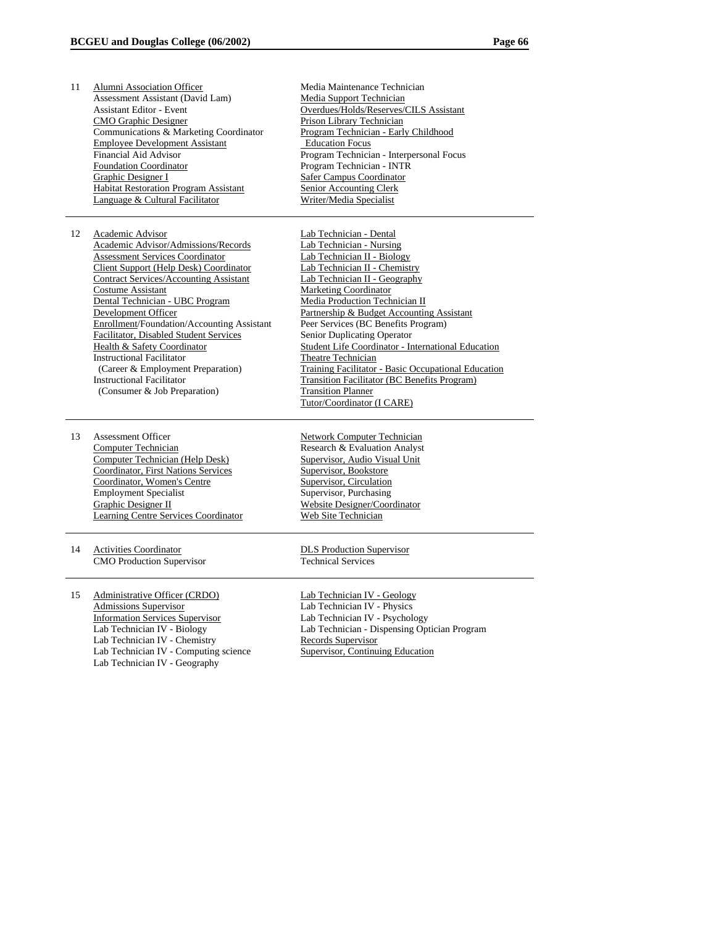11 Alumni Association Officer Assessment Assistant (David Lam) Assistant Editor - Event CMO Graphic Designer Communications & Marketing Coordinator Employee Development Assistant Financial Aid Advisor Foundation Coordinator Graphic Designer I Habitat Restoration Program Assistant Language & Cultural Facilitator Media Maintenance Technician Media Support Technician Overdues/Holds/Reserves/CILS Assistant Prison Library Technician Program Technician - Early Childhood Education Focus Program Technician - Interpersonal Focus Program Technician - INTR Safer Campus Coordinator Senior Accounting Clerk Writer/Media Specialist 12 Academic Advisor Academic Advisor/Admissions/Records Assessment Services Coordinator Client Support (Help Desk) Coordinator Contract Services/Accounting Assistant Costume Assistant Dental Technician - UBC Program Development Officer Enrollment/Foundation/Accounting Assistant Facilitator, Disabled Student Services Health & Safety Coordinator Instructional Facilitator (Career & Employment Preparation) Instructional Facilitator (Consumer & Job Preparation) Lab Technician - Dental Lab Technician - Nursing Lab Technician II - Biology Lab Technician II - Chemistry Lab Technician II - Geography Marketing Coordinator Media Production Technician II Partnership & Budget Accounting Assistant Peer Services (BC Benefits Program) Senior Duplicating Operator Student Life Coordinator - International Education Theatre Technician Training Facilitator - Basic Occupational Education Transition Facilitator (BC Benefits Program) Transition Planner Tutor/Coordinator (I CARE) 13 Assessment Officer Computer Technician Computer Technician (Help Desk) Coordinator, First Nations Services Coordinator, Women's Centre Employment Specialist Graphic Designer II Learning Centre Services Coordinator Network Computer Technician Research & Evaluation Analyst Supervisor, Audio Visual Unit Supervisor, Bookstore Supervisor, Circulation Supervisor, Purchasing Website Designer/Coordinator Web Site Technician 14 Activities Coordinator CMO Production Supervisor DLS Production Supervisor Technical Services 15 Administrative Officer (CRDO) Admissions Supervisor Information Services Supervisor Lab Technician IV - Biology Lab Technician IV - Chemistry Lab Technician IV - Computing science Lab Technician IV - Geography Lab Technician IV - Geology Lab Technician IV - Physics Lab Technician IV - Psychology Lab Technician - Dispensing Optician Program Records Supervisor Supervisor, Continuing Education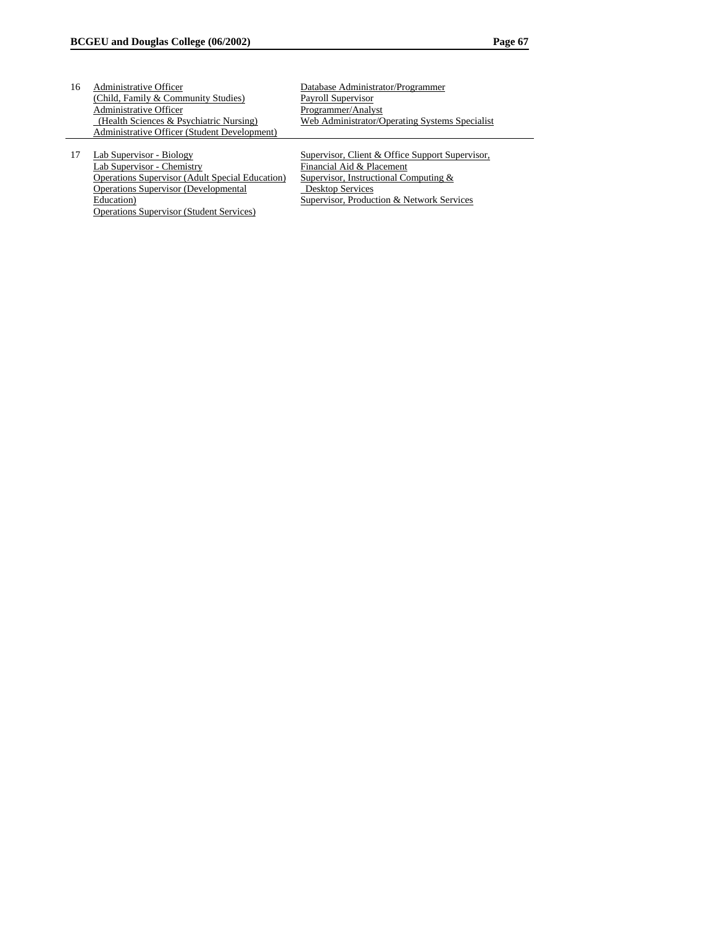| 16 | Administrative Officer                       | Database Administrator/Programmer              |
|----|----------------------------------------------|------------------------------------------------|
|    | (Child, Family & Community Studies)          | Payroll Supervisor                             |
|    | Administrative Officer                       | Programmer/Analyst                             |
|    | (Health Sciences & Psychiatric Nursing)      | Web Administrator/Operating Systems Specialist |
|    | Administrative Officer (Student Development) |                                                |
|    |                                              |                                                |

17 Lab Supervisor - Biology Lab Supervisor - Chemistry Operations Supervisor (Adult Special Education) Operations Supervisor (Developmental Education) Operations Supervisor (Student Services)

Supervisor, Client & Office Support Supervisor, Financial Aid & Placement Supervisor, Instructional Computing & Desktop Services Supervisor, Production & Network Services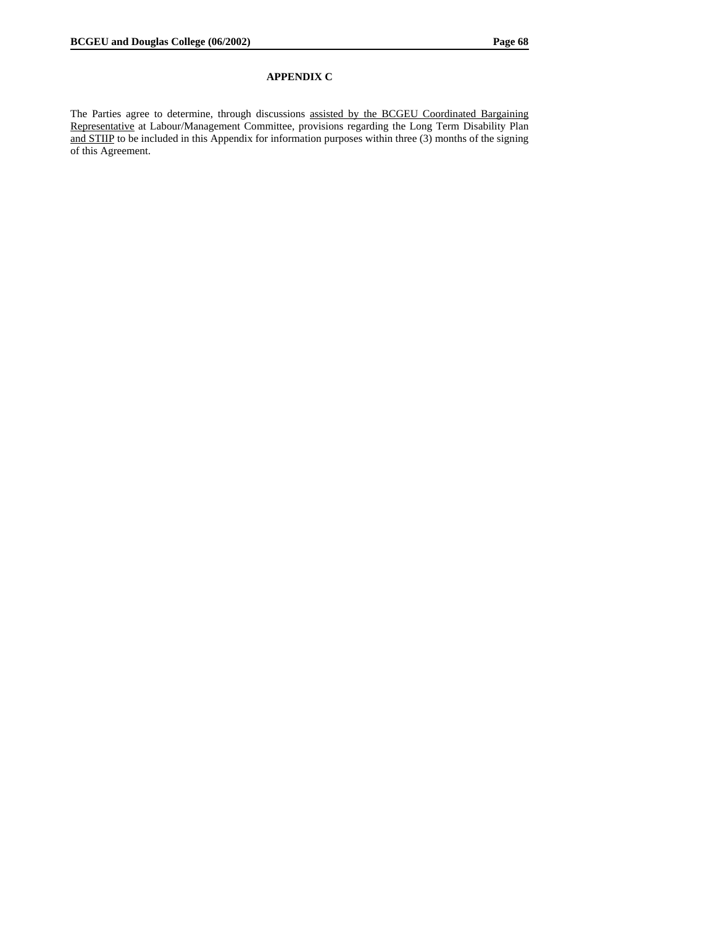# **APPENDIX C**

The Parties agree to determine, through discussions assisted by the BCGEU Coordinated Bargaining Representative at Labour/Management Committee, provisions regarding the Long Term Disability Plan and STIIP to be included in this Appendix for information purposes within three (3) months of the signing of this Agreement.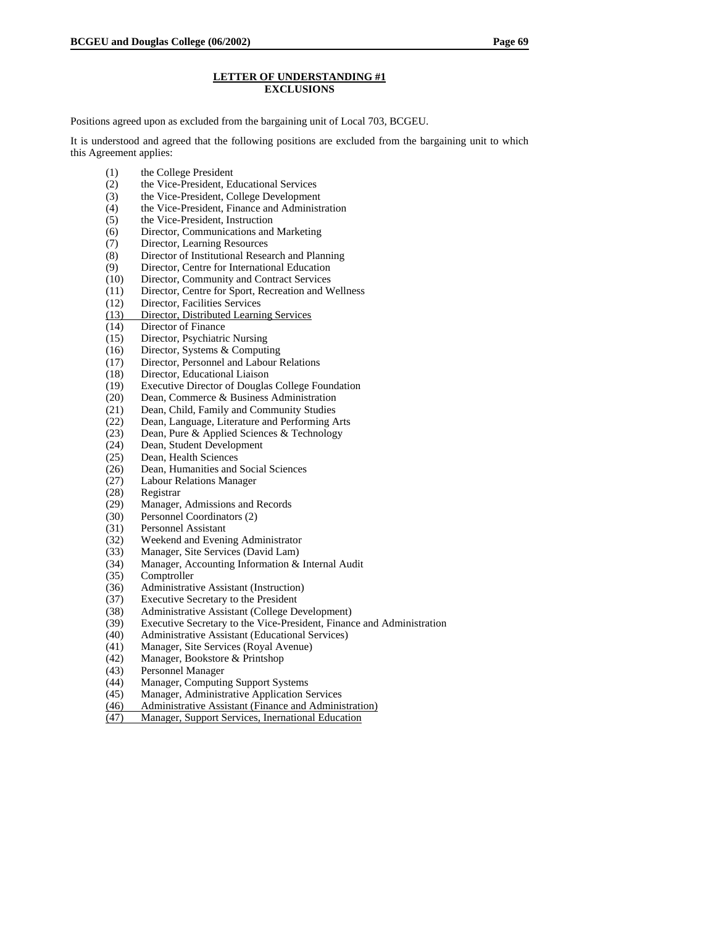#### **LETTER OF UNDERSTANDING #1 EXCLUSIONS**

Positions agreed upon as excluded from the bargaining unit of Local 703, BCGEU.

It is understood and agreed that the following positions are excluded from the bargaining unit to which this Agreement applies:

- (1) the College President
- (2) the Vice-President, Educational Services
- (3) the Vice-President, College Development
- (4) the Vice-President, Finance and Administration<br>(5) the Vice-President, Instruction
- the Vice-President, Instruction
- (6) Director, Communications and Marketing<br>(7) Director, Learning Resources
- Director, Learning Resources
- (8) Director of Institutional Research and Planning
- (9) Director, Centre for International Education
- (10) Director, Community and Contract Services
- (11) Director, Centre for Sport, Recreation and Wellness
- (12) Director, Facilities Services<br>(13) Director, Distributed Learni
- Director, Distributed Learning Services
- (14) Director of Finance
- (15) Director, Psychiatric Nursing
- (16) Director, Systems & Computing
- (17) Director, Personnel and Labour Relations
- (18) Director, Educational Liaison
- (19) Executive Director of Douglas College Foundation<br>(20) Dean, Commerce & Business Administration
- Dean, Commerce & Business Administration
- (21) Dean, Child, Family and Community Studies
- (22) Dean, Language, Literature and Performing Arts
- (23) Dean, Pure & Applied Sciences & Technology<br>(24) Dean, Student Development
- Dean, Student Development
- (25) Dean, Health Sciences<br>(26) Dean, Humanities and
- (26) Dean, Humanities and Social Sciences
- (27) Labour Relations Manager
- (28) Registrar
- (29) Manager, Admissions and Records
- (30) Personnel Coordinators (2)
- (31) Personnel Assistant
- (32) Weekend and Evening Administrator<br>(33) Manager, Site Services (David Lam)
- Manager, Site Services (David Lam)
- (34) Manager, Accounting Information & Internal Audit
- (35) Comptroller
- (36) Administrative Assistant (Instruction)<br>(37) Executive Secretary to the President
- (37) Executive Secretary to the President<br>(38) Administrative Assistant (College De
- (38) Administrative Assistant (College Development)<br>
(39) Executive Secretary to the Vice-President, Financ
- Executive Secretary to the Vice-President, Finance and Administration
- (40) Administrative Assistant (Educational Services)
- (41) Manager, Site Services (Royal Avenue)
- (42) Manager, Bookstore & Printshop
- (43) Personnel Manager
- (44) Manager, Computing Support Systems
- (45) Manager, Administrative Application Services
- (46) Administrative Assistant (Finance and Administration)
- (47) Manager, Support Services, Inernational Education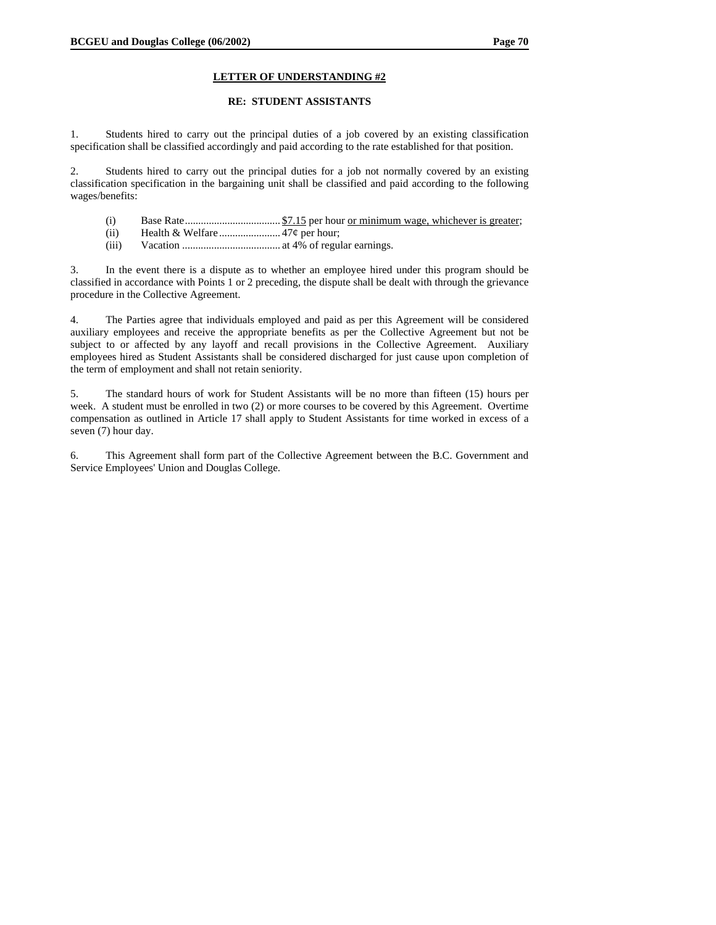#### **RE: STUDENT ASSISTANTS**

1. Students hired to carry out the principal duties of a job covered by an existing classification specification shall be classified accordingly and paid according to the rate established for that position.

2. Students hired to carry out the principal duties for a job not normally covered by an existing classification specification in the bargaining unit shall be classified and paid according to the following wages/benefits:

- (i) Base Rate.................................... \$7.15 per hour or minimum wage, whichever is greater;
- (ii) Health & Welfare....................... 47¢ per hour;
- (iii) Vacation ..................................... at 4% of regular earnings.

3. In the event there is a dispute as to whether an employee hired under this program should be classified in accordance with Points 1 or 2 preceding, the dispute shall be dealt with through the grievance procedure in the Collective Agreement.

4. The Parties agree that individuals employed and paid as per this Agreement will be considered auxiliary employees and receive the appropriate benefits as per the Collective Agreement but not be subject to or affected by any layoff and recall provisions in the Collective Agreement. Auxiliary employees hired as Student Assistants shall be considered discharged for just cause upon completion of the term of employment and shall not retain seniority.

5. The standard hours of work for Student Assistants will be no more than fifteen (15) hours per week. A student must be enrolled in two (2) or more courses to be covered by this Agreement. Overtime compensation as outlined in Article 17 shall apply to Student Assistants for time worked in excess of a seven (7) hour day.

6. This Agreement shall form part of the Collective Agreement between the B.C. Government and Service Employees' Union and Douglas College.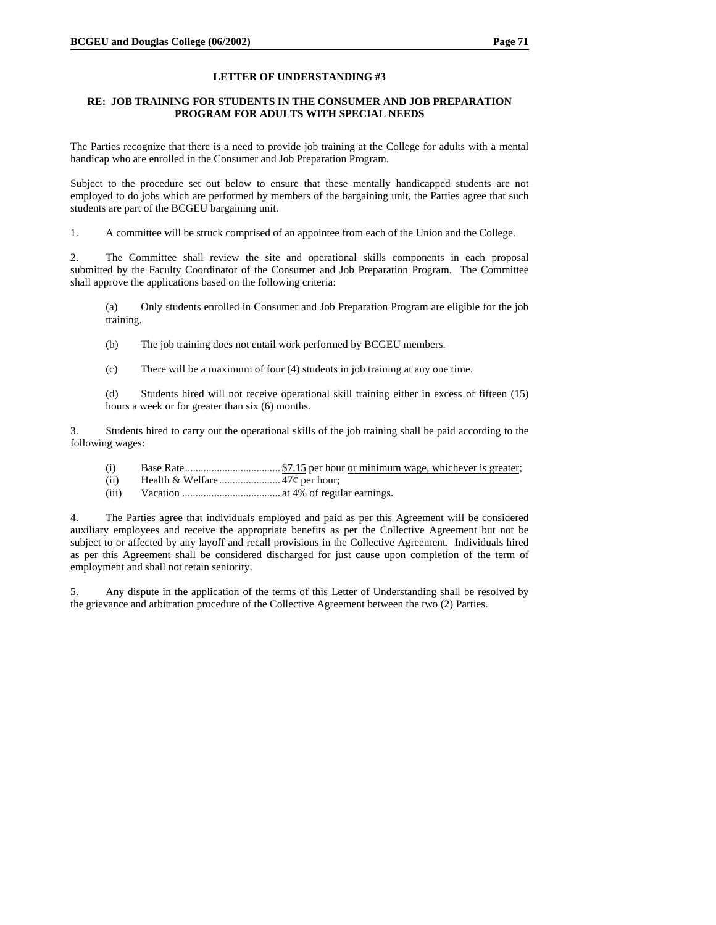### **RE: JOB TRAINING FOR STUDENTS IN THE CONSUMER AND JOB PREPARATION PROGRAM FOR ADULTS WITH SPECIAL NEEDS**

The Parties recognize that there is a need to provide job training at the College for adults with a mental handicap who are enrolled in the Consumer and Job Preparation Program.

Subject to the procedure set out below to ensure that these mentally handicapped students are not employed to do jobs which are performed by members of the bargaining unit, the Parties agree that such students are part of the BCGEU bargaining unit.

1. A committee will be struck comprised of an appointee from each of the Union and the College.

2. The Committee shall review the site and operational skills components in each proposal submitted by the Faculty Coordinator of the Consumer and Job Preparation Program. The Committee shall approve the applications based on the following criteria:

(a) Only students enrolled in Consumer and Job Preparation Program are eligible for the job training.

(b) The job training does not entail work performed by BCGEU members.

(c) There will be a maximum of four (4) students in job training at any one time.

(d) Students hired will not receive operational skill training either in excess of fifteen (15) hours a week or for greater than six (6) months.

3. Students hired to carry out the operational skills of the job training shall be paid according to the following wages:

- (i) Base Rate.................................... \$7.15 per hour or minimum wage, whichever is greater;
- (ii) Health & Welfare....................... 47¢ per hour;
- (iii) Vacation ..................................... at 4% of regular earnings.

4. The Parties agree that individuals employed and paid as per this Agreement will be considered auxiliary employees and receive the appropriate benefits as per the Collective Agreement but not be subject to or affected by any layoff and recall provisions in the Collective Agreement. Individuals hired as per this Agreement shall be considered discharged for just cause upon completion of the term of employment and shall not retain seniority.

5. Any dispute in the application of the terms of this Letter of Understanding shall be resolved by the grievance and arbitration procedure of the Collective Agreement between the two (2) Parties.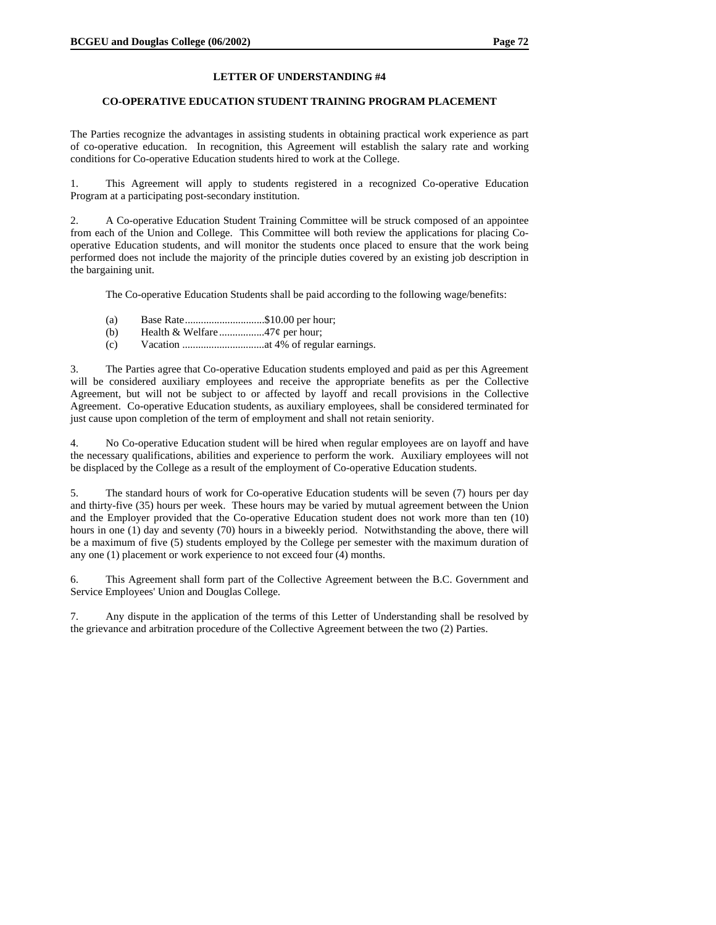### **CO-OPERATIVE EDUCATION STUDENT TRAINING PROGRAM PLACEMENT**

The Parties recognize the advantages in assisting students in obtaining practical work experience as part of co-operative education. In recognition, this Agreement will establish the salary rate and working conditions for Co-operative Education students hired to work at the College.

1. This Agreement will apply to students registered in a recognized Co-operative Education Program at a participating post-secondary institution.

2. A Co-operative Education Student Training Committee will be struck composed of an appointee from each of the Union and College. This Committee will both review the applications for placing Cooperative Education students, and will monitor the students once placed to ensure that the work being performed does not include the majority of the principle duties covered by an existing job description in the bargaining unit.

The Co-operative Education Students shall be paid according to the following wage/benefits:

- (a) Base Rate..............................\$10.00 per hour;
- (b) Health & Welfare.................47¢ per hour;
- (c) Vacation ...............................at 4% of regular earnings.

3. The Parties agree that Co-operative Education students employed and paid as per this Agreement will be considered auxiliary employees and receive the appropriate benefits as per the Collective Agreement, but will not be subject to or affected by layoff and recall provisions in the Collective Agreement. Co-operative Education students, as auxiliary employees, shall be considered terminated for just cause upon completion of the term of employment and shall not retain seniority.

No Co-operative Education student will be hired when regular employees are on layoff and have the necessary qualifications, abilities and experience to perform the work. Auxiliary employees will not be displaced by the College as a result of the employment of Co-operative Education students.

5. The standard hours of work for Co-operative Education students will be seven (7) hours per day and thirty-five (35) hours per week. These hours may be varied by mutual agreement between the Union and the Employer provided that the Co-operative Education student does not work more than ten (10) hours in one (1) day and seventy (70) hours in a biweekly period. Notwithstanding the above, there will be a maximum of five (5) students employed by the College per semester with the maximum duration of any one (1) placement or work experience to not exceed four (4) months.

6. This Agreement shall form part of the Collective Agreement between the B.C. Government and Service Employees' Union and Douglas College.

7. Any dispute in the application of the terms of this Letter of Understanding shall be resolved by the grievance and arbitration procedure of the Collective Agreement between the two (2) Parties.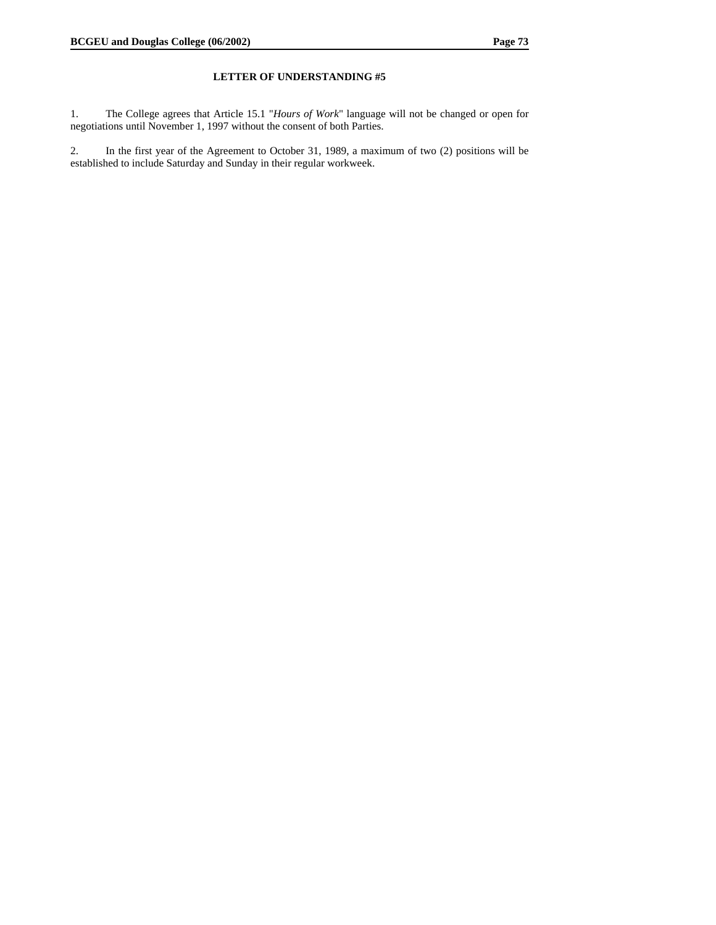1. The College agrees that Article 15.1 "*Hours of Work*" language will not be changed or open for negotiations until November 1, 1997 without the consent of both Parties.

2. In the first year of the Agreement to October 31, 1989, a maximum of two (2) positions will be established to include Saturday and Sunday in their regular workweek.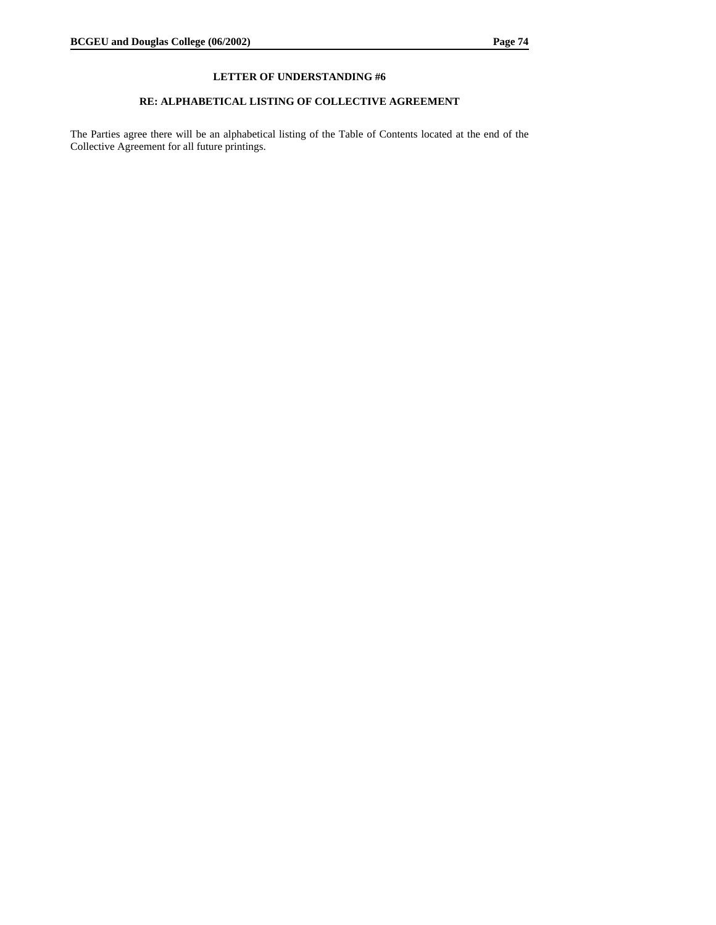## **RE: ALPHABETICAL LISTING OF COLLECTIVE AGREEMENT**

The Parties agree there will be an alphabetical listing of the Table of Contents located at the end of the Collective Agreement for all future printings.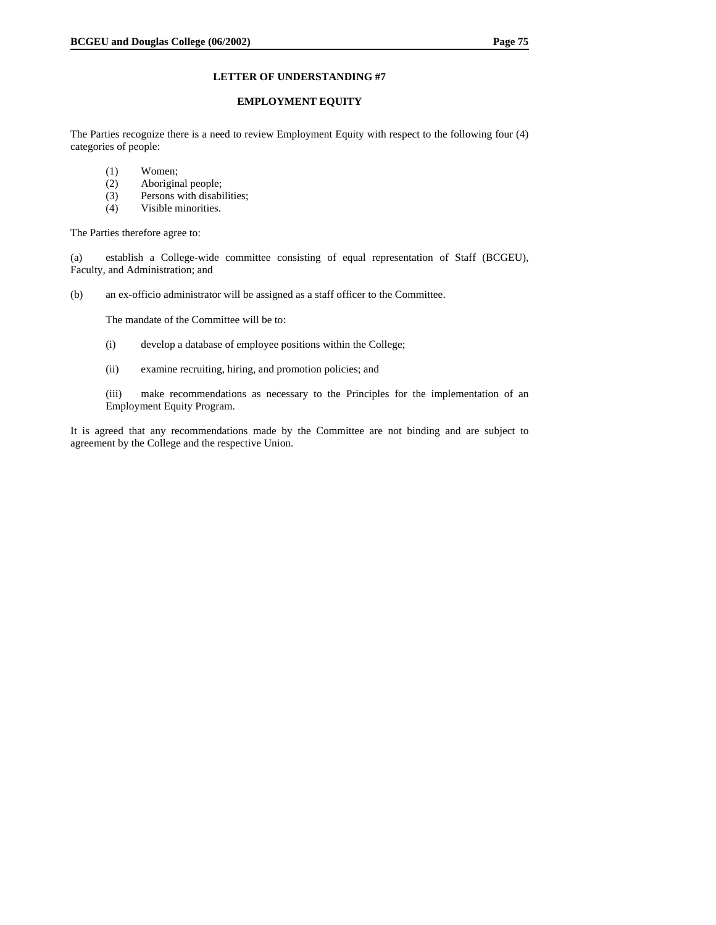#### **EMPLOYMENT EQUITY**

The Parties recognize there is a need to review Employment Equity with respect to the following four (4) categories of people:

- (1) Women;
- (2) Aboriginal people;
- (3) Persons with disabilities;
- (4) Visible minorities.

The Parties therefore agree to:

(a) establish a College-wide committee consisting of equal representation of Staff (BCGEU), Faculty, and Administration; and

(b) an ex-officio administrator will be assigned as a staff officer to the Committee.

The mandate of the Committee will be to:

- (i) develop a database of employee positions within the College;
- (ii) examine recruiting, hiring, and promotion policies; and

(iii) make recommendations as necessary to the Principles for the implementation of an Employment Equity Program.

It is agreed that any recommendations made by the Committee are not binding and are subject to agreement by the College and the respective Union.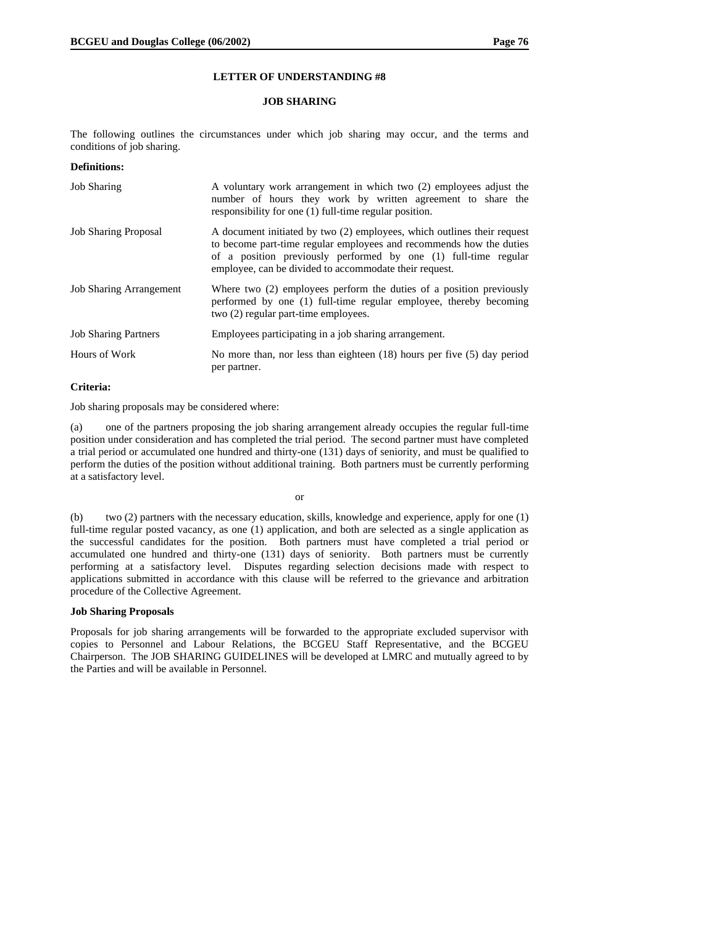#### **JOB SHARING**

The following outlines the circumstances under which job sharing may occur, and the terms and conditions of job sharing.

# **Definitions:**

| <b>Job Sharing</b>             | A voluntary work arrangement in which two (2) employees adjust the<br>number of hours they work by written agreement to share the<br>responsibility for one (1) full-time regular position.                                                                                 |
|--------------------------------|-----------------------------------------------------------------------------------------------------------------------------------------------------------------------------------------------------------------------------------------------------------------------------|
| <b>Job Sharing Proposal</b>    | A document initiated by two (2) employees, which outlines their request<br>to become part-time regular employees and recommends how the duties<br>of a position previously performed by one (1) full-time regular<br>employee, can be divided to accommodate their request. |
| <b>Job Sharing Arrangement</b> | Where two (2) employees perform the duties of a position previously<br>performed by one (1) full-time regular employee, thereby becoming<br>two (2) regular part-time employees.                                                                                            |
| <b>Job Sharing Partners</b>    | Employees participating in a job sharing arrangement.                                                                                                                                                                                                                       |
| Hours of Work                  | No more than, nor less than eighteen $(18)$ hours per five $(5)$ day period<br>per partner.                                                                                                                                                                                 |

## **Criteria:**

Job sharing proposals may be considered where:

(a) one of the partners proposing the job sharing arrangement already occupies the regular full-time position under consideration and has completed the trial period. The second partner must have completed a trial period or accumulated one hundred and thirty-one (131) days of seniority, and must be qualified to perform the duties of the position without additional training. Both partners must be currently performing at a satisfactory level.

or

(b) two (2) partners with the necessary education, skills, knowledge and experience, apply for one (1) full-time regular posted vacancy, as one (1) application, and both are selected as a single application as the successful candidates for the position. Both partners must have completed a trial period or accumulated one hundred and thirty-one (131) days of seniority. Both partners must be currently performing at a satisfactory level. Disputes regarding selection decisions made with respect to applications submitted in accordance with this clause will be referred to the grievance and arbitration procedure of the Collective Agreement.

## **Job Sharing Proposals**

Proposals for job sharing arrangements will be forwarded to the appropriate excluded supervisor with copies to Personnel and Labour Relations, the BCGEU Staff Representative, and the BCGEU Chairperson. The JOB SHARING GUIDELINES will be developed at LMRC and mutually agreed to by the Parties and will be available in Personnel.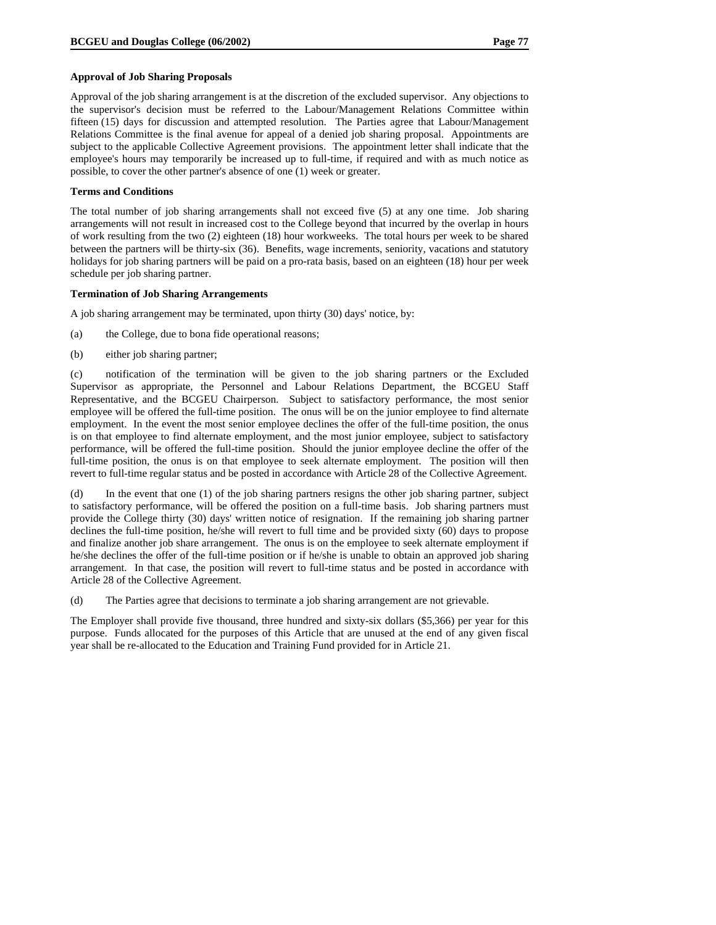#### **Approval of Job Sharing Proposals**

Approval of the job sharing arrangement is at the discretion of the excluded supervisor. Any objections to the supervisor's decision must be referred to the Labour/Management Relations Committee within fifteen (15) days for discussion and attempted resolution. The Parties agree that Labour/Management Relations Committee is the final avenue for appeal of a denied job sharing proposal. Appointments are subject to the applicable Collective Agreement provisions. The appointment letter shall indicate that the employee's hours may temporarily be increased up to full-time, if required and with as much notice as possible, to cover the other partner's absence of one (1) week or greater.

#### **Terms and Conditions**

The total number of job sharing arrangements shall not exceed five (5) at any one time. Job sharing arrangements will not result in increased cost to the College beyond that incurred by the overlap in hours of work resulting from the two (2) eighteen (18) hour workweeks. The total hours per week to be shared between the partners will be thirty-six (36). Benefits, wage increments, seniority, vacations and statutory holidays for job sharing partners will be paid on a pro-rata basis, based on an eighteen (18) hour per week schedule per job sharing partner.

#### **Termination of Job Sharing Arrangements**

A job sharing arrangement may be terminated, upon thirty (30) days' notice, by:

- (a) the College, due to bona fide operational reasons;
- (b) either job sharing partner;

(c) notification of the termination will be given to the job sharing partners or the Excluded Supervisor as appropriate, the Personnel and Labour Relations Department, the BCGEU Staff Representative, and the BCGEU Chairperson. Subject to satisfactory performance, the most senior employee will be offered the full-time position. The onus will be on the junior employee to find alternate employment. In the event the most senior employee declines the offer of the full-time position, the onus is on that employee to find alternate employment, and the most junior employee, subject to satisfactory performance, will be offered the full-time position. Should the junior employee decline the offer of the full-time position, the onus is on that employee to seek alternate employment. The position will then revert to full-time regular status and be posted in accordance with Article 28 of the Collective Agreement.

(d) In the event that one (1) of the job sharing partners resigns the other job sharing partner, subject to satisfactory performance, will be offered the position on a full-time basis. Job sharing partners must provide the College thirty (30) days' written notice of resignation. If the remaining job sharing partner declines the full-time position, he/she will revert to full time and be provided sixty (60) days to propose and finalize another job share arrangement. The onus is on the employee to seek alternate employment if he/she declines the offer of the full-time position or if he/she is unable to obtain an approved job sharing arrangement. In that case, the position will revert to full-time status and be posted in accordance with Article 28 of the Collective Agreement.

(d) The Parties agree that decisions to terminate a job sharing arrangement are not grievable.

The Employer shall provide five thousand, three hundred and sixty-six dollars (\$5,366) per year for this purpose. Funds allocated for the purposes of this Article that are unused at the end of any given fiscal year shall be re-allocated to the Education and Training Fund provided for in Article 21.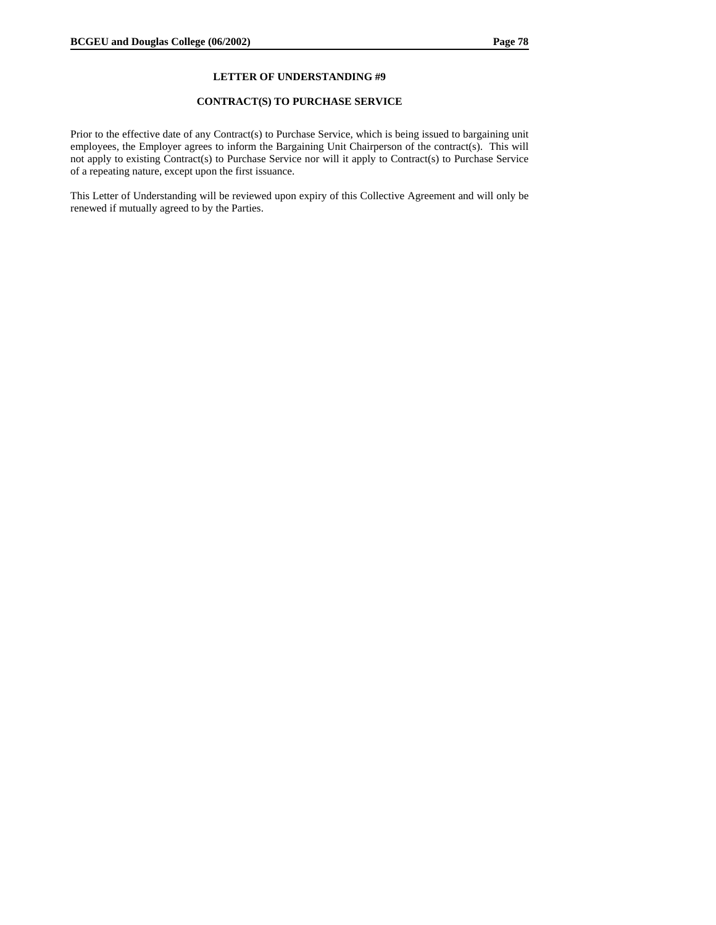#### **CONTRACT(S) TO PURCHASE SERVICE**

Prior to the effective date of any Contract(s) to Purchase Service, which is being issued to bargaining unit employees, the Employer agrees to inform the Bargaining Unit Chairperson of the contract(s). This will not apply to existing Contract(s) to Purchase Service nor will it apply to Contract(s) to Purchase Service of a repeating nature, except upon the first issuance.

This Letter of Understanding will be reviewed upon expiry of this Collective Agreement and will only be renewed if mutually agreed to by the Parties.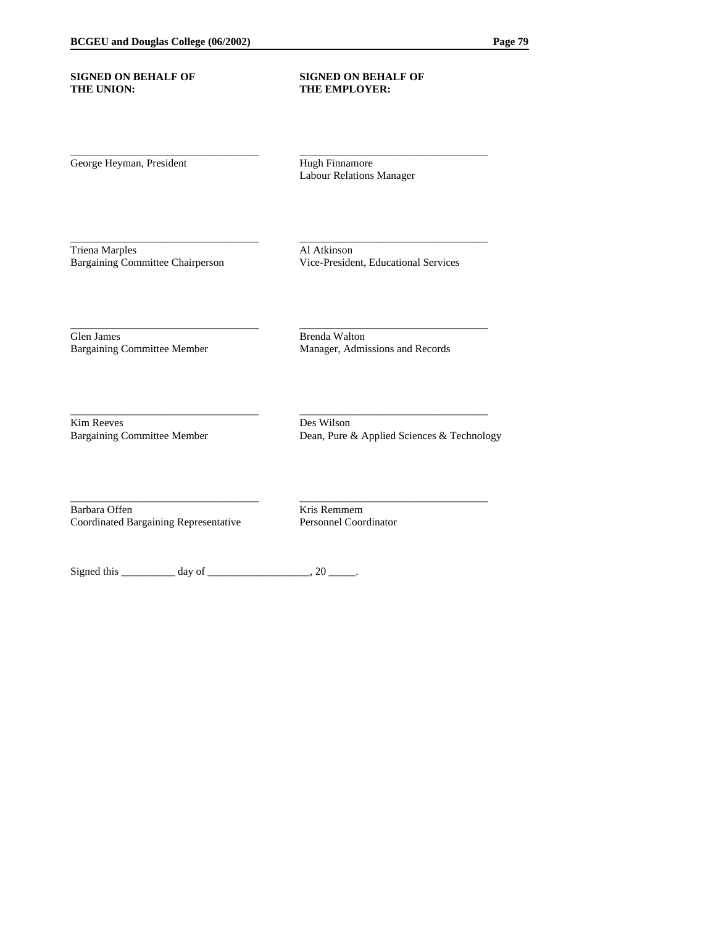### **SIGNED ON BEHALF OF SIGNED ON BEHALF OF THE UNION: THE EMPLOYER:**

George Heyman, President Hugh Finnamore

Labour Relations Manager

\_\_\_\_\_\_\_\_\_\_\_\_\_\_\_\_\_\_\_\_\_\_\_\_\_\_\_\_\_\_\_\_\_\_\_ \_\_\_\_\_\_\_\_\_\_\_\_\_\_\_\_\_\_\_\_\_\_\_\_\_\_\_\_\_\_\_\_\_\_\_

\_\_\_\_\_\_\_\_\_\_\_\_\_\_\_\_\_\_\_\_\_\_\_\_\_\_\_\_\_\_\_\_\_\_\_ \_\_\_\_\_\_\_\_\_\_\_\_\_\_\_\_\_\_\_\_\_\_\_\_\_\_\_\_\_\_\_\_\_\_\_

\_\_\_\_\_\_\_\_\_\_\_\_\_\_\_\_\_\_\_\_\_\_\_\_\_\_\_\_\_\_\_\_\_\_\_ \_\_\_\_\_\_\_\_\_\_\_\_\_\_\_\_\_\_\_\_\_\_\_\_\_\_\_\_\_\_\_\_\_\_\_

\_\_\_\_\_\_\_\_\_\_\_\_\_\_\_\_\_\_\_\_\_\_\_\_\_\_\_\_\_\_\_\_\_\_\_ \_\_\_\_\_\_\_\_\_\_\_\_\_\_\_\_\_\_\_\_\_\_\_\_\_\_\_\_\_\_\_\_\_\_\_

\_\_\_\_\_\_\_\_\_\_\_\_\_\_\_\_\_\_\_\_\_\_\_\_\_\_\_\_\_\_\_\_\_\_\_ \_\_\_\_\_\_\_\_\_\_\_\_\_\_\_\_\_\_\_\_\_\_\_\_\_\_\_\_\_\_\_\_\_\_\_

Triena Marples Al Atkinson Bargaining Committee Chairperson Vice-President, Educational Services

Glen James<br>Brenda Walton<br>Bargaining Committee Member<br>Manager, Admi

Manager, Admissions and Records

Kim Reeves Des Wilson

Bargaining Committee Member Dean, Pure & Applied Sciences & Technology

Barbara Offen<br>
Coordinated Bargaining Representative<br>
Personnel Coordinator Coordinated Bargaining Representative

Signed this  $\frac{1}{\text{sum}}$  day of  $\frac{1}{\text{sum}}$ , 20  $\frac{1}{\text{sum}}$ .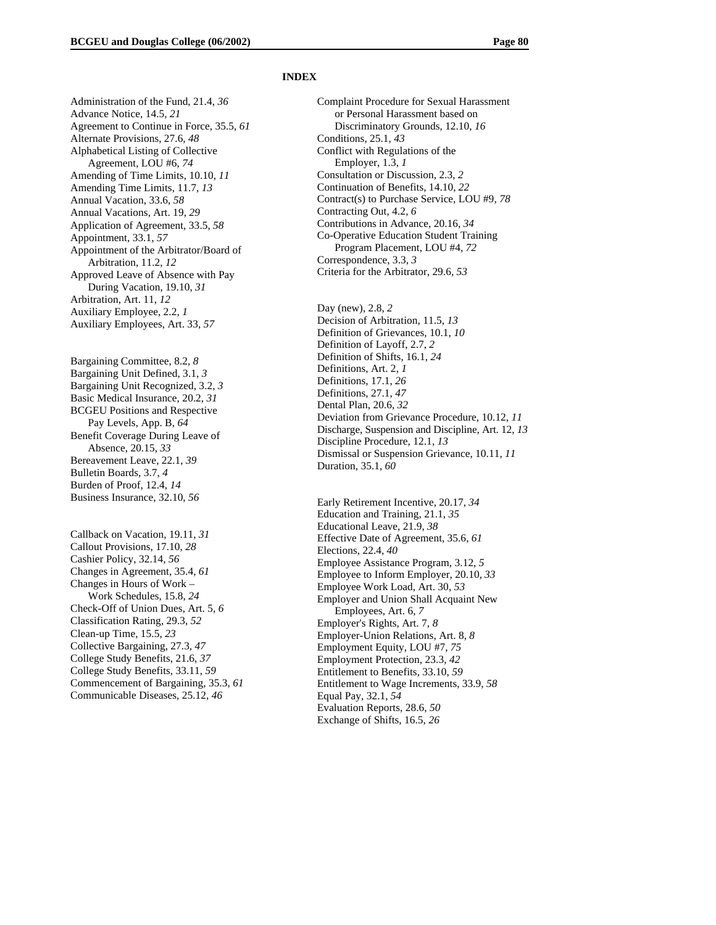Administration of the Fund, 21.4, *36*  Advance Notice, 14.5, *21*  Agreement to Continue in Force, 35.5, *61*  Alternate Provisions, 27.6, *48*  Alphabetical Listing of Collective Agreement, LOU #6, *74*  Amending of Time Limits, 10.10, *11*  Amending Time Limits, 11.7, *13*  Annual Vacation, 33.6, *58*  Annual Vacations, Art. 19, *29*  Application of Agreement, 33.5, *58*  Appointment, 33.1, *57*  Appointment of the Arbitrator/Board of Arbitration, 11.2, *12*  Approved Leave of Absence with Pay During Vacation, 19.10, *31*  Arbitration, Art. 11, *12*  Auxiliary Employee, 2.2, *1*  Auxiliary Employees, Art. 33, *57* 

Bargaining Committee, 8.2, *8*  Bargaining Unit Defined, 3.1, *3*  Bargaining Unit Recognized, 3.2, *3*  Basic Medical Insurance, 20.2, *31*  BCGEU Positions and Respective Pay Levels, App. B, *64*  Benefit Coverage During Leave of Absence, 20.15, *33*  Bereavement Leave, 22.1, *39*  Bulletin Boards, 3.7, *4*  Burden of Proof, 12.4, *14*  Business Insurance, 32.10, *56* 

Callback on Vacation, 19.11, *31*  Callout Provisions, 17.10, *28*  Cashier Policy, 32.14, *56*  Changes in Agreement, 35.4, *61*  Changes in Hours of Work – Work Schedules, 15.8, *24*  Check-Off of Union Dues, Art. 5, *6*  Classification Rating, 29.3, *52*  Clean-up Time, 15.5, *23*  Collective Bargaining, 27.3, *47*  College Study Benefits, 21.6, *37*  College Study Benefits, 33.11, *59*  Commencement of Bargaining, 35.3, *61*  Communicable Diseases, 25.12, *46* 

#### **INDEX**

Complaint Procedure for Sexual Harassment or Personal Harassment based on Discriminatory Grounds, 12.10, *16*  Conditions, 25.1, *43*  Conflict with Regulations of the Employer, 1.3, *1*  Consultation or Discussion, 2.3, *2*  Continuation of Benefits, 14.10, *22*  Contract(s) to Purchase Service, LOU #9, *78*  Contracting Out, 4.2, *6*  Contributions in Advance, 20.16, *34*  Co-Operative Education Student Training Program Placement, LOU #4, *72*  Correspondence, 3.3, *3*  Criteria for the Arbitrator, 29.6, *53* 

Day (new), 2.8, *2*  Decision of Arbitration, 11.5, *13*  Definition of Grievances, 10.1, *10*  Definition of Layoff, 2.7, *2*  Definition of Shifts, 16.1, *24*  Definitions, Art. 2, *1*  Definitions, 17.1, *26*  Definitions, 27.1, *47*  Dental Plan, 20.6, *32*  Deviation from Grievance Procedure, 10.12, *11*  Discharge, Suspension and Discipline, Art. 12, *13*  Discipline Procedure, 12.1, *13*  Dismissal or Suspension Grievance, 10.11, *11*  Duration, 35.1, *60* 

Early Retirement Incentive, 20.17, *34*  Education and Training, 21.1, *35*  Educational Leave, 21.9, *38*  Effective Date of Agreement, 35.6, *61*  Elections, 22.4, *40*  Employee Assistance Program, 3.12, *5*  Employee to Inform Employer, 20.10, *33*  Employee Work Load, Art. 30, *53*  Employer and Union Shall Acquaint New Employees, Art. 6, *7*  Employer's Rights, Art. 7, *8*  Employer-Union Relations, Art. 8, *8*  Employment Equity, LOU #7, *75*  Employment Protection, 23.3, *42*  Entitlement to Benefits, 33.10, *59*  Entitlement to Wage Increments, 33.9, *58*  Equal Pay, 32.1, *54*  Evaluation Reports, 28.6, *50*  Exchange of Shifts, 16.5, *26*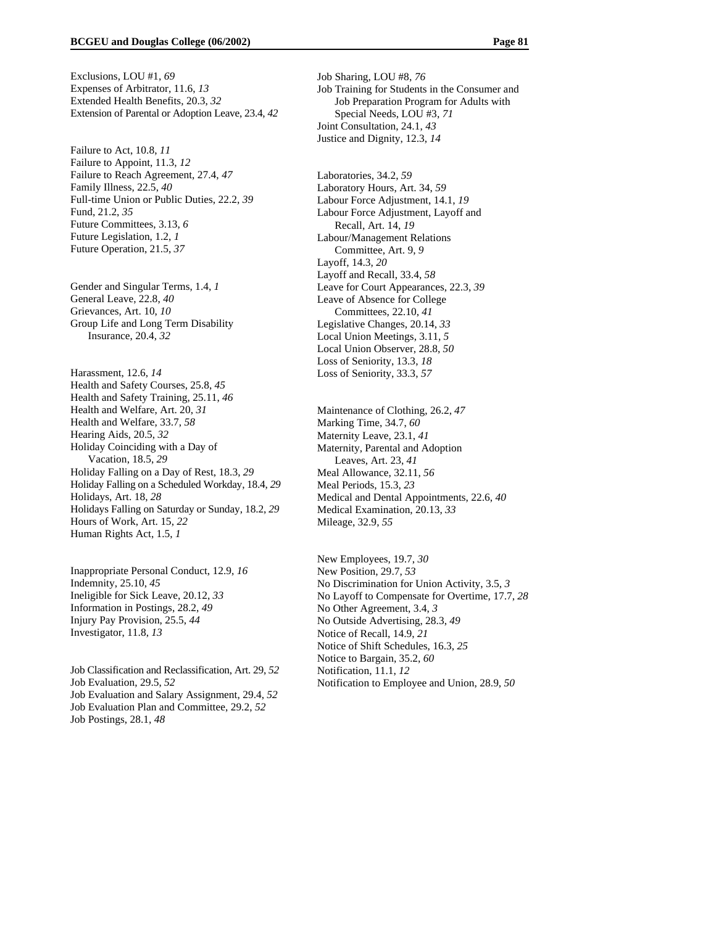Exclusions, LOU #1, *69*  Expenses of Arbitrator, 11.6, *13*  Extended Health Benefits, 20.3, *32*  Extension of Parental or Adoption Leave, 23.4, *42* 

Failure to Act, 10.8, *11*  Failure to Appoint, 11.3, *12*  Failure to Reach Agreement, 27.4, *47*  Family Illness, 22.5, *40*  Full-time Union or Public Duties, 22.2, *39*  Fund, 21.2, *35*  Future Committees, 3.13, *6*  Future Legislation, 1.2, *1*  Future Operation, 21.5, *37* 

Gender and Singular Terms, 1.4, *1*  General Leave, 22.8, *40*  Grievances, Art. 10, *10*  Group Life and Long Term Disability Insurance, 20.4, *32* 

Harassment, 12.6, *14*  Health and Safety Courses, 25.8, *45*  Health and Safety Training, 25.11, *46*  Health and Welfare, Art. 20, *31*  Health and Welfare, 33.7, *58*  Hearing Aids, 20.5, *32*  Holiday Coinciding with a Day of Vacation, 18.5, *29*  Holiday Falling on a Day of Rest, 18.3, *29*  Holiday Falling on a Scheduled Workday, 18.4, *29*  Holidays, Art. 18, *28*  Holidays Falling on Saturday or Sunday, 18.2, *29*  Hours of Work, Art. 15, *22*  Human Rights Act, 1.5, *1* 

Inappropriate Personal Conduct, 12.9, *16*  Indemnity, 25.10, *45*  Ineligible for Sick Leave, 20.12, *33*  Information in Postings, 28.2, *49*  Injury Pay Provision, 25.5, *44*  Investigator, 11.8, *13* 

Job Classification and Reclassification, Art. 29, *52*  Job Evaluation, 29.5, *52*  Job Evaluation and Salary Assignment, 29.4, *52*  Job Evaluation Plan and Committee, 29.2, *52*  Job Postings, 28.1, *48* 

Job Sharing, LOU #8, *76*  Job Training for Students in the Consumer and Job Preparation Program for Adults with Special Needs, LOU #3, *71*  Joint Consultation, 24.1, *43*  Justice and Dignity, 12.3, *14* 

Laboratories, 34.2, *59*  Laboratory Hours, Art. 34, *59*  Labour Force Adjustment, 14.1, *19*  Labour Force Adjustment, Layoff and Recall, Art. 14, *19*  Labour/Management Relations Committee, Art. 9, *9*  Layoff, 14.3, *20*  Layoff and Recall, 33.4, *58*  Leave for Court Appearances, 22.3, *39*  Leave of Absence for College Committees, 22.10, *41*  Legislative Changes, 20.14, *33*  Local Union Meetings, 3.11, *5*  Local Union Observer, 28.8, *50*  Loss of Seniority, 13.3, *18*  Loss of Seniority, 33.3, *57* 

Maintenance of Clothing, 26.2, *47*  Marking Time, 34.7, *60*  Maternity Leave, 23.1, *41*  Maternity, Parental and Adoption Leaves, Art. 23, *41*  Meal Allowance, 32.11, *56*  Meal Periods, 15.3, *23*  Medical and Dental Appointments, 22.6, *40*  Medical Examination, 20.13, *33*  Mileage, 32.9, *55* 

New Employees, 19.7, *30*  New Position, 29.7, *53*  No Discrimination for Union Activity, 3.5, *3*  No Layoff to Compensate for Overtime, 17.7, *28*  No Other Agreement, 3.4, *3*  No Outside Advertising, 28.3, *49*  Notice of Recall, 14.9, *21*  Notice of Shift Schedules, 16.3, *25*  Notice to Bargain, 35.2, *60*  Notification, 11.1, *12*  Notification to Employee and Union, 28.9, *50*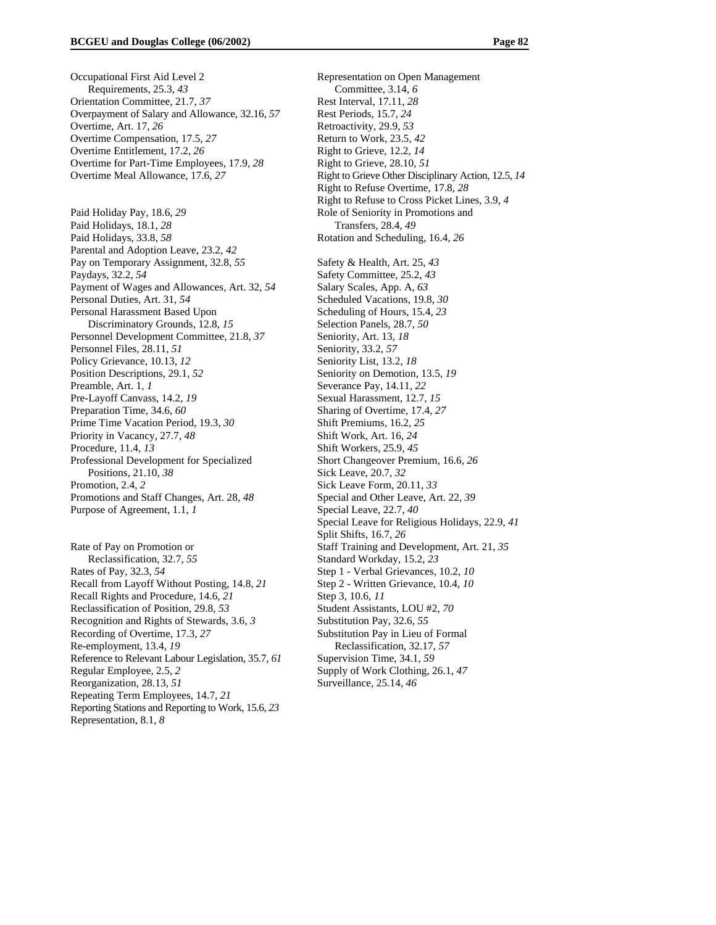Occupational First Aid Level 2 Requirements, 25.3, *43*  Orientation Committee, 21.7, *37*  Overpayment of Salary and Allowance, 32.16, *57*  Overtime, Art. 17, *26*  Overtime Compensation, 17.5, *27*  Overtime Entitlement, 17.2, *26*  Overtime for Part-Time Employees, 17.9, *28*  Overtime Meal Allowance, 17.6, *27* 

Paid Holiday Pay, 18.6, *29*  Paid Holidays, 18.1, *28*  Paid Holidays, 33.8, *58*  Parental and Adoption Leave, 23.2, *42*  Pay on Temporary Assignment, 32.8, *55*  Paydays, 32.2, *54*  Payment of Wages and Allowances, Art. 32, *54*  Personal Duties, Art. 31, *54*  Personal Harassment Based Upon Discriminatory Grounds, 12.8, *15*  Personnel Development Committee, 21.8, *37*  Personnel Files, 28.11, *51*  Policy Grievance, 10.13, *12*  Position Descriptions, 29.1, *52*  Preamble, Art. 1, *1*  Pre-Layoff Canvass, 14.2, *19*  Preparation Time, 34.6, *60*  Prime Time Vacation Period, 19.3, *30*  Priority in Vacancy, 27.7, *48*  Procedure, 11.4, *13*  Professional Development for Specialized Positions, 21.10, *38*  Promotion, 2.4, *2*  Promotions and Staff Changes, Art. 28, *48*  Purpose of Agreement, 1.1, *1* 

Rate of Pay on Promotion or Reclassification, 32.7, *55*  Rates of Pay, 32.3, *54*  Recall from Layoff Without Posting, 14.8, *21*  Recall Rights and Procedure, 14.6, *21*  Reclassification of Position, 29.8, *53*  Recognition and Rights of Stewards, 3.6, *3*  Recording of Overtime, 17.3, *27*  Re-employment, 13.4, *19*  Reference to Relevant Labour Legislation, 35.7, *61*  Regular Employee, 2.5, *2*  Reorganization, 28.13, *51*  Repeating Term Employees, 14.7, *21*  Reporting Stations and Reporting to Work, 15.6, *23*  Representation, 8.1, *8* 

Representation on Open Management Committee, 3.14, *6*  Rest Interval, 17.11, *28*  Rest Periods, 15.7, *24*  Retroactivity, 29.9, *53*  Return to Work, 23.5, *42*  Right to Grieve, 12.2, *14*  Right to Grieve, 28.10, *51*  Right to Grieve Other Disciplinary Action, 12.5, *14*  Right to Refuse Overtime, 17.8, *28*  Right to Refuse to Cross Picket Lines, 3.9, *4*  Role of Seniority in Promotions and Transfers, 28.4, *49*  Rotation and Scheduling, 16.4, *26*  Safety & Health, Art. 25, *43*  Safety Committee, 25.2, *43*  Salary Scales, App. A, *63*  Scheduled Vacations, 19.8, *30*  Scheduling of Hours, 15.4, *23*  Selection Panels, 28.7, *50*  Seniority, Art. 13, *18*  Seniority, 33.2, *57*  Seniority List, 13.2, *18*  Seniority on Demotion, 13.5, *19*  Severance Pay, 14.11, *22*  Sexual Harassment, 12.7, *15*  Sharing of Overtime, 17.4, *27*  Shift Premiums, 16.2, *25*  Shift Work, Art. 16, *24*  Shift Workers, 25.9, *45*  Short Changeover Premium, 16.6, *26*  Sick Leave, 20.7, *32*  Sick Leave Form, 20.11, *33*  Special and Other Leave, Art. 22, *39*  Special Leave, 22.7, *40*  Special Leave for Religious Holidays, 22.9, *41*  Split Shifts, 16.7, *26*  Staff Training and Development, Art. 21, *35*  Standard Workday, 15.2, *23*  Step 1 - Verbal Grievances, 10.2, *10*  Step 2 - Written Grievance, 10.4, *10*  Step 3, 10.6, *11*  Student Assistants, LOU #2, *70*  Substitution Pay, 32.6, *55*  Substitution Pay in Lieu of Formal Reclassification, 32.17, *57*  Supervision Time, 34.1, *59*  Supply of Work Clothing, 26.1, *47*  Surveillance, 25.14, *46*